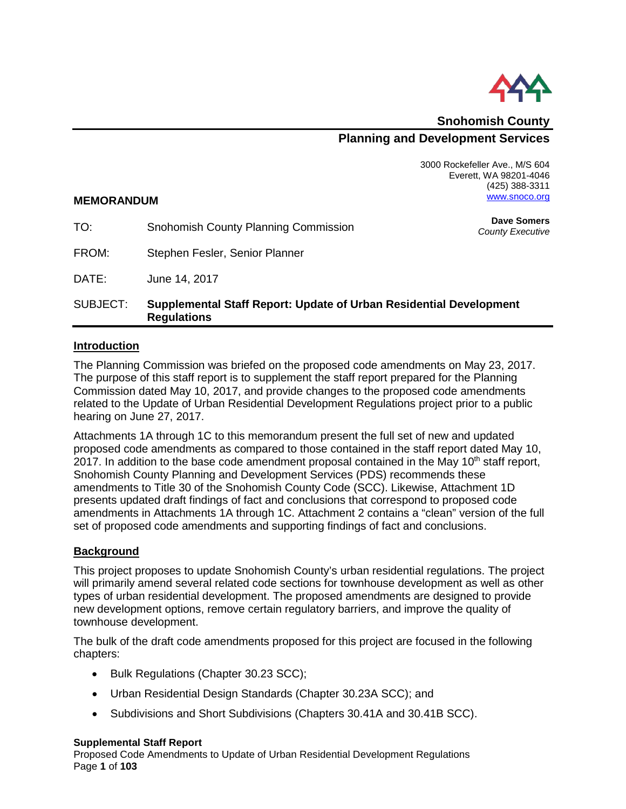

**Snohomish County Planning and Development Services**

> 3000 Rockefeller Ave., M/S 604 Everett, WA 98201-4046 (425) 388-3311 [www.snoco.org](http://www.snoco.org/)

#### **MEMORANDUM**

| TO:      | Snohomish County Planning Commission                                                     | <b>Dave Somers</b><br>County Executive |
|----------|------------------------------------------------------------------------------------------|----------------------------------------|
| FROM:    | Stephen Fesler, Senior Planner                                                           |                                        |
| DATE:    | June 14, 2017                                                                            |                                        |
| SUBJECT: | Supplemental Staff Report: Update of Urban Residential Development<br><b>Regulations</b> |                                        |

# **Introduction**

The Planning Commission was briefed on the proposed code amendments on May 23, 2017. The purpose of this staff report is to supplement the staff report prepared for the Planning Commission dated May 10, 2017, and provide changes to the proposed code amendments related to the Update of Urban Residential Development Regulations project prior to a public hearing on June 27, 2017.

Attachments 1A through 1C to this memorandum present the full set of new and updated proposed code amendments as compared to those contained in the staff report dated May 10, 2017. In addition to the base code amendment proposal contained in the May 10<sup>th</sup> staff report, Snohomish County Planning and Development Services (PDS) recommends these amendments to Title 30 of the Snohomish County Code (SCC). Likewise, Attachment 1D presents updated draft findings of fact and conclusions that correspond to proposed code amendments in Attachments 1A through 1C. Attachment 2 contains a "clean" version of the full set of proposed code amendments and supporting findings of fact and conclusions.

# **Background**

This project proposes to update Snohomish County's urban residential regulations. The project will primarily amend several related code sections for townhouse development as well as other types of urban residential development. The proposed amendments are designed to provide new development options, remove certain regulatory barriers, and improve the quality of townhouse development.

The bulk of the draft code amendments proposed for this project are focused in the following chapters:

- Bulk Regulations (Chapter 30.23 SCC);
- Urban Residential Design Standards (Chapter 30.23A SCC); and
- Subdivisions and Short Subdivisions (Chapters 30.41A and 30.41B SCC).

#### **Supplemental Staff Report**

Proposed Code Amendments to Update of Urban Residential Development Regulations Page **1** of **103**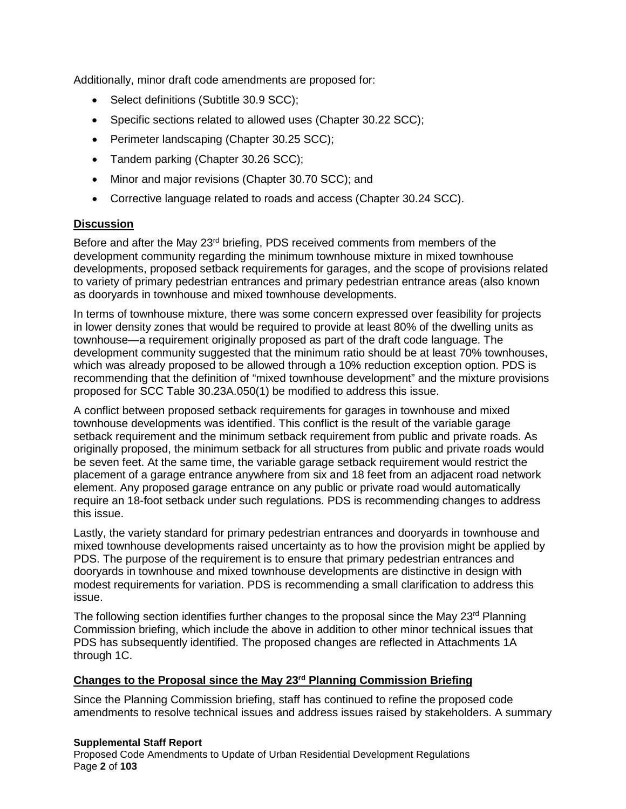Additionally, minor draft code amendments are proposed for:

- Select definitions (Subtitle 30.9 SCC);
- Specific sections related to allowed uses (Chapter 30.22 SCC);
- Perimeter landscaping (Chapter 30.25 SCC);
- Tandem parking (Chapter 30.26 SCC);
- Minor and major revisions (Chapter 30.70 SCC); and
- Corrective language related to roads and access (Chapter 30.24 SCC).

### **Discussion**

Before and after the May 23<sup>rd</sup> briefing, PDS received comments from members of the development community regarding the minimum townhouse mixture in mixed townhouse developments, proposed setback requirements for garages, and the scope of provisions related to variety of primary pedestrian entrances and primary pedestrian entrance areas (also known as dooryards in townhouse and mixed townhouse developments.

In terms of townhouse mixture, there was some concern expressed over feasibility for projects in lower density zones that would be required to provide at least 80% of the dwelling units as townhouse—a requirement originally proposed as part of the draft code language. The development community suggested that the minimum ratio should be at least 70% townhouses, which was already proposed to be allowed through a 10% reduction exception option. PDS is recommending that the definition of "mixed townhouse development" and the mixture provisions proposed for SCC Table 30.23A.050(1) be modified to address this issue.

A conflict between proposed setback requirements for garages in townhouse and mixed townhouse developments was identified. This conflict is the result of the variable garage setback requirement and the minimum setback requirement from public and private roads. As originally proposed, the minimum setback for all structures from public and private roads would be seven feet. At the same time, the variable garage setback requirement would restrict the placement of a garage entrance anywhere from six and 18 feet from an adjacent road network element. Any proposed garage entrance on any public or private road would automatically require an 18-foot setback under such regulations. PDS is recommending changes to address this issue.

Lastly, the variety standard for primary pedestrian entrances and dooryards in townhouse and mixed townhouse developments raised uncertainty as to how the provision might be applied by PDS. The purpose of the requirement is to ensure that primary pedestrian entrances and dooryards in townhouse and mixed townhouse developments are distinctive in design with modest requirements for variation. PDS is recommending a small clarification to address this issue.

The following section identifies further changes to the proposal since the May 23<sup>rd</sup> Planning Commission briefing, which include the above in addition to other minor technical issues that PDS has subsequently identified. The proposed changes are reflected in Attachments 1A through 1C.

#### **Changes to the Proposal since the May 23rd Planning Commission Briefing**

Since the Planning Commission briefing, staff has continued to refine the proposed code amendments to resolve technical issues and address issues raised by stakeholders. A summary

#### **Supplemental Staff Report**

Proposed Code Amendments to Update of Urban Residential Development Regulations Page **2** of **103**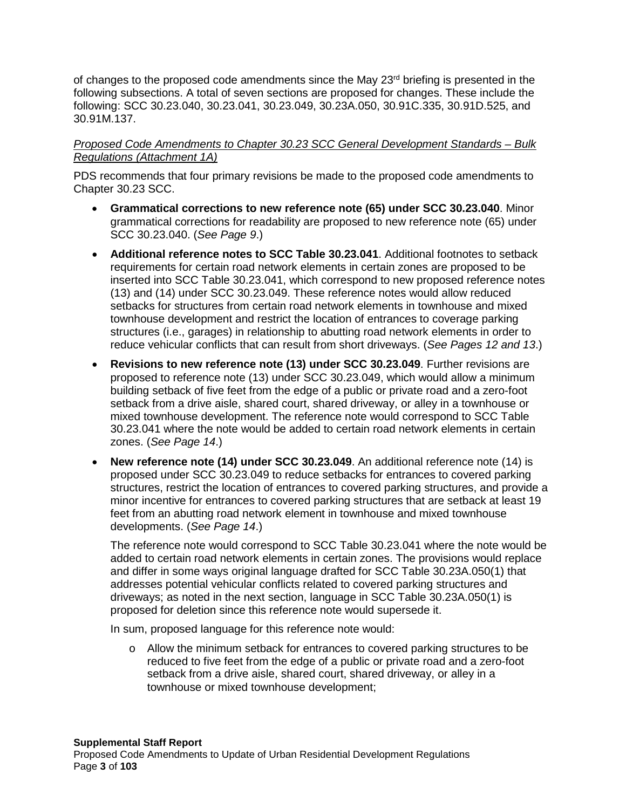of changes to the proposed code amendments since the May 23<sup>rd</sup> briefing is presented in the following subsections. A total of seven sections are proposed for changes. These include the following: SCC 30.23.040, 30.23.041, 30.23.049, 30.23A.050, 30.91C.335, 30.91D.525, and 30.91M.137.

### *Proposed Code Amendments to Chapter 30.23 SCC General Development Standards – Bulk Regulations (Attachment 1A)*

PDS recommends that four primary revisions be made to the proposed code amendments to Chapter 30.23 SCC.

- **Grammatical corrections to new reference note (65) under SCC 30.23.040**. Minor grammatical corrections for readability are proposed to new reference note (65) under SCC 30.23.040. (*See Page 9*.)
- **Additional reference notes to SCC Table 30.23.041**. Additional footnotes to setback requirements for certain road network elements in certain zones are proposed to be inserted into SCC Table 30.23.041, which correspond to new proposed reference notes (13) and (14) under SCC 30.23.049. These reference notes would allow reduced setbacks for structures from certain road network elements in townhouse and mixed townhouse development and restrict the location of entrances to coverage parking structures (i.e., garages) in relationship to abutting road network elements in order to reduce vehicular conflicts that can result from short driveways. (*See Pages 12 and 13*.)
- **Revisions to new reference note (13) under SCC 30.23.049**. Further revisions are proposed to reference note (13) under SCC 30.23.049, which would allow a minimum building setback of five feet from the edge of a public or private road and a zero-foot setback from a drive aisle, shared court, shared driveway, or alley in a townhouse or mixed townhouse development. The reference note would correspond to SCC Table 30.23.041 where the note would be added to certain road network elements in certain zones. (*See Page 14*.)
- **New reference note (14) under SCC 30.23.049**. An additional reference note (14) is proposed under SCC 30.23.049 to reduce setbacks for entrances to covered parking structures, restrict the location of entrances to covered parking structures, and provide a minor incentive for entrances to covered parking structures that are setback at least 19 feet from an abutting road network element in townhouse and mixed townhouse developments. (*See Page 14*.)

The reference note would correspond to SCC Table 30.23.041 where the note would be added to certain road network elements in certain zones. The provisions would replace and differ in some ways original language drafted for SCC Table 30.23A.050(1) that addresses potential vehicular conflicts related to covered parking structures and driveways; as noted in the next section, language in SCC Table 30.23A.050(1) is proposed for deletion since this reference note would supersede it.

In sum, proposed language for this reference note would:

 $\circ$  Allow the minimum setback for entrances to covered parking structures to be reduced to five feet from the edge of a public or private road and a zero-foot setback from a drive aisle, shared court, shared driveway, or alley in a townhouse or mixed townhouse development;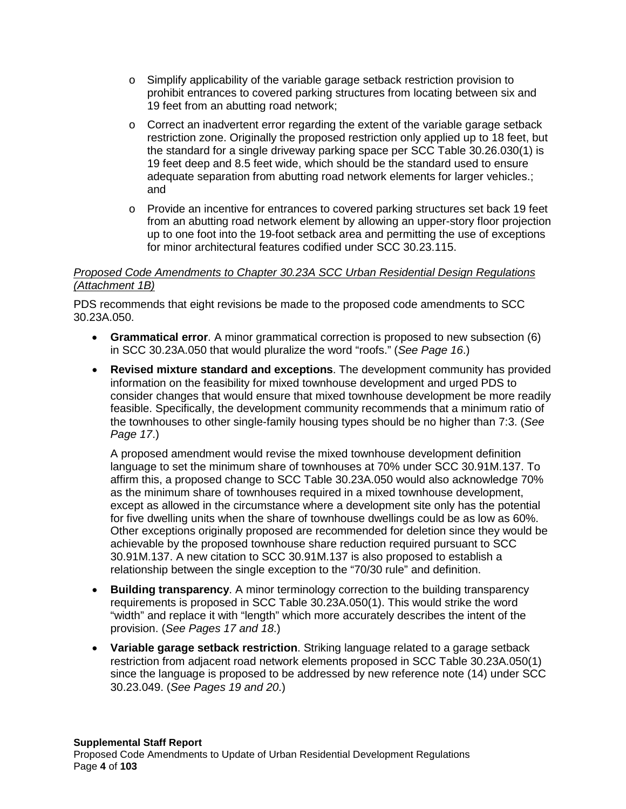- o Simplify applicability of the variable garage setback restriction provision to prohibit entrances to covered parking structures from locating between six and 19 feet from an abutting road network;
- $\circ$  Correct an inadvertent error regarding the extent of the variable garage setback restriction zone. Originally the proposed restriction only applied up to 18 feet, but the standard for a single driveway parking space per SCC Table 30.26.030(1) is 19 feet deep and 8.5 feet wide, which should be the standard used to ensure adequate separation from abutting road network elements for larger vehicles.; and
- o Provide an incentive for entrances to covered parking structures set back 19 feet from an abutting road network element by allowing an upper-story floor projection up to one foot into the 19-foot setback area and permitting the use of exceptions for minor architectural features codified under SCC 30.23.115.

### *Proposed Code Amendments to Chapter 30.23A SCC Urban Residential Design Regulations (Attachment 1B)*

PDS recommends that eight revisions be made to the proposed code amendments to SCC 30.23A.050.

- **Grammatical error**. A minor grammatical correction is proposed to new subsection (6) in SCC 30.23A.050 that would pluralize the word "roofs." (*See Page 16*.)
- **Revised mixture standard and exceptions**. The development community has provided information on the feasibility for mixed townhouse development and urged PDS to consider changes that would ensure that mixed townhouse development be more readily feasible. Specifically, the development community recommends that a minimum ratio of the townhouses to other single-family housing types should be no higher than 7:3. (*See Page 17*.)

A proposed amendment would revise the mixed townhouse development definition language to set the minimum share of townhouses at 70% under SCC 30.91M.137. To affirm this, a proposed change to SCC Table 30.23A.050 would also acknowledge 70% as the minimum share of townhouses required in a mixed townhouse development, except as allowed in the circumstance where a development site only has the potential for five dwelling units when the share of townhouse dwellings could be as low as 60%. Other exceptions originally proposed are recommended for deletion since they would be achievable by the proposed townhouse share reduction required pursuant to SCC 30.91M.137. A new citation to SCC 30.91M.137 is also proposed to establish a relationship between the single exception to the "70/30 rule" and definition.

- **Building transparency**. A minor terminology correction to the building transparency requirements is proposed in SCC Table 30.23A.050(1). This would strike the word "width" and replace it with "length" which more accurately describes the intent of the provision. (*See Pages 17 and 18*.)
- **Variable garage setback restriction**. Striking language related to a garage setback restriction from adjacent road network elements proposed in SCC Table 30.23A.050(1) since the language is proposed to be addressed by new reference note (14) under SCC 30.23.049. (*See Pages 19 and 20*.)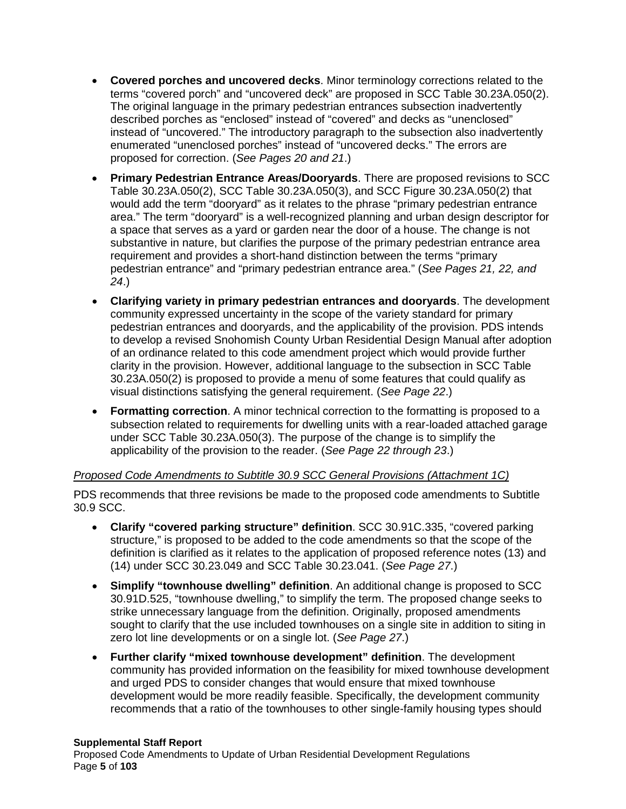- **Covered porches and uncovered decks**. Minor terminology corrections related to the terms "covered porch" and "uncovered deck" are proposed in SCC Table 30.23A.050(2). The original language in the primary pedestrian entrances subsection inadvertently described porches as "enclosed" instead of "covered" and decks as "unenclosed" instead of "uncovered." The introductory paragraph to the subsection also inadvertently enumerated "unenclosed porches" instead of "uncovered decks." The errors are proposed for correction. (*See Pages 20 and 21*.)
- **Primary Pedestrian Entrance Areas/Dooryards**. There are proposed revisions to SCC Table 30.23A.050(2), SCC Table 30.23A.050(3), and SCC Figure 30.23A.050(2) that would add the term "dooryard" as it relates to the phrase "primary pedestrian entrance area." The term "dooryard" is a well-recognized planning and urban design descriptor for a space that serves as a yard or garden near the door of a house. The change is not substantive in nature, but clarifies the purpose of the primary pedestrian entrance area requirement and provides a short-hand distinction between the terms "primary pedestrian entrance" and "primary pedestrian entrance area." (*See Pages 21, 22, and 24*.)
- **Clarifying variety in primary pedestrian entrances and dooryards**. The development community expressed uncertainty in the scope of the variety standard for primary pedestrian entrances and dooryards, and the applicability of the provision. PDS intends to develop a revised Snohomish County Urban Residential Design Manual after adoption of an ordinance related to this code amendment project which would provide further clarity in the provision. However, additional language to the subsection in SCC Table 30.23A.050(2) is proposed to provide a menu of some features that could qualify as visual distinctions satisfying the general requirement. (*See Page 22*.)
- **Formatting correction**. A minor technical correction to the formatting is proposed to a subsection related to requirements for dwelling units with a rear-loaded attached garage under SCC Table 30.23A.050(3). The purpose of the change is to simplify the applicability of the provision to the reader. (*See Page 22 through 23*.)

### *Proposed Code Amendments to Subtitle 30.9 SCC General Provisions (Attachment 1C)*

PDS recommends that three revisions be made to the proposed code amendments to Subtitle 30.9 SCC.

- **Clarify "covered parking structure" definition**. SCC 30.91C.335, "covered parking structure," is proposed to be added to the code amendments so that the scope of the definition is clarified as it relates to the application of proposed reference notes (13) and (14) under SCC 30.23.049 and SCC Table 30.23.041. (*See Page 27*.)
- **Simplify "townhouse dwelling" definition**. An additional change is proposed to SCC 30.91D.525, "townhouse dwelling," to simplify the term. The proposed change seeks to strike unnecessary language from the definition. Originally, proposed amendments sought to clarify that the use included townhouses on a single site in addition to siting in zero lot line developments or on a single lot. (*See Page 27*.)
- **Further clarify "mixed townhouse development" definition**. The development community has provided information on the feasibility for mixed townhouse development and urged PDS to consider changes that would ensure that mixed townhouse development would be more readily feasible. Specifically, the development community recommends that a ratio of the townhouses to other single-family housing types should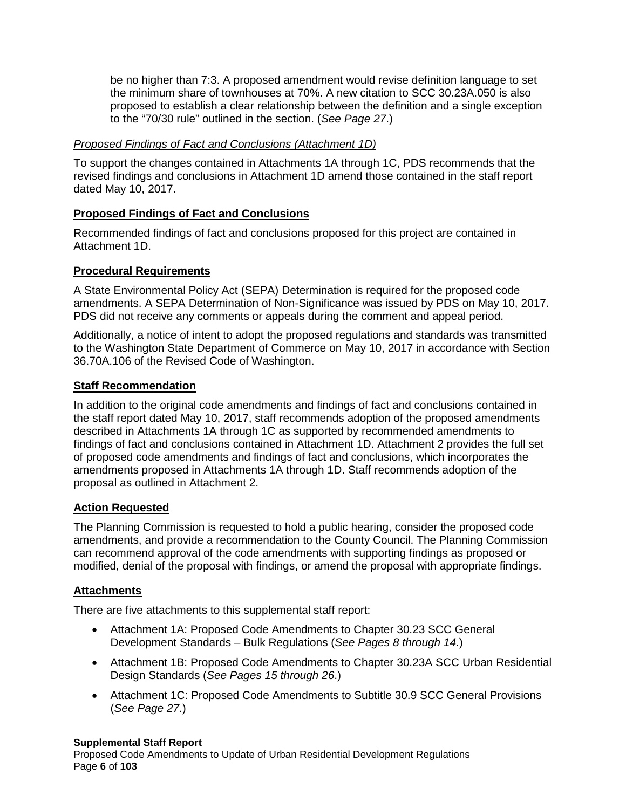be no higher than 7:3. A proposed amendment would revise definition language to set the minimum share of townhouses at 70%. A new citation to SCC 30.23A.050 is also proposed to establish a clear relationship between the definition and a single exception to the "70/30 rule" outlined in the section. (*See Page 27*.)

### *Proposed Findings of Fact and Conclusions (Attachment 1D)*

To support the changes contained in Attachments 1A through 1C, PDS recommends that the revised findings and conclusions in Attachment 1D amend those contained in the staff report dated May 10, 2017.

# **Proposed Findings of Fact and Conclusions**

Recommended findings of fact and conclusions proposed for this project are contained in Attachment 1D.

### **Procedural Requirements**

A State Environmental Policy Act (SEPA) Determination is required for the proposed code amendments. A SEPA Determination of Non-Significance was issued by PDS on May 10, 2017. PDS did not receive any comments or appeals during the comment and appeal period.

Additionally, a notice of intent to adopt the proposed regulations and standards was transmitted to the Washington State Department of Commerce on May 10, 2017 in accordance with Section 36.70A.106 of the Revised Code of Washington.

### **Staff Recommendation**

In addition to the original code amendments and findings of fact and conclusions contained in the staff report dated May 10, 2017, staff recommends adoption of the proposed amendments described in Attachments 1A through 1C as supported by recommended amendments to findings of fact and conclusions contained in Attachment 1D. Attachment 2 provides the full set of proposed code amendments and findings of fact and conclusions, which incorporates the amendments proposed in Attachments 1A through 1D. Staff recommends adoption of the proposal as outlined in Attachment 2.

### **Action Requested**

The Planning Commission is requested to hold a public hearing, consider the proposed code amendments, and provide a recommendation to the County Council. The Planning Commission can recommend approval of the code amendments with supporting findings as proposed or modified, denial of the proposal with findings, or amend the proposal with appropriate findings.

### **Attachments**

There are five attachments to this supplemental staff report:

- Attachment 1A: Proposed Code Amendments to Chapter 30.23 SCC General Development Standards – Bulk Regulations (*See Pages 8 through 14*.)
- Attachment 1B: Proposed Code Amendments to Chapter 30.23A SCC Urban Residential Design Standards (*See Pages 15 through 26*.)
- Attachment 1C: Proposed Code Amendments to Subtitle 30.9 SCC General Provisions (*See Page 27*.)

#### **Supplemental Staff Report**

Proposed Code Amendments to Update of Urban Residential Development Regulations Page **6** of **103**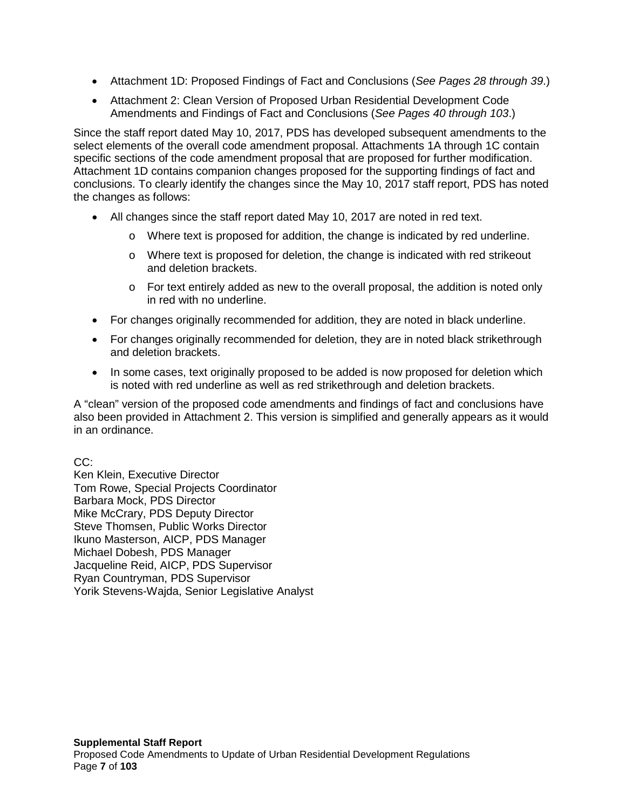- Attachment 1D: Proposed Findings of Fact and Conclusions (*See Pages 28 through 39*.)
- Attachment 2: Clean Version of Proposed Urban Residential Development Code Amendments and Findings of Fact and Conclusions (*See Pages 40 through 103*.)

Since the staff report dated May 10, 2017, PDS has developed subsequent amendments to the select elements of the overall code amendment proposal. Attachments 1A through 1C contain specific sections of the code amendment proposal that are proposed for further modification. Attachment 1D contains companion changes proposed for the supporting findings of fact and conclusions. To clearly identify the changes since the May 10, 2017 staff report, PDS has noted the changes as follows:

- All changes since the staff report dated May 10, 2017 are noted in red text.
	- o Where text is proposed for addition, the change is indicated by red underline.
	- o Where text is proposed for deletion, the change is indicated with red strikeout and deletion brackets.
	- $\circ$  For text entirely added as new to the overall proposal, the addition is noted only in red with no underline.
- For changes originally recommended for addition, they are noted in black underline.
- For changes originally recommended for deletion, they are in noted black strikethrough and deletion brackets.
- In some cases, text originally proposed to be added is now proposed for deletion which is noted with red underline as well as red strikethrough and deletion brackets.

A "clean" version of the proposed code amendments and findings of fact and conclusions have also been provided in Attachment 2. This version is simplified and generally appears as it would in an ordinance.

CC:

Ken Klein, Executive Director Tom Rowe, Special Projects Coordinator Barbara Mock, PDS Director Mike McCrary, PDS Deputy Director Steve Thomsen, Public Works Director Ikuno Masterson, AICP, PDS Manager Michael Dobesh, PDS Manager Jacqueline Reid, AICP, PDS Supervisor Ryan Countryman, PDS Supervisor Yorik Stevens-Wajda, Senior Legislative Analyst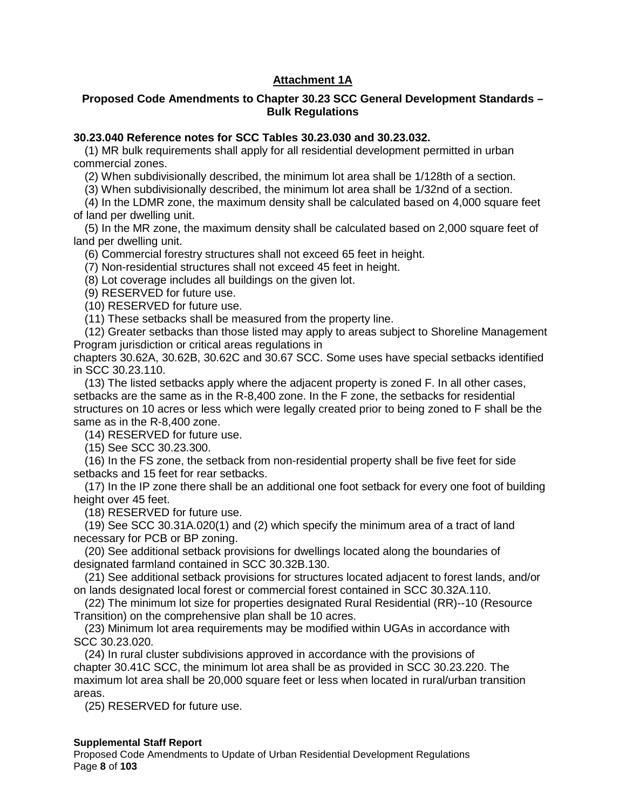### **Attachment 1A**

#### **Proposed Code Amendments to Chapter 30.23 SCC General Development Standards – Bulk Regulations**

#### **30.23.040 Reference notes for SCC Tables 30.23.030 and 30.23.032.**

(1) MR bulk requirements shall apply for all residential development permitted in urban commercial zones.

(2) When subdivisionally described, the minimum lot area shall be 1/128th of a section.

(3) When subdivisionally described, the minimum lot area shall be 1/32nd of a section.

(4) In the LDMR zone, the maximum density shall be calculated based on 4,000 square feet of land per dwelling unit.

(5) In the MR zone, the maximum density shall be calculated based on 2,000 square feet of land per dwelling unit.

(6) Commercial forestry structures shall not exceed 65 feet in height.

(7) Non-residential structures shall not exceed 45 feet in height.

(8) Lot coverage includes all buildings on the given lot.

(9) RESERVED for future use.

(10) RESERVED for future use.

(11) These setbacks shall be measured from the property line.

(12) Greater setbacks than those listed may apply to areas subject to Shoreline Management Program jurisdiction or critical areas regulations in

chapters 30.62A, 30.62B, 30.62C and 30.67 SCC. Some uses have special setbacks identified in SCC 30.23.110.

(13) The listed setbacks apply where the adjacent property is zoned F. In all other cases, setbacks are the same as in the R-8,400 zone. In the F zone, the setbacks for residential structures on 10 acres or less which were legally created prior to being zoned to F shall be the same as in the R-8,400 zone.

(14) RESERVED for future use.

(15) See SCC 30.23.300.

(16) In the FS zone, the setback from non-residential property shall be five feet for side setbacks and 15 feet for rear setbacks.

(17) In the IP zone there shall be an additional one foot setback for every one foot of building height over 45 feet.

(18) RESERVED for future use.

(19) See SCC 30.31A.020(1) and (2) which specify the minimum area of a tract of land necessary for PCB or BP zoning.

(20) See additional setback provisions for dwellings located along the boundaries of designated farmland contained in SCC 30.32B.130.

(21) See additional setback provisions for structures located adjacent to forest lands, and/or on lands designated local forest or commercial forest contained in SCC 30.32A.110.

(22) The minimum lot size for properties designated Rural Residential (RR)--10 (Resource Transition) on the comprehensive plan shall be 10 acres.

(23) Minimum lot area requirements may be modified within UGAs in accordance with SCC 30.23.020.

(24) In rural cluster subdivisions approved in accordance with the provisions of chapter 30.41C SCC, the minimum lot area shall be as provided in SCC 30.23.220. The maximum lot area shall be 20,000 square feet or less when located in rural/urban transition areas.

(25) RESERVED for future use.

#### **Supplemental Staff Report**

Proposed Code Amendments to Update of Urban Residential Development Regulations Page **8** of **103**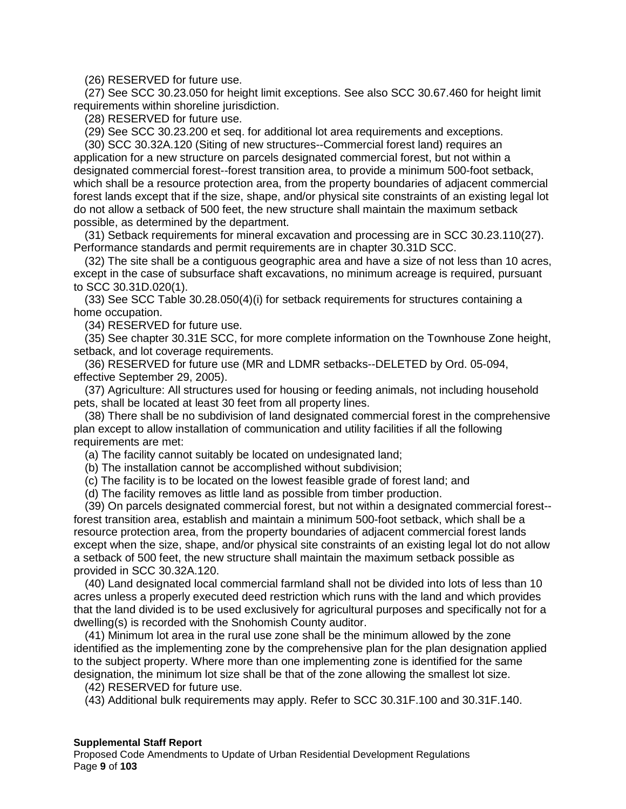(26) RESERVED for future use.

(27) See SCC 30.23.050 for height limit exceptions. See also SCC 30.67.460 for height limit requirements within shoreline jurisdiction.

(28) RESERVED for future use.

(29) See SCC 30.23.200 et seq. for additional lot area requirements and exceptions.

(30) SCC 30.32A.120 (Siting of new structures--Commercial forest land) requires an application for a new structure on parcels designated commercial forest, but not within a designated commercial forest--forest transition area, to provide a minimum 500-foot setback, which shall be a resource protection area, from the property boundaries of adjacent commercial forest lands except that if the size, shape, and/or physical site constraints of an existing legal lot do not allow a setback of 500 feet, the new structure shall maintain the maximum setback possible, as determined by the department.

(31) Setback requirements for mineral excavation and processing are in SCC 30.23.110(27). Performance standards and permit requirements are in chapter 30.31D SCC.

(32) The site shall be a contiguous geographic area and have a size of not less than 10 acres, except in the case of subsurface shaft excavations, no minimum acreage is required, pursuant to SCC 30.31D.020(1).

(33) See SCC Table 30.28.050(4)(i) for setback requirements for structures containing a home occupation.

(34) RESERVED for future use.

(35) See chapter 30.31E SCC, for more complete information on the Townhouse Zone height, setback, and lot coverage requirements.

(36) RESERVED for future use (MR and LDMR setbacks--DELETED by Ord. 05-094, effective September 29, 2005).

(37) Agriculture: All structures used for housing or feeding animals, not including household pets, shall be located at least 30 feet from all property lines.

(38) There shall be no subdivision of land designated commercial forest in the comprehensive plan except to allow installation of communication and utility facilities if all the following requirements are met:

(a) The facility cannot suitably be located on undesignated land;

(b) The installation cannot be accomplished without subdivision;

(c) The facility is to be located on the lowest feasible grade of forest land; and

(d) The facility removes as little land as possible from timber production.

(39) On parcels designated commercial forest, but not within a designated commercial forest- forest transition area, establish and maintain a minimum 500-foot setback, which shall be a resource protection area, from the property boundaries of adjacent commercial forest lands except when the size, shape, and/or physical site constraints of an existing legal lot do not allow a setback of 500 feet, the new structure shall maintain the maximum setback possible as provided in SCC 30.32A.120.

(40) Land designated local commercial farmland shall not be divided into lots of less than 10 acres unless a properly executed deed restriction which runs with the land and which provides that the land divided is to be used exclusively for agricultural purposes and specifically not for a dwelling(s) is recorded with the Snohomish County auditor.

(41) Minimum lot area in the rural use zone shall be the minimum allowed by the zone identified as the implementing zone by the comprehensive plan for the plan designation applied to the subject property. Where more than one implementing zone is identified for the same designation, the minimum lot size shall be that of the zone allowing the smallest lot size.

(42) RESERVED for future use.

(43) Additional bulk requirements may apply. Refer to SCC 30.31F.100 and 30.31F.140.

#### **Supplemental Staff Report**

Proposed Code Amendments to Update of Urban Residential Development Regulations Page **9** of **103**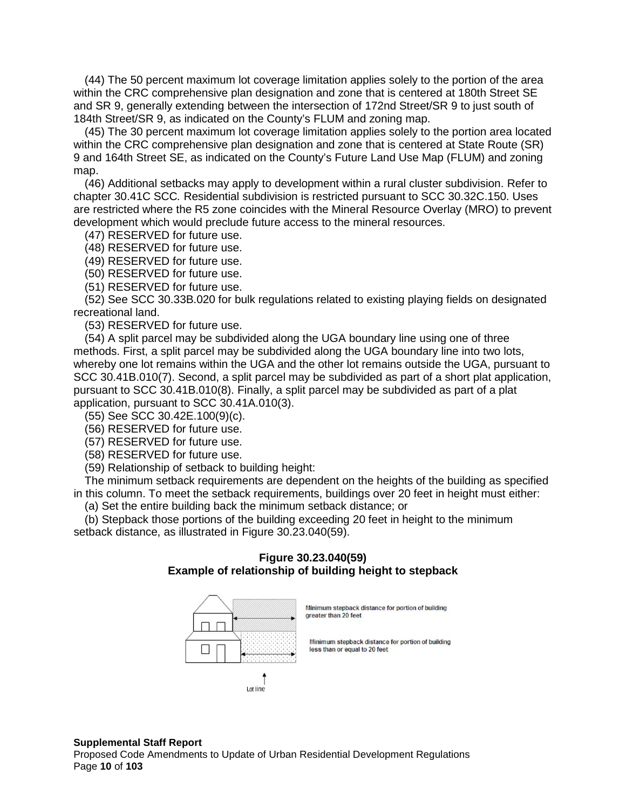(44) The 50 percent maximum lot coverage limitation applies solely to the portion of the area within the CRC comprehensive plan designation and zone that is centered at 180th Street SE and SR 9, generally extending between the intersection of 172nd Street/SR 9 to just south of 184th Street/SR 9, as indicated on the County's FLUM and zoning map.

(45) The 30 percent maximum lot coverage limitation applies solely to the portion area located within the CRC comprehensive plan designation and zone that is centered at State Route (SR) 9 and 164th Street SE, as indicated on the County's Future Land Use Map (FLUM) and zoning map.

(46) Additional setbacks may apply to development within a rural cluster subdivision. Refer to chapter 30.41C SCC*.* Residential subdivision is restricted pursuant to SCC 30.32C.150. Uses are restricted where the R5 zone coincides with the Mineral Resource Overlay (MRO) to prevent development which would preclude future access to the mineral resources.

(47) RESERVED for future use.

(48) RESERVED for future use.

(49) RESERVED for future use.

(50) RESERVED for future use.

(51) RESERVED for future use.

(52) See SCC 30.33B.020 for bulk regulations related to existing playing fields on designated recreational land.

(53) RESERVED for future use.

(54) A split parcel may be subdivided along the UGA boundary line using one of three methods. First, a split parcel may be subdivided along the UGA boundary line into two lots, whereby one lot remains within the UGA and the other lot remains outside the UGA, pursuant to SCC 30.41B.010(7). Second, a split parcel may be subdivided as part of a short plat application, pursuant to SCC 30.41B.010(8). Finally, a split parcel may be subdivided as part of a plat application, pursuant to SCC 30.41A.010(3).

(55) See SCC 30.42E.100(9)(c).

(56) RESERVED for future use.

(57) RESERVED for future use.

(58) RESERVED for future use.

(59) Relationship of setback to building height:

The minimum setback requirements are dependent on the heights of the building as specified in this column. To meet the setback requirements, buildings over 20 feet in height must either:

(a) Set the entire building back the minimum setback distance; or

(b) Stepback those portions of the building exceeding 20 feet in height to the minimum setback distance, as illustrated in Figure 30.23.040(59).

#### **Figure 30.23.040(59) Example of relationship of building height to stepback**



#### **Supplemental Staff Report**

Proposed Code Amendments to Update of Urban Residential Development Regulations Page **10** of **103**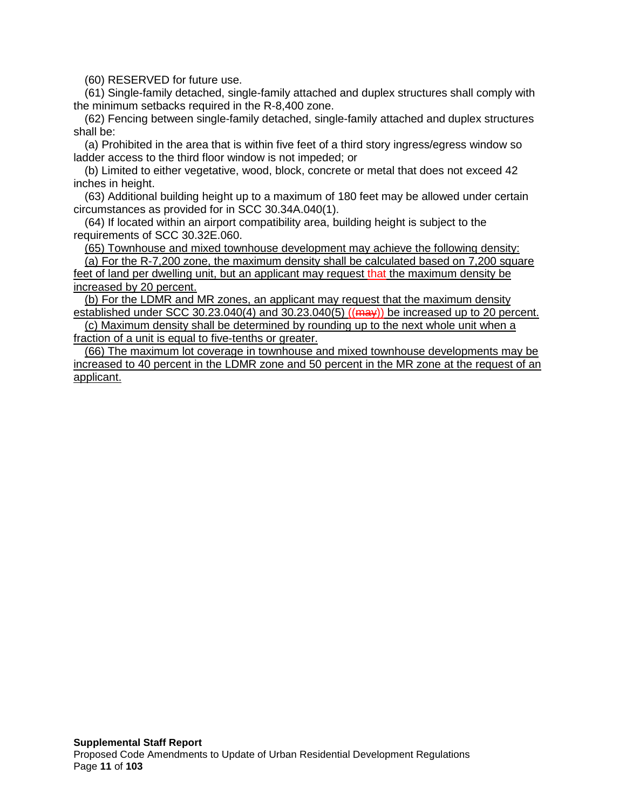(60) RESERVED for future use.

(61) Single-family detached, single-family attached and duplex structures shall comply with the minimum setbacks required in the R-8,400 zone.

(62) Fencing between single-family detached, single-family attached and duplex structures shall be:

(a) Prohibited in the area that is within five feet of a third story ingress/egress window so ladder access to the third floor window is not impeded; or

(b) Limited to either vegetative, wood, block, concrete or metal that does not exceed 42 inches in height.

(63) Additional building height up to a maximum of 180 feet may be allowed under certain circumstances as provided for in SCC 30.34A.040(1).

(64) If located within an airport compatibility area, building height is subject to the requirements of SCC 30.32E.060.

(65) Townhouse and mixed townhouse development may achieve the following density:

(a) For the R-7,200 zone, the maximum density shall be calculated based on 7,200 square feet of land per dwelling unit, but an applicant may request that the maximum density be increased by 20 percent.

(b) For the LDMR and MR zones, an applicant may request that the maximum density established under SCC 30.23.040(4) and 30.23.040(5)  $((\text{max}))$  be increased up to 20 percent.

(c) Maximum density shall be determined by rounding up to the next whole unit when a fraction of a unit is equal to five-tenths or greater.

(66) The maximum lot coverage in townhouse and mixed townhouse developments may be increased to 40 percent in the LDMR zone and 50 percent in the MR zone at the request of an applicant.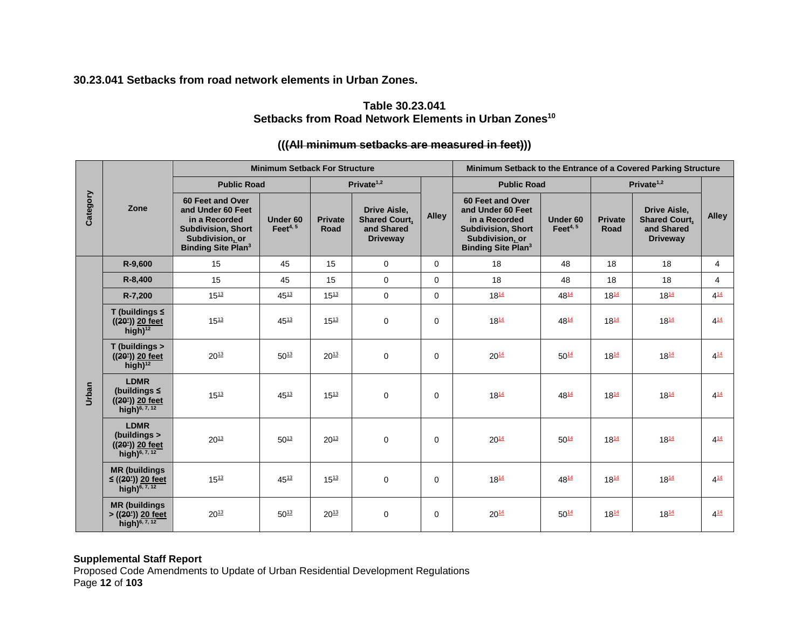**30.23.041 Setbacks from road network elements in Urban Zones.**

# **Table 30.23.041** Setbacks from Road Network Elements in Urban Zones<sup>10</sup>

# **(((All minimum setbacks are measured in feet)))**

|          |                                                                                                                                                                                                                                                                                                                                                                                                 | <b>Minimum Setback For Structure</b> |           |           |               |          | Minimum Setback to the Entrance of a Covered Parking Structure                                             |                                    |                        |                                                                              |                |
|----------|-------------------------------------------------------------------------------------------------------------------------------------------------------------------------------------------------------------------------------------------------------------------------------------------------------------------------------------------------------------------------------------------------|--------------------------------------|-----------|-----------|---------------|----------|------------------------------------------------------------------------------------------------------------|------------------------------------|------------------------|------------------------------------------------------------------------------|----------------|
|          | Private <sup>1,2</sup><br><b>Public Road</b><br>60 Feet and Over<br>Zone<br>and Under 60 Feet<br><b>Drive Aisle,</b><br><b>Alley</b><br><b>Shared Court,</b><br>in a Recorded<br>Under 60<br><b>Private</b><br>in a Recorded<br>Feet $4, 5$<br>and Shared<br><b>Subdivision, Short</b><br>Road<br>Subdivision, or<br><b>Driveway</b><br>Subdivision, or<br><b>Binding Site Plan<sup>3</sup></b> | <b>Public Road</b>                   |           |           | Private $1,2$ |          |                                                                                                            |                                    |                        |                                                                              |                |
| Category |                                                                                                                                                                                                                                                                                                                                                                                                 |                                      |           |           |               |          | 60 Feet and Over<br>and Under 60 Feet<br><b>Subdivision, Short</b><br><b>Binding Site Plan<sup>3</sup></b> | Under <sub>60</sub><br>Feet $4, 5$ | <b>Private</b><br>Road | <b>Drive Aisle,</b><br><b>Shared Court,</b><br>and Shared<br><b>Driveway</b> | <b>Alley</b>   |
|          | R-9,600                                                                                                                                                                                                                                                                                                                                                                                         | 15                                   | 45        | 15        | $\mathbf 0$   | $\Omega$ | 18                                                                                                         | 48                                 | 18                     | 18                                                                           | $\overline{4}$ |
|          | R-8,400                                                                                                                                                                                                                                                                                                                                                                                         | 15                                   | 45        | 15        | $\Omega$      | $\Omega$ | 18                                                                                                         | 48                                 | 18                     | 18                                                                           | 4              |
|          | R-7,200                                                                                                                                                                                                                                                                                                                                                                                         | $15^{13}$                            | $45^{13}$ | $15^{13}$ | $\mathbf 0$   | $\Omega$ | $18^{14}$                                                                                                  | 4814                               | $18^{14}$              | $18^{14}$                                                                    | $4^{14}$       |
| Urban    | T (buildings $\leq$<br>$((20))$ 20 feet<br>high) $12$                                                                                                                                                                                                                                                                                                                                           | $15^{13}$                            | $45^{13}$ | $15^{13}$ | $\mathbf 0$   | $\Omega$ | $18^{14}$                                                                                                  | $48^{14}$                          | $18^{14}$              | $18^{14}$                                                                    | $4^{14}$       |
|          | T (buildings ><br>$((20))$ 20 feet<br>high) $12$                                                                                                                                                                                                                                                                                                                                                | $20^{13}$                            | $50^{13}$ | $20^{13}$ | $\mathbf 0$   | $\Omega$ | $20^{14}$                                                                                                  | $50^{14}$                          | $18^{14}$              | $18^{14}$                                                                    | $4^{14}$       |
|          | <b>LDMR</b><br>(buildings $\leq$<br>$((20))$ 20 feet<br>high) <sup>6, 7, 12</sup>                                                                                                                                                                                                                                                                                                               | $15^{13}$                            | $45^{13}$ | $15^{13}$ | $\mathbf 0$   | $\Omega$ | $18^{14}$                                                                                                  | 4814                               | $18^{14}$              | $18^{14}$                                                                    | $4^{14}$       |
|          | <b>LDMR</b><br>(buildings ><br>$((202))$ 20 feet<br>high) <sup>6, 7, 12</sup>                                                                                                                                                                                                                                                                                                                   | $20^{13}$                            | $50^{13}$ | $20^{13}$ | $\mathbf 0$   | $\Omega$ | $20^{14}$                                                                                                  | $50^{14}$                          | $18^{14}$              | $18^{14}$                                                                    | $4^{14}$       |
|          | <b>MR (buildings)</b><br>$\leq$ ((20 <sup>2</sup> )) 20 feet<br>high) $^{6,7,12}$                                                                                                                                                                                                                                                                                                               | $15^{13}$                            | $45^{13}$ | $15^{13}$ | $\mathbf 0$   | $\Omega$ | $18^{14}$                                                                                                  | $48^{14}$                          | $18^{14}$              | $18^{14}$                                                                    | $4^{14}$       |
|          | <b>MR</b> (buildings<br>> ((20')) 20 feet<br>high) $^{6,7,12}$                                                                                                                                                                                                                                                                                                                                  | $20^{13}$                            | $50^{13}$ | $20^{13}$ | 0             | 0        | $20^{14}$                                                                                                  | $50^{14}$                          | $18^{14}$              | $18^{14}$                                                                    | $4^{14}$       |

#### **Supplemental Staff Report**

Proposed Code Amendments to Update of Urban Residential Development Regulations Page **12** of **103**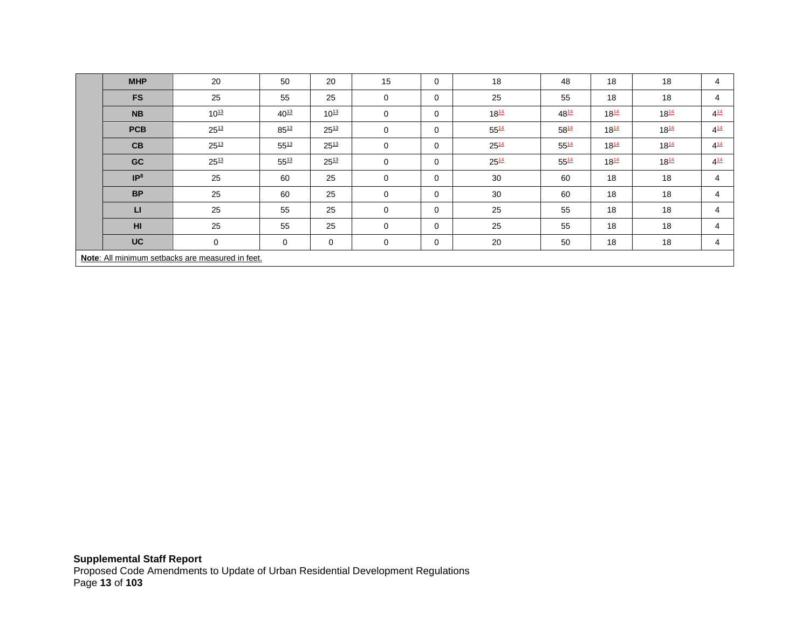| <b>MHP</b>                                       | 20        | 50        | 20        | 15       | 0        | 18        | 48        | 18        | 18        | 4        |
|--------------------------------------------------|-----------|-----------|-----------|----------|----------|-----------|-----------|-----------|-----------|----------|
| <b>FS</b>                                        | 25        | 55        | 25        | 0        | 0        | 25        | 55        | 18        | 18        | 4        |
| <b>NB</b>                                        | $10^{13}$ | $40^{13}$ | $10^{13}$ | 0        | 0        | $18^{14}$ | 4814      | $18^{14}$ | $18^{14}$ | $4^{14}$ |
| <b>PCB</b>                                       | $25^{13}$ | $85^{13}$ | $25^{13}$ | 0        | 0        | $55^{14}$ | 5814      | $18^{14}$ | $18^{14}$ | $4^{14}$ |
| CB                                               | $25^{13}$ | $55^{13}$ | $25^{13}$ | 0        | 0        | $25^{14}$ | 5514      | $18^{14}$ | $18^{14}$ | $4^{14}$ |
| GC                                               | $25^{13}$ | $55^{13}$ | $25^{13}$ | 0        | $\Omega$ | $25^{14}$ | $55^{14}$ | $18^{14}$ | $18^{14}$ | $4^{14}$ |
| IP <sup>8</sup>                                  | 25        | 60        | 25        | 0        | 0        | 30        | 60        | 18        | 18        | 4        |
| <b>BP</b>                                        | 25        | 60        | 25        | 0        | 0        | 30        | 60        | 18        | 18        | 4        |
| $\mathbf{L}$                                     | 25        | 55        | 25        | $\Omega$ | $\Omega$ | 25        | 55        | 18        | 18        | 4        |
| H <sub>II</sub>                                  | 25        | 55        | 25        | 0        | 0        | 25        | 55        | 18        | 18        | 4        |
| <b>UC</b>                                        | 0         | 0         | 0         | 0        | 0        | 20        | 50        | 18        | 18        | 4        |
| Note: All minimum setbacks are measured in feet. |           |           |           |          |          |           |           |           |           |          |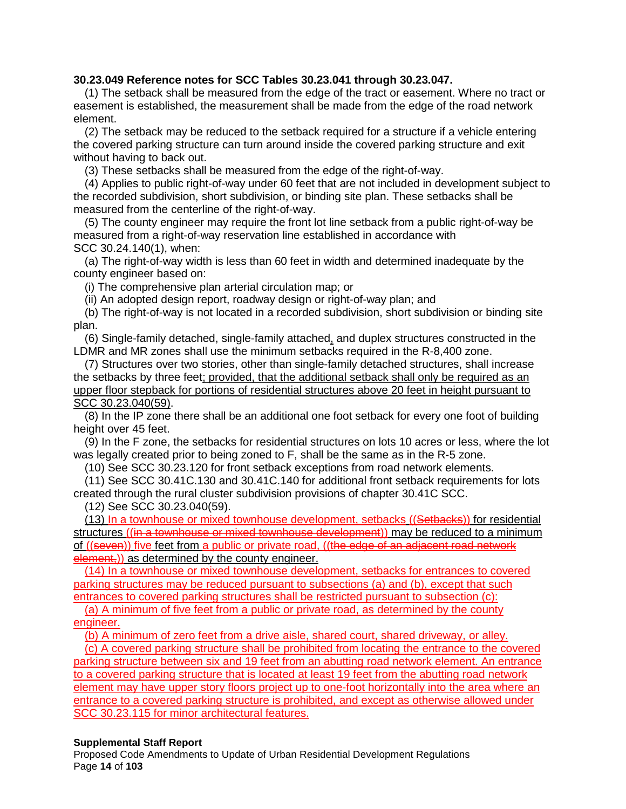#### **30.23.049 Reference notes for SCC Tables 30.23.041 through 30.23.047.**

(1) The setback shall be measured from the edge of the tract or easement. Where no tract or easement is established, the measurement shall be made from the edge of the road network element.

(2) The setback may be reduced to the setback required for a structure if a vehicle entering the covered parking structure can turn around inside the covered parking structure and exit without having to back out.

(3) These setbacks shall be measured from the edge of the right-of-way.

(4) Applies to public right-of-way under 60 feet that are not included in development subject to the recorded subdivision, short subdivision, or binding site plan. These setbacks shall be measured from the centerline of the right-of-way.

(5) The county engineer may require the front lot line setback from a public right-of-way be measured from a right-of-way reservation line established in accordance with SCC [30.24.140\(](http://www.codepublishing.com/WA/SnohomishCounty/html/SnohomishCounty30/SnohomishCounty3024.html)1), when:

(a) The right-of-way width is less than 60 feet in width and determined inadequate by the county engineer based on:

(i) The comprehensive plan arterial circulation map; or

(ii) An adopted design report, roadway design or right-of-way plan; and

(b) The right-of-way is not located in a recorded subdivision, short subdivision or binding site plan.

(6) Single-family detached, single-family attached, and duplex structures constructed in the LDMR and MR zones shall use the minimum setbacks required in the R-8,400 zone.

(7) Structures over two stories, other than single-family detached structures, shall increase the setbacks by three feet; provided, that the additional setback shall only be required as an upper floor stepback for portions of residential structures above 20 feet in height pursuant to SCC 30.23.040(59).

(8) In the IP zone there shall be an additional one foot setback for every one foot of building height over 45 feet.

(9) In the F zone, the setbacks for residential structures on lots 10 acres or less, where the lot was legally created prior to being zoned to F, shall be the same as in the R-5 zone.

(10) See SCC [30.23.120](http://www.codepublishing.com/WA/SnohomishCounty/html/SnohomishCounty30/SnohomishCounty3023.html) for front setback exceptions from road network elements.

(11) See SCC [30.41C.130](http://www.codepublishing.com/WA/SnohomishCounty/html/SnohomishCounty30/SnohomishCounty3041C.html) and [30.41C.140](http://www.codepublishing.com/WA/SnohomishCounty/html/SnohomishCounty30/SnohomishCounty3041C.html) for additional front setback requirements for lots created through the rural cluster subdivision provisions of chapter [30.41C](http://www.codepublishing.com/WA/SnohomishCounty/html/SnohomishCounty30/SnohomishCounty3041C.html) SCC.

(12) See SCC [30.23.040\(](http://www.codepublishing.com/WA/SnohomishCounty/html/SnohomishCounty30/SnohomishCounty3023.html)59).

(13) In a townhouse or mixed townhouse development, setbacks ((Setbacks)) for residential structures ((in a townhouse or mixed townhouse development)) may be reduced to a minimum of ((seven)) five feet from a public or private road, ((the edge of an adjacent road network element,)) as determined by the county engineer.

(14) In a townhouse or mixed townhouse development, setbacks for entrances to covered parking structures may be reduced pursuant to subsections (a) and (b), except that such entrances to covered parking structures shall be restricted pursuant to subsection (c):

(a) A minimum of five feet from a public or private road, as determined by the county engineer.

(b) A minimum of zero feet from a drive aisle, shared court, shared driveway, or alley.

(c) A covered parking structure shall be prohibited from locating the entrance to the covered parking structure between six and 19 feet from an abutting road network element. An entrance to a covered parking structure that is located at least 19 feet from the abutting road network element may have upper story floors project up to one-foot horizontally into the area where an entrance to a covered parking structure is prohibited, and except as otherwise allowed under SCC 30.23.115 for minor architectural features.

#### **Supplemental Staff Report**

Proposed Code Amendments to Update of Urban Residential Development Regulations Page **14** of **103**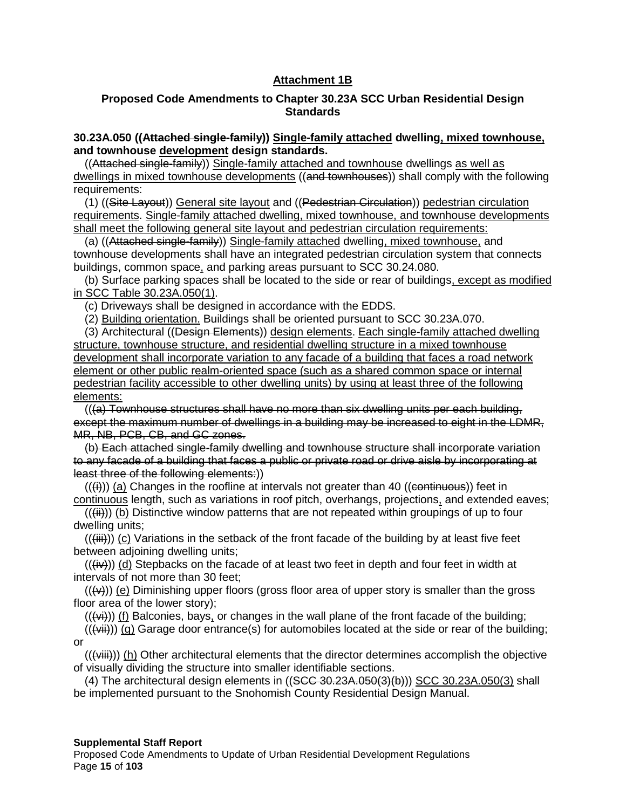# **Attachment 1B**

### **Proposed Code Amendments to Chapter 30.23A SCC Urban Residential Design Standards**

### **30.23A.050 ((Attached single-family)) Single-family attached dwelling, mixed townhouse, and townhouse development design standards.**

((Attached single-family)) Single-family attached and townhouse dwellings as well as dwellings in mixed townhouse developments ((and townhouses)) shall comply with the following requirements:

(1) ((Site Layout)) General site layout and ((Pedestrian Circulation)) pedestrian circulation requirements. Single-family attached dwelling, mixed townhouse, and townhouse developments shall meet the following general site layout and pedestrian circulation requirements:

(a) ((Attached single-family)) Single-family attached dwelling, mixed townhouse, and townhouse developments shall have an integrated pedestrian circulation system that connects buildings, common space, and parking areas pursuant to SCC 30.24.080.

(b) Surface parking spaces shall be located to the side or rear of buildings, except as modified in SCC Table 30.23A.050(1).

(c) Driveways shall be designed in accordance with the EDDS.

(2) Building orientation. Buildings shall be oriented pursuant to SCC 30.23A.070.

(3) Architectural ((Design Elements)) design elements. Each single-family attached dwelling structure, townhouse structure, and residential dwelling structure in a mixed townhouse development shall incorporate variation to any facade of a building that faces a road network element or other public realm-oriented space (such as a shared common space or internal pedestrian facility accessible to other dwelling units) by using at least three of the following elements:

 $((a)$  Townhouse structures shall have no more than six dwelling units per each building, except the maximum number of dwellings in a building may be increased to eight in the LDMR, MR, NB, PCB, CB, and GC zones.

(b) Each attached single-family dwelling and townhouse structure shall incorporate variation to any facade of a building that faces a public or private road or drive aisle by incorporating at least three of the following elements:))

 $((\n{ii})$ ) (a) Changes in the roofline at intervals not greater than 40 ((continuous)) feet in continuous length, such as variations in roof pitch, overhangs, projections, and extended eaves;

 $((\n{iii}))$  (b) Distinctive window patterns that are not repeated within groupings of up to four dwelling units;

 $((\n{iii}))$  (c) Variations in the setback of the front facade of the building by at least five feet between adjoining dwelling units;

 $((\n{iv}))$  (d) Stepbacks on the facade of at least two feet in depth and four feet in width at intervals of not more than 30 feet;

 $((\nleftrightarrow))$  (e) Diminishing upper floors (gross floor area of upper story is smaller than the gross floor area of the lower story);

 $((\forall\ddot{\theta}))$  (f) Balconies, bays, or changes in the wall plane of the front facade of the building;

 $((\n\leftrightarrow\rightarrow\n)$  (g) Garage door entrance(s) for automobiles located at the side or rear of the building; or

(((viii))) (h) Other architectural elements that the director determines accomplish the objective of visually dividing the structure into smaller identifiable sections.

 $(4)$  The architectural design elements in  $((SCG-30.23A.050(3)(b)))$  SCC 30.23A.050(3) shall be implemented pursuant to the Snohomish County Residential Design Manual.

#### **Supplemental Staff Report**

Proposed Code Amendments to Update of Urban Residential Development Regulations Page **15** of **103**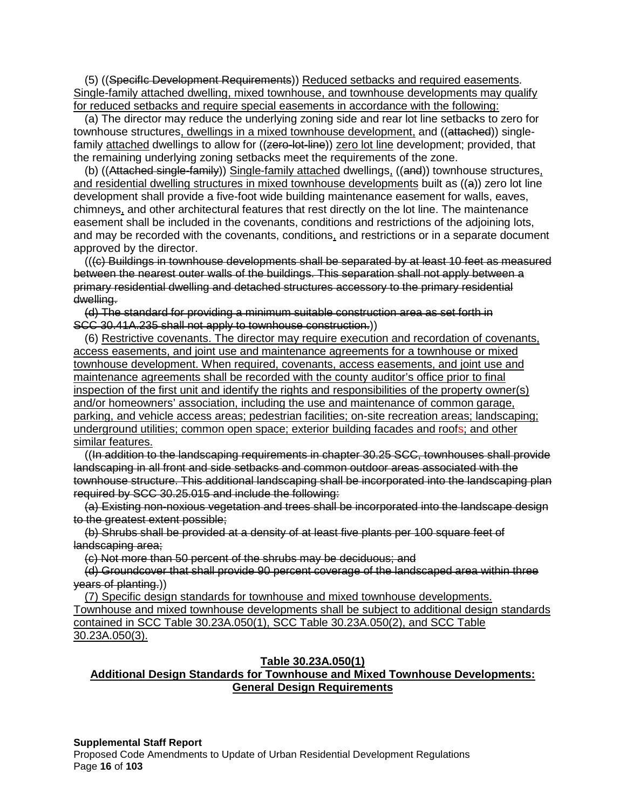(5) ((SpecifIc Development Requirements)) Reduced setbacks and required easements. Single-family attached dwelling, mixed townhouse, and townhouse developments may qualify for reduced setbacks and require special easements in accordance with the following:

(a) The director may reduce the underlying zoning side and rear lot line setbacks to zero for townhouse structures, dwellings in a mixed townhouse development, and ((attached)) singlefamily attached dwellings to allow for ((zero-lot-line)) zero lot line development; provided, that the remaining underlying zoning setbacks meet the requirements of the zone.

(b) ((Attached single-family)) Single-family attached dwellings, ((and)) townhouse structures, and residential dwelling structures in mixed townhouse developments built as  $(\langle a \rangle)$  zero lot line development shall provide a five-foot wide building maintenance easement for walls, eaves, chimneys, and other architectural features that rest directly on the lot line. The maintenance easement shall be included in the covenants, conditions and restrictions of the adjoining lots, and may be recorded with the covenants, conditions, and restrictions or in a separate document approved by the director.

(((c) Buildings in townhouse developments shall be separated by at least 10 feet as measured between the nearest outer walls of the buildings. This separation shall not apply between a primary residential dwelling and detached structures accessory to the primary residential dwelling.

(d) The standard for providing a minimum suitable construction area as set forth in SCC 30.41A.235 shall not apply to townhouse construction.))

(6) Restrictive covenants. The director may require execution and recordation of covenants, access easements, and joint use and maintenance agreements for a townhouse or mixed townhouse development. When required, covenants, access easements, and joint use and maintenance agreements shall be recorded with the county auditor's office prior to final inspection of the first unit and identify the rights and responsibilities of the property owner(s) and/or homeowners' association, including the use and maintenance of common garage, parking, and vehicle access areas; pedestrian facilities; on-site recreation areas; landscaping; underground utilities; common open space; exterior building facades and roofs; and other similar features.

((In addition to the landscaping requirements in chapter 30.25 SCC, townhouses shall provide landscaping in all front and side setbacks and common outdoor areas associated with the townhouse structure. This additional landscaping shall be incorporated into the landscaping plan required by SCC 30.25.015 and include the following:

(a) Existing non-noxious vegetation and trees shall be incorporated into the landscape design to the greatest extent possible;

(b) Shrubs shall be provided at a density of at least five plants per 100 square feet of landscaping area;

(c) Not more than 50 percent of the shrubs may be deciduous; and

(d) Groundcover that shall provide 90 percent coverage of the landscaped area within three years of planting.))

(7) Specific design standards for townhouse and mixed townhouse developments. Townhouse and mixed townhouse developments shall be subject to additional design standards contained in SCC Table 30.23A.050(1), SCC Table 30.23A.050(2), and SCC Table 30.23A.050(3).

#### **Table 30.23A.050(1)**

# **Additional Design Standards for Townhouse and Mixed Townhouse Developments: General Design Requirements**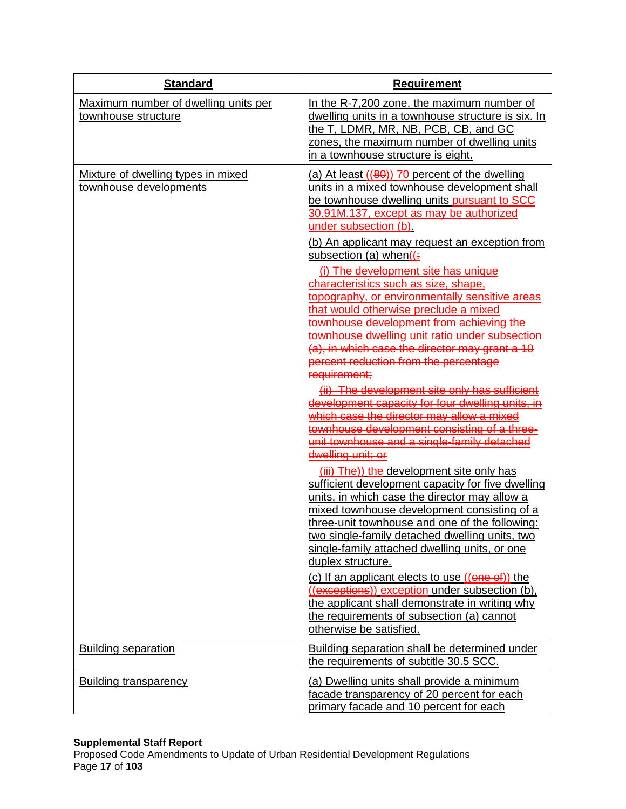| <b>Standard</b>                                              | <b>Requirement</b>                                                                                                                                                                                                                                                                                                                                                                                                                                                                                                                                                                                                                                                                                                                                                                                                                                                                                                                                                                                                                                                                                                                                                                                                                                                                                                                                                                                                                                                                                                                                                                        |
|--------------------------------------------------------------|-------------------------------------------------------------------------------------------------------------------------------------------------------------------------------------------------------------------------------------------------------------------------------------------------------------------------------------------------------------------------------------------------------------------------------------------------------------------------------------------------------------------------------------------------------------------------------------------------------------------------------------------------------------------------------------------------------------------------------------------------------------------------------------------------------------------------------------------------------------------------------------------------------------------------------------------------------------------------------------------------------------------------------------------------------------------------------------------------------------------------------------------------------------------------------------------------------------------------------------------------------------------------------------------------------------------------------------------------------------------------------------------------------------------------------------------------------------------------------------------------------------------------------------------------------------------------------------------|
| Maximum number of dwelling units per<br>townhouse structure  | In the R-7,200 zone, the maximum number of<br>dwelling units in a townhouse structure is six. In<br>the T, LDMR, MR, NB, PCB, CB, and GC<br>zones, the maximum number of dwelling units<br>in a townhouse structure is eight.                                                                                                                                                                                                                                                                                                                                                                                                                                                                                                                                                                                                                                                                                                                                                                                                                                                                                                                                                                                                                                                                                                                                                                                                                                                                                                                                                             |
| Mixture of dwelling types in mixed<br>townhouse developments | (a) At least $((80))$ 70 percent of the dwelling<br>units in a mixed townhouse development shall<br>be townhouse dwelling units pursuant to SCC<br>30.91M.137, except as may be authorized<br>under subsection (b).<br>(b) An applicant may request an exception from<br>subsection (a) when $($ :<br>(i) The development site has unique<br>characteristics such as size, shape,<br>topography, or environmentally sensitive areas<br>that would otherwise preclude a mixed<br>townhouse development from achieving the<br>townhouse dwelling unit ratio under subsection<br>(a), in which case the director may grant a 10<br>percent reduction from the percentage<br>requirement;<br>(ii) The development site only has sufficient<br>development capacity for four dwelling units, in<br>which case the director may allow a mixed<br>townhouse development consisting of a three-<br>unit townhouse and a single-family detached<br>dwelling unit; or<br>(iii) The)) the development site only has<br>sufficient development capacity for five dwelling<br>units, in which case the director may allow a<br>mixed townhouse development consisting of a<br>three-unit townhouse and one of the following:<br>two single-family detached dwelling units, two<br>single-family attached dwelling units, or one<br>duplex structure.<br>(c) If an applicant elects to use $((\theta \theta \theta)^*)$ the<br>((exceptions)) exception under subsection (b),<br>the applicant shall demonstrate in writing why<br>the requirements of subsection (a) cannot<br>otherwise be satisfied. |
| <b>Building separation</b>                                   | Building separation shall be determined under<br>the requirements of subtitle 30.5 SCC.                                                                                                                                                                                                                                                                                                                                                                                                                                                                                                                                                                                                                                                                                                                                                                                                                                                                                                                                                                                                                                                                                                                                                                                                                                                                                                                                                                                                                                                                                                   |
| <b>Building transparency</b>                                 | (a) Dwelling units shall provide a minimum<br>facade transparency of 20 percent for each<br>primary facade and 10 percent for each                                                                                                                                                                                                                                                                                                                                                                                                                                                                                                                                                                                                                                                                                                                                                                                                                                                                                                                                                                                                                                                                                                                                                                                                                                                                                                                                                                                                                                                        |

### **Supplemental Staff Report**

Proposed Code Amendments to Update of Urban Residential Development Regulations Page **17** of **103**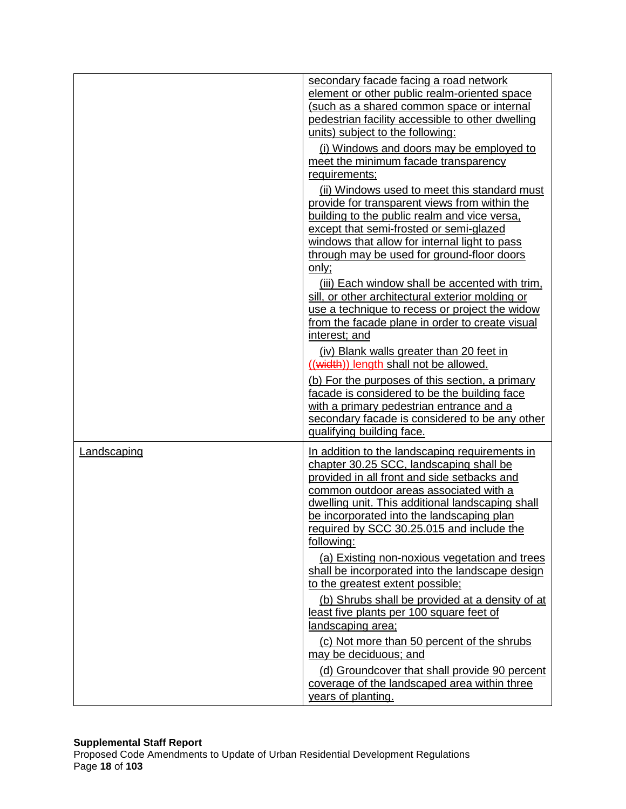|             | secondary facade facing a road network<br>element or other public realm-oriented space<br>(such as a shared common space or internal<br>pedestrian facility accessible to other dwelling<br>units) subject to the following:                                                                                                                                                                           |
|-------------|--------------------------------------------------------------------------------------------------------------------------------------------------------------------------------------------------------------------------------------------------------------------------------------------------------------------------------------------------------------------------------------------------------|
|             | (i) Windows and doors may be employed to<br>meet the minimum facade transparency<br>requirements;                                                                                                                                                                                                                                                                                                      |
|             | (ii) Windows used to meet this standard must<br>provide for transparent views from within the<br>building to the public realm and vice versa,<br>except that semi-frosted or semi-glazed<br>windows that allow for internal light to pass<br>through may be used for ground-floor doors<br>only;<br>(iii) Each window shall be accented with trim,<br>sill, or other architectural exterior molding or |
|             | use a technique to recess or project the widow<br>from the facade plane in order to create visual<br>interest; and<br>(iv) Blank walls greater than 20 feet in                                                                                                                                                                                                                                         |
|             | ((width)) length shall not be allowed.<br>(b) For the purposes of this section, a primary<br>facade is considered to be the building face<br>with a primary pedestrian entrance and a<br>secondary facade is considered to be any other<br>qualifying building face.                                                                                                                                   |
| Landscaping | In addition to the landscaping requirements in<br>chapter 30.25 SCC, landscaping shall be<br>provided in all front and side setbacks and<br>common outdoor areas associated with a<br>dwelling unit. This additional landscaping shall<br>be incorporated into the landscaping plan<br>required by SCC 30.25.015 and include the<br>following:                                                         |
|             | (a) Existing non-noxious vegetation and trees<br>shall be incorporated into the landscape design<br>to the greatest extent possible;                                                                                                                                                                                                                                                                   |
|             | (b) Shrubs shall be provided at a density of at<br>least five plants per 100 square feet of<br>landscaping area;                                                                                                                                                                                                                                                                                       |
|             | (c) Not more than 50 percent of the shrubs<br>may be deciduous; and                                                                                                                                                                                                                                                                                                                                    |
|             | (d) Groundcover that shall provide 90 percent<br>coverage of the landscaped area within three<br>years of planting.                                                                                                                                                                                                                                                                                    |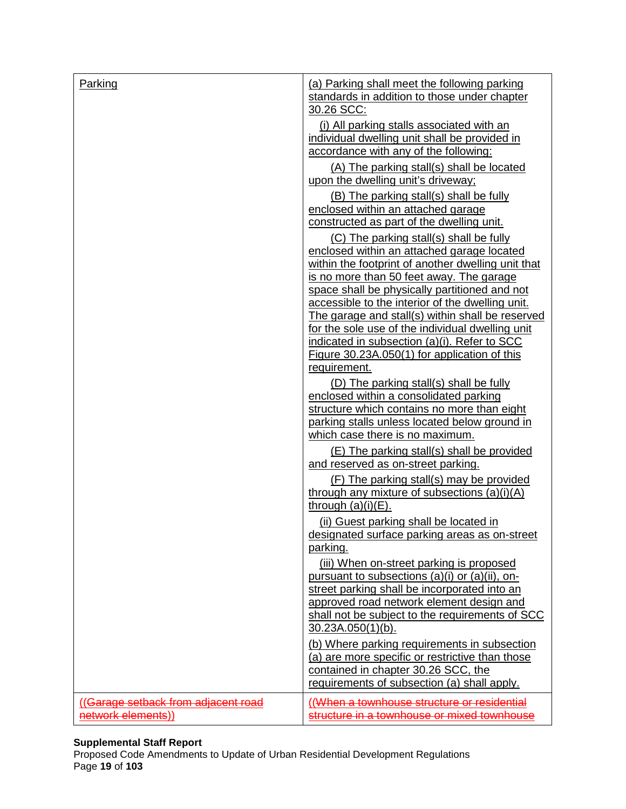| Parking                                                  | (a) Parking shall meet the following parking<br>standards in addition to those under chapter<br>30.26 SCC:                                                                                                           |
|----------------------------------------------------------|----------------------------------------------------------------------------------------------------------------------------------------------------------------------------------------------------------------------|
|                                                          | (i) All parking stalls associated with an<br>individual dwelling unit shall be provided in<br>accordance with any of the following:                                                                                  |
|                                                          | (A) The parking stall(s) shall be located<br>upon the dwelling unit's driveway;                                                                                                                                      |
|                                                          | (B) The parking stall(s) shall be fully<br>enclosed within an attached garage<br>constructed as part of the dwelling unit.                                                                                           |
|                                                          | (C) The parking stall(s) shall be fully<br>enclosed within an attached garage located<br>within the footprint of another dwelling unit that<br>is no more than 50 feet away. The garage                              |
|                                                          | space shall be physically partitioned and not<br>accessible to the interior of the dwelling unit.<br>The garage and stall(s) within shall be reserved<br>for the sole use of the individual dwelling unit            |
|                                                          | indicated in subsection (a)(i). Refer to SCC<br>Figure 30.23A.050(1) for application of this<br>requirement.                                                                                                         |
|                                                          | (D) The parking stall(s) shall be fully<br>enclosed within a consolidated parking<br>structure which contains no more than eight<br>parking stalls unless located below ground in<br>which case there is no maximum. |
|                                                          | (E) The parking stall(s) shall be provided<br>and reserved as on-street parking.                                                                                                                                     |
|                                                          | (F) The parking stall(s) may be provided<br>through any mixture of subsections $(a)(i)(A)$<br>through $(a)(i)(E)$ .                                                                                                  |
|                                                          | (ii) Guest parking shall be located in<br>designated surface parking areas as on-street<br>parking.                                                                                                                  |
|                                                          | (iii) When on-street parking is proposed<br>pursuant to subsections (a)(i) or (a)(ii), on-<br>street parking shall be incorporated into an<br>approved road network element design and                               |
|                                                          | shall not be subject to the requirements of SCC<br>30.23A.050(1)(b).                                                                                                                                                 |
|                                                          | (b) Where parking requirements in subsection<br>(a) are more specific or restrictive than those<br>contained in chapter 30.26 SCC, the<br>requirements of subsection (a) shall apply.                                |
| (Garage setback from adjacent road<br>network elements)) | (When a townhouse structure or residential<br>structure in a townhouse or mixed townhouse                                                                                                                            |

### **Supplemental Staff Report**

Proposed Code Amendments to Update of Urban Residential Development Regulations Page **19** of **103**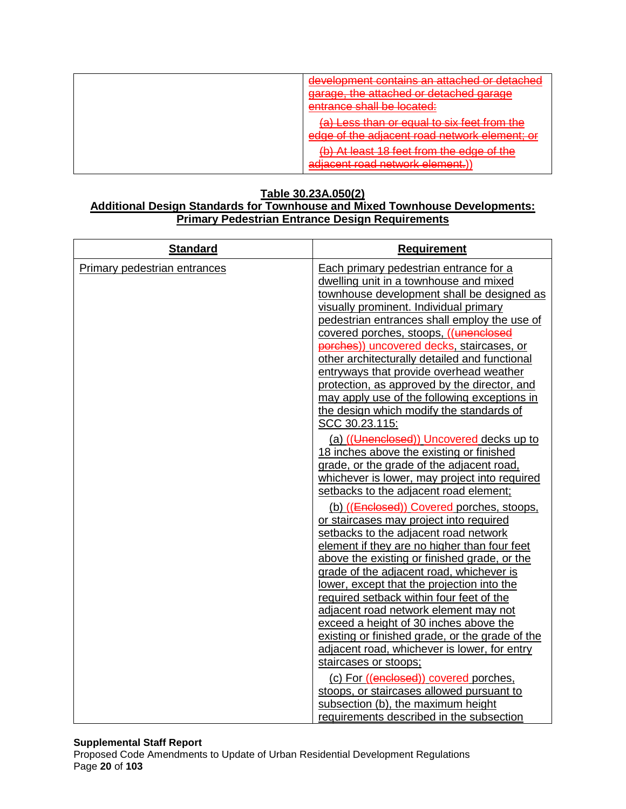| development contains an attached or detached<br>garage, the attached or detached garage<br>entrance shall be located: |
|-----------------------------------------------------------------------------------------------------------------------|
| (a) Less than or equal to six feet from the<br>edge of the adjacent road network element; or                          |
| (b) At least 18 feet from the edge of the<br>adjacent road network element.)                                          |

# **Table 30.23A.050(2)**

### **Additional Design Standards for Townhouse and Mixed Townhouse Developments: Primary Pedestrian Entrance Design Requirements**

| <b>Standard</b>              | <b>Requirement</b>                                                                                                                                                                                                                                                                                                                                                                                                                                                                                                                                                                                                                                                                                                                                                                                                                                                                                                                                                                                                                                                                                                                                                                                                       |
|------------------------------|--------------------------------------------------------------------------------------------------------------------------------------------------------------------------------------------------------------------------------------------------------------------------------------------------------------------------------------------------------------------------------------------------------------------------------------------------------------------------------------------------------------------------------------------------------------------------------------------------------------------------------------------------------------------------------------------------------------------------------------------------------------------------------------------------------------------------------------------------------------------------------------------------------------------------------------------------------------------------------------------------------------------------------------------------------------------------------------------------------------------------------------------------------------------------------------------------------------------------|
| Primary pedestrian entrances | Each primary pedestrian entrance for a<br>dwelling unit in a townhouse and mixed<br>townhouse development shall be designed as<br>visually prominent. Individual primary<br>pedestrian entrances shall employ the use of<br>covered porches, stoops, ((unenclosed<br>porches)) uncovered decks, staircases, or<br>other architecturally detailed and functional<br>entryways that provide overhead weather<br>protection, as approved by the director, and<br>may apply use of the following exceptions in<br>the design which modify the standards of<br>SCC 30.23.115:<br>(a) ((Unenclosed)) Uncovered decks up to<br>18 inches above the existing or finished<br>grade, or the grade of the adjacent road,<br>whichever is lower, may project into required<br>setbacks to the adjacent road element;<br>(b) ((Enclosed)) Covered porches, stoops,<br>or staircases may project into required<br>setbacks to the adjacent road network<br>element if they are no higher than four feet<br>above the existing or finished grade, or the<br>grade of the adjacent road, whichever is<br>lower, except that the projection into the<br>required setback within four feet of the<br>adjacent road network element may not |
|                              | exceed a height of 30 inches above the<br>existing or finished grade, or the grade of the                                                                                                                                                                                                                                                                                                                                                                                                                                                                                                                                                                                                                                                                                                                                                                                                                                                                                                                                                                                                                                                                                                                                |
|                              | adjacent road, whichever is lower, for entry<br>staircases or stoops;                                                                                                                                                                                                                                                                                                                                                                                                                                                                                                                                                                                                                                                                                                                                                                                                                                                                                                                                                                                                                                                                                                                                                    |
|                              | (c) For ((enclosed)) covered porches,                                                                                                                                                                                                                                                                                                                                                                                                                                                                                                                                                                                                                                                                                                                                                                                                                                                                                                                                                                                                                                                                                                                                                                                    |
|                              | stoops, or staircases allowed pursuant to                                                                                                                                                                                                                                                                                                                                                                                                                                                                                                                                                                                                                                                                                                                                                                                                                                                                                                                                                                                                                                                                                                                                                                                |
|                              | subsection (b), the maximum height<br>requirements described in the subsection                                                                                                                                                                                                                                                                                                                                                                                                                                                                                                                                                                                                                                                                                                                                                                                                                                                                                                                                                                                                                                                                                                                                           |
|                              |                                                                                                                                                                                                                                                                                                                                                                                                                                                                                                                                                                                                                                                                                                                                                                                                                                                                                                                                                                                                                                                                                                                                                                                                                          |

#### **Supplemental Staff Report**

Proposed Code Amendments to Update of Urban Residential Development Regulations Page **20** of **103**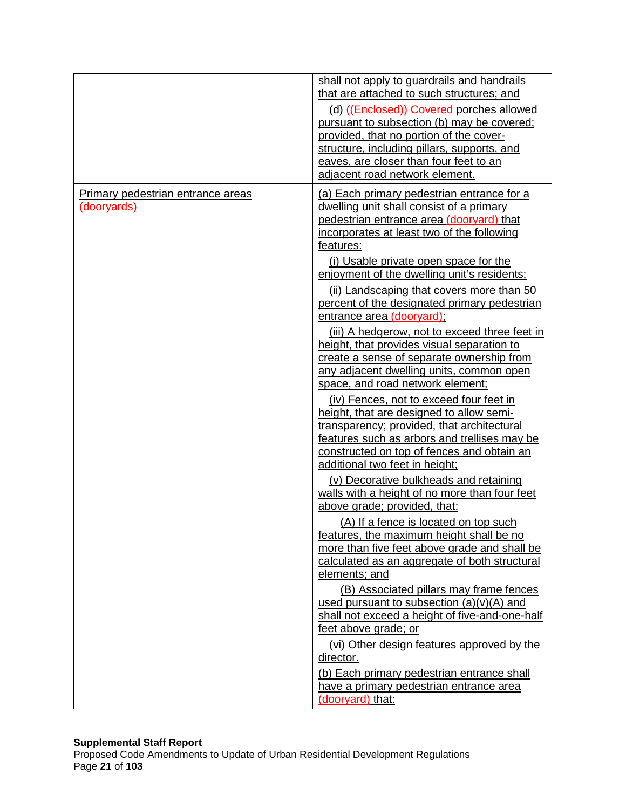|                                                         | shall not apply to guardrails and handrails<br>that are attached to such structures; and<br>(d) ((Enclosed)) Covered porches allowed<br>pursuant to subsection (b) may be covered;<br>provided, that no portion of the cover-<br>structure, including pillars, supports, and<br>eaves, are closer than four feet to an<br>adjacent road network element.                                                                                                                                                                                                                                                                                                                                                                                                                                                                                                                                                                                                                                                                                                                                                                                                                                                                                                                                                                                                                                                                                                                                                                                                                                       |
|---------------------------------------------------------|------------------------------------------------------------------------------------------------------------------------------------------------------------------------------------------------------------------------------------------------------------------------------------------------------------------------------------------------------------------------------------------------------------------------------------------------------------------------------------------------------------------------------------------------------------------------------------------------------------------------------------------------------------------------------------------------------------------------------------------------------------------------------------------------------------------------------------------------------------------------------------------------------------------------------------------------------------------------------------------------------------------------------------------------------------------------------------------------------------------------------------------------------------------------------------------------------------------------------------------------------------------------------------------------------------------------------------------------------------------------------------------------------------------------------------------------------------------------------------------------------------------------------------------------------------------------------------------------|
| Primary pedestrian entrance areas<br><u>(dooryards)</u> | (a) Each primary pedestrian entrance for a<br>dwelling unit shall consist of a primary<br>pedestrian entrance area (dooryard) that<br>incorporates at least two of the following<br>features:<br>(i) Usable private open space for the<br>enjoyment of the dwelling unit's residents;<br>(ii) Landscaping that covers more than 50<br>percent of the designated primary pedestrian<br>entrance area (dooryard);<br>(iii) A hedgerow, not to exceed three feet in<br>height, that provides visual separation to<br>create a sense of separate ownership from<br>any adjacent dwelling units, common open<br>space, and road network element;<br>(iv) Fences, not to exceed four feet in<br>height, that are designed to allow semi-<br>transparency; provided, that architectural<br>features such as arbors and trellises may be<br>constructed on top of fences and obtain an<br>additional two feet in height;<br>(v) Decorative bulkheads and retaining<br>walls with a height of no more than four feet<br>above grade; provided, that:<br>(A) If a fence is located on top such<br>features, the maximum height shall be no<br>more than five feet above grade and shall be<br>calculated as an aggregate of both structural<br>elements; and<br>(B) Associated pillars may frame fences<br>used pursuant to subsection $(a)(v)(A)$ and<br>shall not exceed a height of five-and-one-half<br>feet above grade; or<br>(vi) Other design features approved by the<br>director.<br>(b) Each primary pedestrian entrance shall<br>have a primary pedestrian entrance area<br>(dooryard) that: |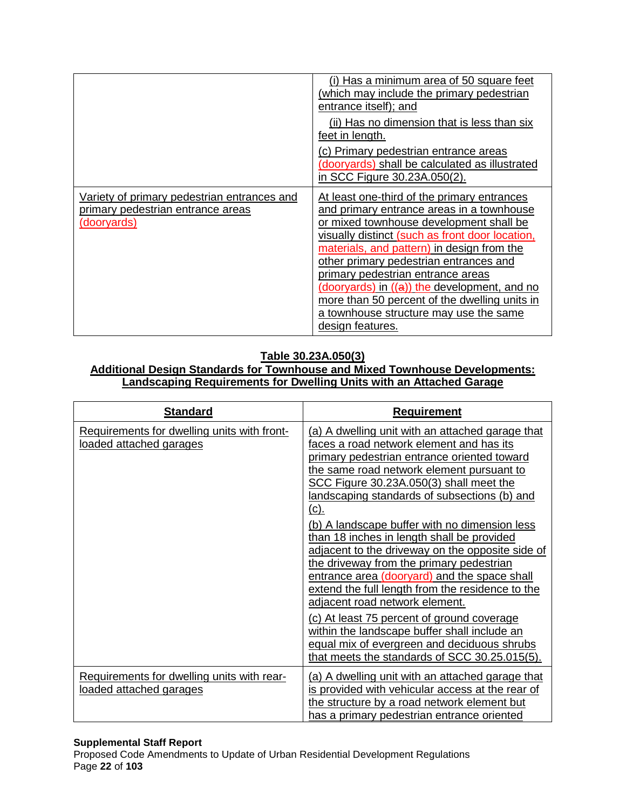|                                                                                                        | (i) Has a minimum area of 50 square feet<br>(which may include the primary pedestrian<br>entrance itself); and<br>(ii) Has no dimension that is less than six<br>feet in length.                                                                                                                                                                                                                                                                                                   |
|--------------------------------------------------------------------------------------------------------|------------------------------------------------------------------------------------------------------------------------------------------------------------------------------------------------------------------------------------------------------------------------------------------------------------------------------------------------------------------------------------------------------------------------------------------------------------------------------------|
|                                                                                                        | (c) Primary pedestrian entrance areas<br>(dooryards) shall be calculated as illustrated<br>in SCC Figure 30.23A.050(2).                                                                                                                                                                                                                                                                                                                                                            |
| Variety of primary pedestrian entrances and<br>primary pedestrian entrance areas<br><u>(dooryards)</u> | At least one-third of the primary entrances<br>and primary entrance areas in a townhouse<br>or mixed townhouse development shall be<br>visually distinct (such as front door location,<br>materials, and pattern) in design from the<br>other primary pedestrian entrances and<br>primary pedestrian entrance areas<br>(dooryards) in ((a)) the development, and no<br>more than 50 percent of the dwelling units in<br>a townhouse structure may use the same<br>design features. |

# **Table 30.23A.050(3)**

### **Additional Design Standards for Townhouse and Mixed Townhouse Developments: Landscaping Requirements for Dwelling Units with an Attached Garage**

| <b>Standard</b>                                                        | <b>Requirement</b>                                                                                                                                                                                                                                                                                                                                                                                                                                                                                                                                                                                                                                                                                                                                                                                                                    |
|------------------------------------------------------------------------|---------------------------------------------------------------------------------------------------------------------------------------------------------------------------------------------------------------------------------------------------------------------------------------------------------------------------------------------------------------------------------------------------------------------------------------------------------------------------------------------------------------------------------------------------------------------------------------------------------------------------------------------------------------------------------------------------------------------------------------------------------------------------------------------------------------------------------------|
| Requirements for dwelling units with front-<br>loaded attached garages | (a) A dwelling unit with an attached garage that<br>faces a road network element and has its<br>primary pedestrian entrance oriented toward<br>the same road network element pursuant to<br>SCC Figure 30.23A.050(3) shall meet the<br>landscaping standards of subsections (b) and<br><u>(c).</u><br>(b) A landscape buffer with no dimension less<br>than 18 inches in length shall be provided<br>adjacent to the driveway on the opposite side of<br>the driveway from the primary pedestrian<br>entrance area (dooryard) and the space shall<br>extend the full length from the residence to the<br>adjacent road network element.<br>(c) At least 75 percent of ground coverage<br>within the landscape buffer shall include an<br>equal mix of evergreen and deciduous shrubs<br>that meets the standards of SCC 30.25.015(5). |
| Requirements for dwelling units with rear-<br>loaded attached garages  | (a) A dwelling unit with an attached garage that<br>is provided with vehicular access at the rear of<br>the structure by a road network element but<br>has a primary pedestrian entrance oriented                                                                                                                                                                                                                                                                                                                                                                                                                                                                                                                                                                                                                                     |

#### **Supplemental Staff Report**

Proposed Code Amendments to Update of Urban Residential Development Regulations Page **22** of **103**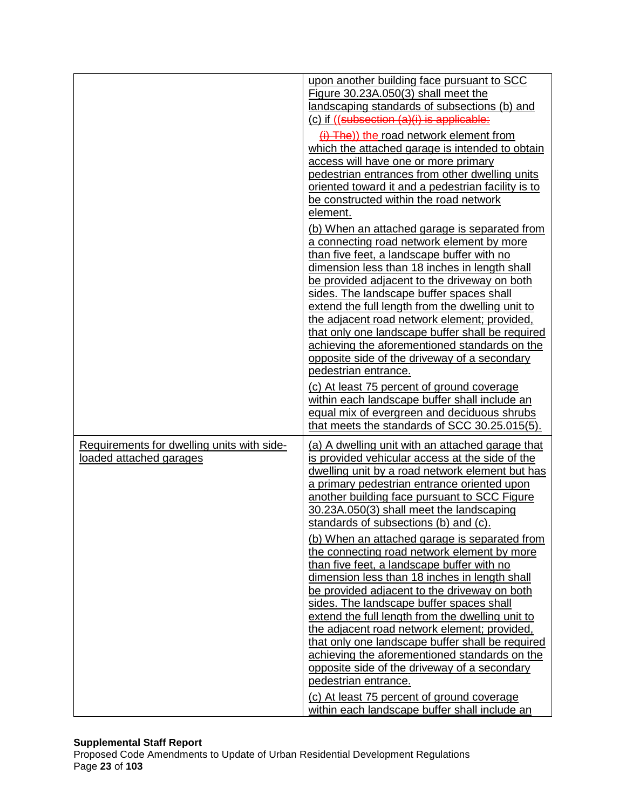|                                                                       | upon another building face pursuant to SCC<br>Figure 30.23A.050(3) shall meet the<br>landscaping standards of subsections (b) and<br>(c) if ((subsection (a)(i) is applicable:<br>$(i)$ The)) the road network element from<br>which the attached garage is intended to obtain<br>access will have one or more primary<br>pedestrian entrances from other dwelling units<br>oriented toward it and a pedestrian facility is to<br>be constructed within the road network                                                                                                                                                                                                          |
|-----------------------------------------------------------------------|-----------------------------------------------------------------------------------------------------------------------------------------------------------------------------------------------------------------------------------------------------------------------------------------------------------------------------------------------------------------------------------------------------------------------------------------------------------------------------------------------------------------------------------------------------------------------------------------------------------------------------------------------------------------------------------|
|                                                                       | element.<br>(b) When an attached garage is separated from<br>a connecting road network element by more<br>than five feet, a landscape buffer with no<br>dimension less than 18 inches in length shall<br>be provided adjacent to the driveway on both<br>sides. The landscape buffer spaces shall<br>extend the full length from the dwelling unit to<br>the adjacent road network element; provided,<br>that only one landscape buffer shall be required<br>achieving the aforementioned standards on the<br>opposite side of the driveway of a secondary<br>pedestrian entrance.<br>(c) At least 75 percent of ground coverage<br>within each landscape buffer shall include an |
|                                                                       | equal mix of evergreen and deciduous shrubs<br>that meets the standards of SCC 30.25.015(5).                                                                                                                                                                                                                                                                                                                                                                                                                                                                                                                                                                                      |
| Requirements for dwelling units with side-<br>loaded attached garages | (a) A dwelling unit with an attached garage that<br>is provided vehicular access at the side of the<br>dwelling unit by a road network element but has<br>a primary pedestrian entrance oriented upon<br>another building face pursuant to SCC Figure<br>30.23A.050(3) shall meet the landscaping<br>standards of subsections (b) and (c).<br>(b) When an attached garage is separated from                                                                                                                                                                                                                                                                                       |
|                                                                       | the connecting road network element by more<br>than five feet, a landscape buffer with no<br>dimension less than 18 inches in length shall<br>be provided adjacent to the driveway on both<br>sides. The landscape buffer spaces shall<br>extend the full length from the dwelling unit to<br>the adjacent road network element; provided,<br>that only one landscape buffer shall be required<br>achieving the aforementioned standards on the<br>opposite side of the driveway of a secondary<br>pedestrian entrance.<br>(c) At least 75 percent of ground coverage                                                                                                             |
|                                                                       | within each landscape buffer shall include an                                                                                                                                                                                                                                                                                                                                                                                                                                                                                                                                                                                                                                     |

### **Supplemental Staff Report**

Proposed Code Amendments to Update of Urban Residential Development Regulations Page **23** of **103**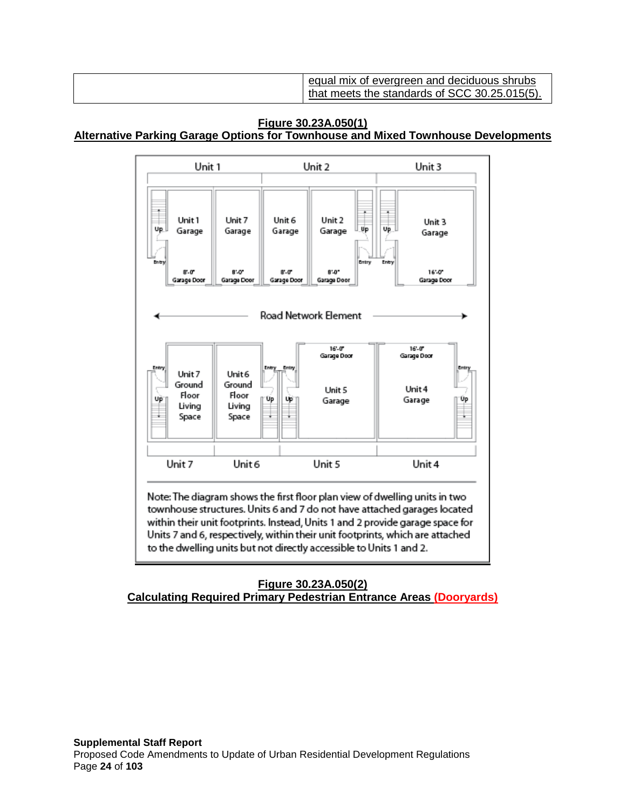| equal mix of evergreen and deciduous shrubs<br>that meets the standards of SCC 30.25.015(5). |
|----------------------------------------------------------------------------------------------|
|----------------------------------------------------------------------------------------------|

# **Figure 30.23A.050(1) Alternative Parking Garage Options for Townhouse and Mixed Townhouse Developments**



# **Figure 30.23A.050(2) Calculating Required Primary Pedestrian Entrance Areas (Dooryards)**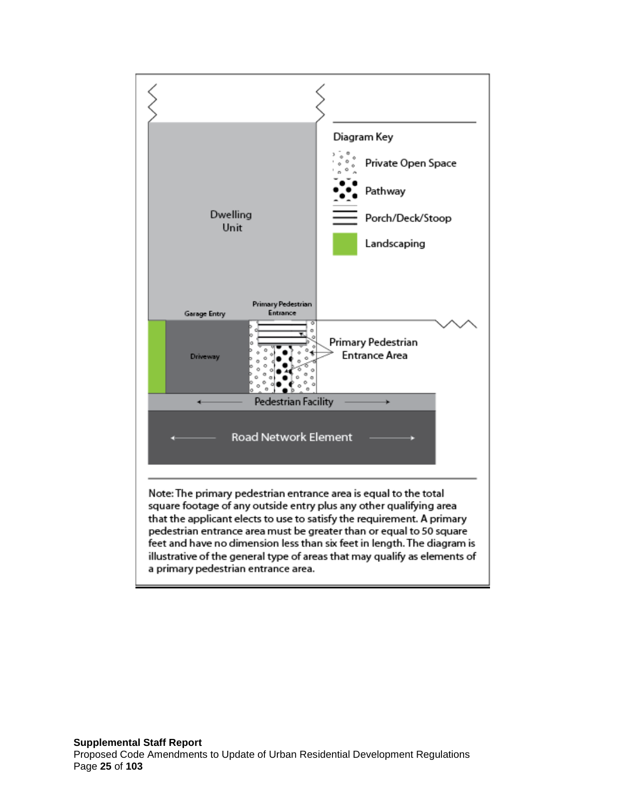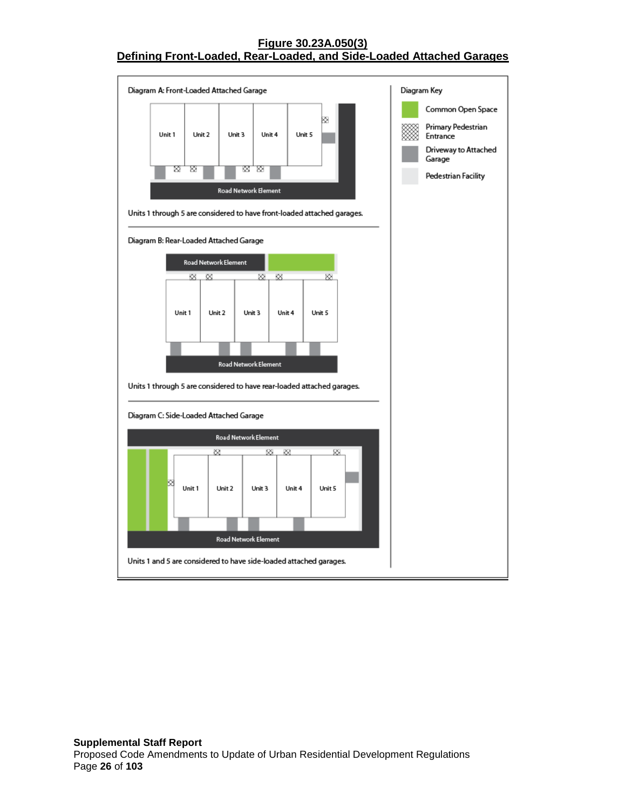### **Figure 30.23A.050(3) Defining Front-Loaded, Rear-Loaded, and Side-Loaded Attached Garages**

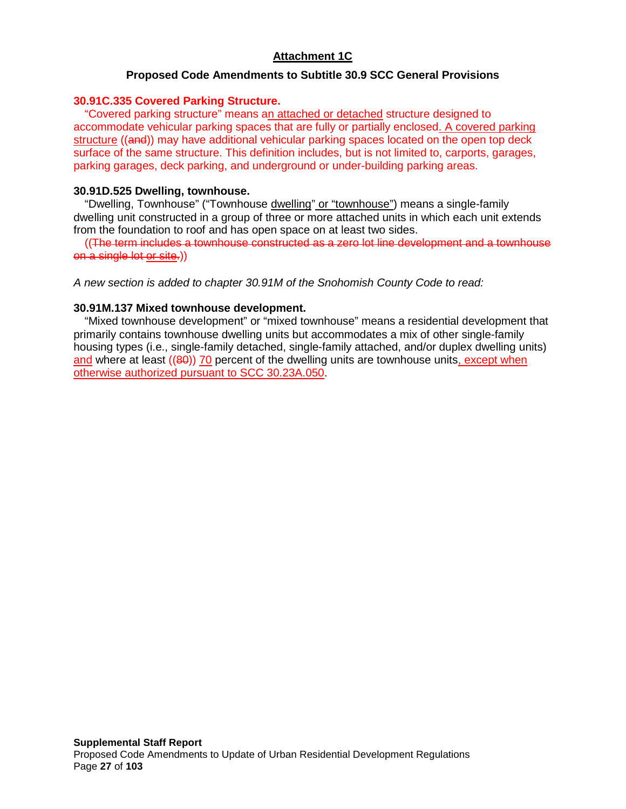# **Attachment 1C**

### **Proposed Code Amendments to Subtitle 30.9 SCC General Provisions**

#### **30.91C.335 Covered Parking Structure.**

"Covered parking structure" means an attached or detached structure designed to accommodate vehicular parking spaces that are fully or partially enclosed. A covered parking structure ((and)) may have additional vehicular parking spaces located on the open top deck surface of the same structure. This definition includes, but is not limited to, carports, garages, parking garages, deck parking, and underground or under-building parking areas.

#### **30.91D.525 Dwelling, townhouse.**

"Dwelling, Townhouse" ("Townhouse dwelling" or "townhouse") means a single-family dwelling unit constructed in a group of three or more attached units in which each unit extends from the foundation to roof and has open space on at least two sides.

((The term includes a townhouse constructed as a zero lot line development and a townhouse on a single lot or site.))

*A new section is added to chapter 30.91M of the Snohomish County Code to read:*

#### **30.91M.137 Mixed townhouse development.**

"Mixed townhouse development" or "mixed townhouse" means a residential development that primarily contains townhouse dwelling units but accommodates a mix of other single-family housing types (i.e., single-family detached, single-family attached, and/or duplex dwelling units) and where at least ((80)) 70 percent of the dwelling units are townhouse units, except when otherwise authorized pursuant to SCC 30.23A.050.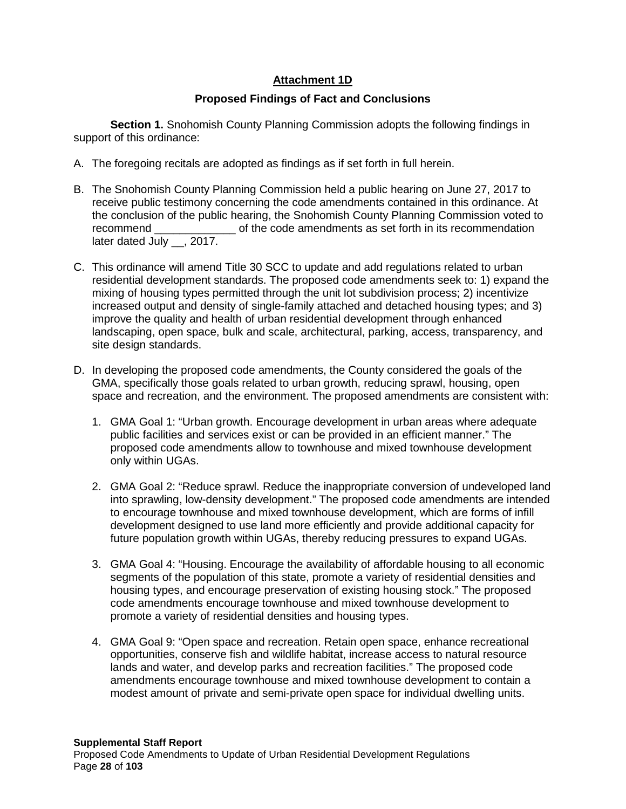# **Attachment 1D**

# **Proposed Findings of Fact and Conclusions**

**Section 1.** Snohomish County Planning Commission adopts the following findings in support of this ordinance:

- A. The foregoing recitals are adopted as findings as if set forth in full herein.
- B. The Snohomish County Planning Commission held a public hearing on June 27, 2017 to receive public testimony concerning the code amendments contained in this ordinance. At the conclusion of the public hearing, the Snohomish County Planning Commission voted to recommend example of the code amendments as set forth in its recommendation later dated July , 2017.
- C. This ordinance will amend Title 30 SCC to update and add regulations related to urban residential development standards. The proposed code amendments seek to: 1) expand the mixing of housing types permitted through the unit lot subdivision process; 2) incentivize increased output and density of single-family attached and detached housing types; and 3) improve the quality and health of urban residential development through enhanced landscaping, open space, bulk and scale, architectural, parking, access, transparency, and site design standards.
- D. In developing the proposed code amendments, the County considered the goals of the GMA, specifically those goals related to urban growth, reducing sprawl, housing, open space and recreation, and the environment. The proposed amendments are consistent with:
	- 1. GMA Goal 1: "Urban growth. Encourage development in urban areas where adequate public facilities and services exist or can be provided in an efficient manner." The proposed code amendments allow to townhouse and mixed townhouse development only within UGAs.
	- 2. GMA Goal 2: "Reduce sprawl. Reduce the inappropriate conversion of undeveloped land into sprawling, low-density development." The proposed code amendments are intended to encourage townhouse and mixed townhouse development, which are forms of infill development designed to use land more efficiently and provide additional capacity for future population growth within UGAs, thereby reducing pressures to expand UGAs.
	- 3. GMA Goal 4: "Housing. Encourage the availability of affordable housing to all economic segments of the population of this state, promote a variety of residential densities and housing types, and encourage preservation of existing housing stock." The proposed code amendments encourage townhouse and mixed townhouse development to promote a variety of residential densities and housing types.
	- 4. GMA Goal 9: "Open space and recreation. Retain open space, enhance recreational opportunities, conserve fish and wildlife habitat, increase access to natural resource lands and water, and develop parks and recreation facilities." The proposed code amendments encourage townhouse and mixed townhouse development to contain a modest amount of private and semi-private open space for individual dwelling units.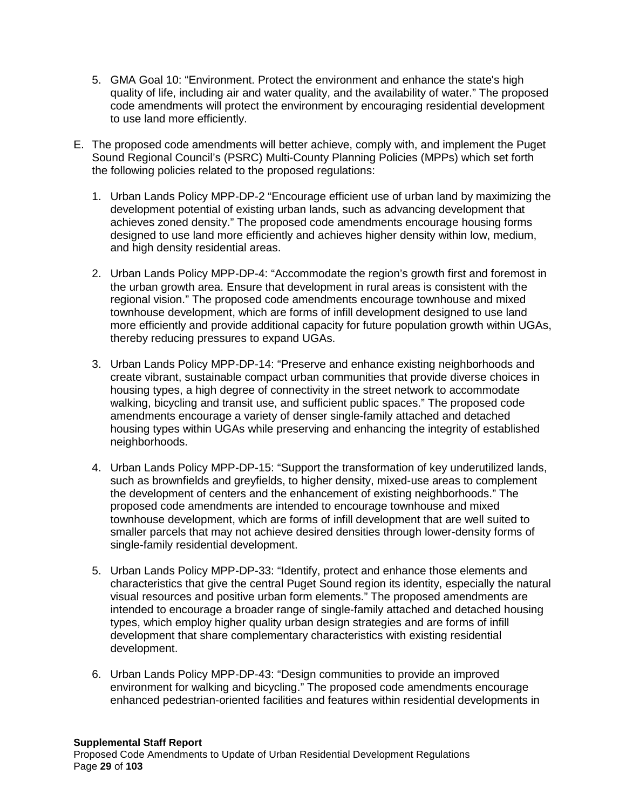- 5. GMA Goal 10: "Environment. Protect the environment and enhance the state's high quality of life, including air and water quality, and the availability of water." The proposed code amendments will protect the environment by encouraging residential development to use land more efficiently.
- E. The proposed code amendments will better achieve, comply with, and implement the Puget Sound Regional Council's (PSRC) Multi-County Planning Policies (MPPs) which set forth the following policies related to the proposed regulations:
	- 1. Urban Lands Policy MPP-DP-2 "Encourage efficient use of urban land by maximizing the development potential of existing urban lands, such as advancing development that achieves zoned density." The proposed code amendments encourage housing forms designed to use land more efficiently and achieves higher density within low, medium, and high density residential areas.
	- 2. Urban Lands Policy MPP-DP-4: "Accommodate the region's growth first and foremost in the urban growth area. Ensure that development in rural areas is consistent with the regional vision." The proposed code amendments encourage townhouse and mixed townhouse development, which are forms of infill development designed to use land more efficiently and provide additional capacity for future population growth within UGAs, thereby reducing pressures to expand UGAs.
	- 3. Urban Lands Policy MPP-DP-14: "Preserve and enhance existing neighborhoods and create vibrant, sustainable compact urban communities that provide diverse choices in housing types, a high degree of connectivity in the street network to accommodate walking, bicycling and transit use, and sufficient public spaces." The proposed code amendments encourage a variety of denser single-family attached and detached housing types within UGAs while preserving and enhancing the integrity of established neighborhoods.
	- 4. Urban Lands Policy MPP-DP-15: "Support the transformation of key underutilized lands, such as brownfields and greyfields, to higher density, mixed-use areas to complement the development of centers and the enhancement of existing neighborhoods." The proposed code amendments are intended to encourage townhouse and mixed townhouse development, which are forms of infill development that are well suited to smaller parcels that may not achieve desired densities through lower-density forms of single-family residential development.
	- 5. Urban Lands Policy MPP-DP-33: "Identify, protect and enhance those elements and characteristics that give the central Puget Sound region its identity, especially the natural visual resources and positive urban form elements." The proposed amendments are intended to encourage a broader range of single-family attached and detached housing types, which employ higher quality urban design strategies and are forms of infill development that share complementary characteristics with existing residential development.
	- 6. Urban Lands Policy MPP-DP-43: "Design communities to provide an improved environment for walking and bicycling." The proposed code amendments encourage enhanced pedestrian-oriented facilities and features within residential developments in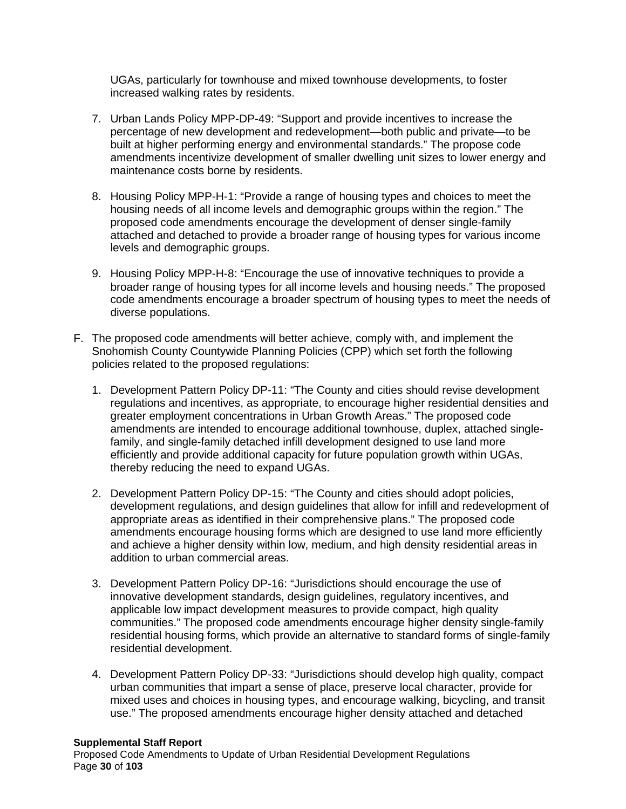UGAs, particularly for townhouse and mixed townhouse developments, to foster increased walking rates by residents.

- 7. Urban Lands Policy MPP-DP-49: "Support and provide incentives to increase the percentage of new development and redevelopment—both public and private—to be built at higher performing energy and environmental standards." The propose code amendments incentivize development of smaller dwelling unit sizes to lower energy and maintenance costs borne by residents.
- 8. Housing Policy MPP-H-1: "Provide a range of housing types and choices to meet the housing needs of all income levels and demographic groups within the region." The proposed code amendments encourage the development of denser single-family attached and detached to provide a broader range of housing types for various income levels and demographic groups.
- 9. Housing Policy MPP-H-8: "Encourage the use of innovative techniques to provide a broader range of housing types for all income levels and housing needs." The proposed code amendments encourage a broader spectrum of housing types to meet the needs of diverse populations.
- F. The proposed code amendments will better achieve, comply with, and implement the Snohomish County Countywide Planning Policies (CPP) which set forth the following policies related to the proposed regulations:
	- 1. Development Pattern Policy DP-11: "The County and cities should revise development regulations and incentives, as appropriate, to encourage higher residential densities and greater employment concentrations in Urban Growth Areas." The proposed code amendments are intended to encourage additional townhouse, duplex, attached singlefamily, and single-family detached infill development designed to use land more efficiently and provide additional capacity for future population growth within UGAs, thereby reducing the need to expand UGAs.
	- 2. Development Pattern Policy DP-15: "The County and cities should adopt policies, development regulations, and design guidelines that allow for infill and redevelopment of appropriate areas as identified in their comprehensive plans." The proposed code amendments encourage housing forms which are designed to use land more efficiently and achieve a higher density within low, medium, and high density residential areas in addition to urban commercial areas.
	- 3. Development Pattern Policy DP-16: "Jurisdictions should encourage the use of innovative development standards, design guidelines, regulatory incentives, and applicable low impact development measures to provide compact, high quality communities." The proposed code amendments encourage higher density single-family residential housing forms, which provide an alternative to standard forms of single-family residential development.
	- 4. Development Pattern Policy DP-33: "Jurisdictions should develop high quality, compact urban communities that impart a sense of place, preserve local character, provide for mixed uses and choices in housing types, and encourage walking, bicycling, and transit use." The proposed amendments encourage higher density attached and detached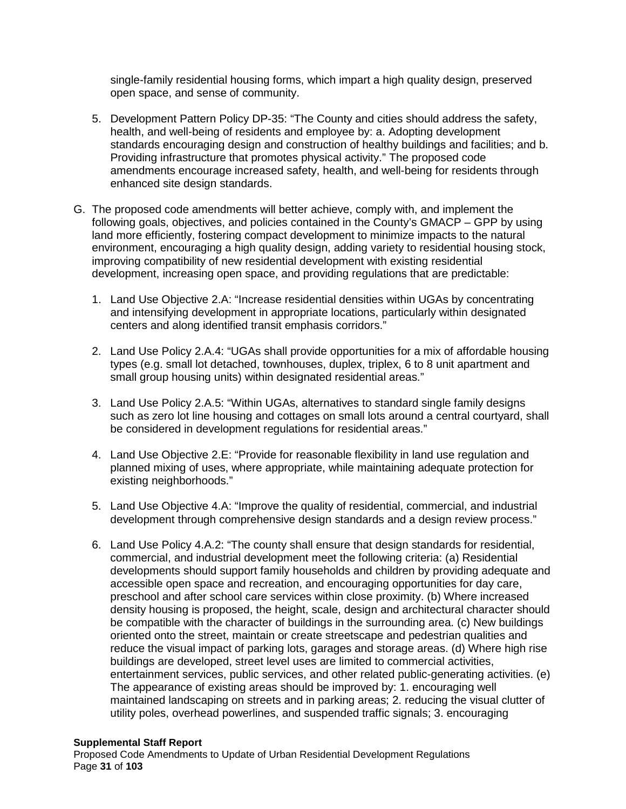single-family residential housing forms, which impart a high quality design, preserved open space, and sense of community.

- 5. Development Pattern Policy DP-35: "The County and cities should address the safety, health, and well-being of residents and employee by: a. Adopting development standards encouraging design and construction of healthy buildings and facilities; and b. Providing infrastructure that promotes physical activity." The proposed code amendments encourage increased safety, health, and well-being for residents through enhanced site design standards.
- G. The proposed code amendments will better achieve, comply with, and implement the following goals, objectives, and policies contained in the County's GMACP – GPP by using land more efficiently, fostering compact development to minimize impacts to the natural environment, encouraging a high quality design, adding variety to residential housing stock, improving compatibility of new residential development with existing residential development, increasing open space, and providing regulations that are predictable:
	- 1. Land Use Objective 2.A: "Increase residential densities within UGAs by concentrating and intensifying development in appropriate locations, particularly within designated centers and along identified transit emphasis corridors."
	- 2. Land Use Policy 2.A.4: "UGAs shall provide opportunities for a mix of affordable housing types (e.g. small lot detached, townhouses, duplex, triplex, 6 to 8 unit apartment and small group housing units) within designated residential areas."
	- 3. Land Use Policy 2.A.5: "Within UGAs, alternatives to standard single family designs such as zero lot line housing and cottages on small lots around a central courtyard, shall be considered in development regulations for residential areas."
	- 4. Land Use Objective 2.E: "Provide for reasonable flexibility in land use regulation and planned mixing of uses, where appropriate, while maintaining adequate protection for existing neighborhoods."
	- 5. Land Use Objective 4.A: "Improve the quality of residential, commercial, and industrial development through comprehensive design standards and a design review process."
	- 6. Land Use Policy 4.A.2: "The county shall ensure that design standards for residential, commercial, and industrial development meet the following criteria: (a) Residential developments should support family households and children by providing adequate and accessible open space and recreation, and encouraging opportunities for day care, preschool and after school care services within close proximity. (b) Where increased density housing is proposed, the height, scale, design and architectural character should be compatible with the character of buildings in the surrounding area. (c) New buildings oriented onto the street, maintain or create streetscape and pedestrian qualities and reduce the visual impact of parking lots, garages and storage areas. (d) Where high rise buildings are developed, street level uses are limited to commercial activities, entertainment services, public services, and other related public-generating activities. (e) The appearance of existing areas should be improved by: 1. encouraging well maintained landscaping on streets and in parking areas; 2. reducing the visual clutter of utility poles, overhead powerlines, and suspended traffic signals; 3. encouraging

#### **Supplemental Staff Report**

Proposed Code Amendments to Update of Urban Residential Development Regulations Page **31** of **103**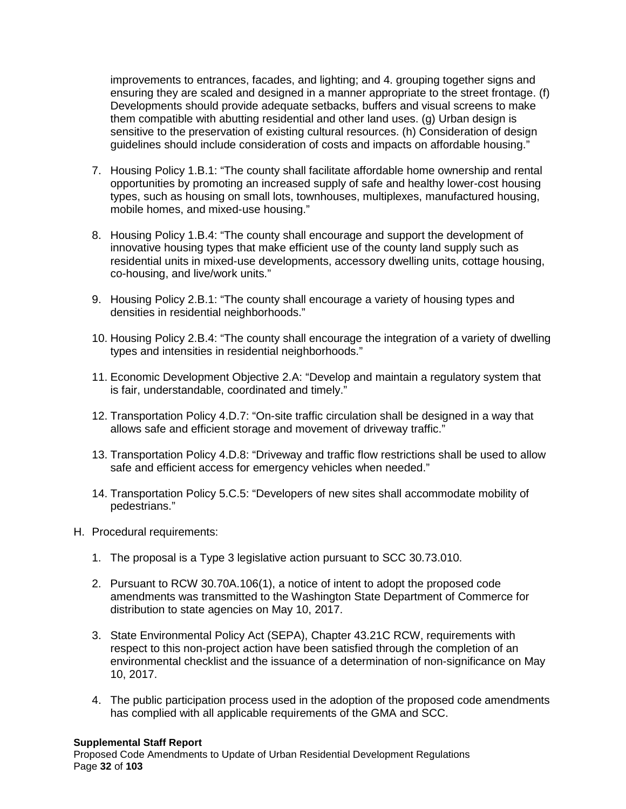improvements to entrances, facades, and lighting; and 4. grouping together signs and ensuring they are scaled and designed in a manner appropriate to the street frontage. (f) Developments should provide adequate setbacks, buffers and visual screens to make them compatible with abutting residential and other land uses. (g) Urban design is sensitive to the preservation of existing cultural resources. (h) Consideration of design guidelines should include consideration of costs and impacts on affordable housing."

- 7. Housing Policy 1.B.1: "The county shall facilitate affordable home ownership and rental opportunities by promoting an increased supply of safe and healthy lower-cost housing types, such as housing on small lots, townhouses, multiplexes, manufactured housing, mobile homes, and mixed-use housing."
- 8. Housing Policy 1.B.4: "The county shall encourage and support the development of innovative housing types that make efficient use of the county land supply such as residential units in mixed-use developments, accessory dwelling units, cottage housing, co-housing, and live/work units."
- 9. Housing Policy 2.B.1: "The county shall encourage a variety of housing types and densities in residential neighborhoods."
- 10. Housing Policy 2.B.4: "The county shall encourage the integration of a variety of dwelling types and intensities in residential neighborhoods."
- 11. Economic Development Objective 2.A: "Develop and maintain a regulatory system that is fair, understandable, coordinated and timely."
- 12. Transportation Policy 4.D.7: "On-site traffic circulation shall be designed in a way that allows safe and efficient storage and movement of driveway traffic."
- 13. Transportation Policy 4.D.8: "Driveway and traffic flow restrictions shall be used to allow safe and efficient access for emergency vehicles when needed."
- 14. Transportation Policy 5.C.5: "Developers of new sites shall accommodate mobility of pedestrians."
- H. Procedural requirements:
	- 1. The proposal is a Type 3 legislative action pursuant to SCC 30.73.010.
	- 2. Pursuant to RCW 30.70A.106(1), a notice of intent to adopt the proposed code amendments was transmitted to the Washington State Department of Commerce for distribution to state agencies on May 10, 2017.
	- 3. State Environmental Policy Act (SEPA), Chapter 43.21C RCW, requirements with respect to this non-project action have been satisfied through the completion of an environmental checklist and the issuance of a determination of non-significance on May 10, 2017.
	- 4. The public participation process used in the adoption of the proposed code amendments has complied with all applicable requirements of the GMA and SCC.

#### **Supplemental Staff Report**

Proposed Code Amendments to Update of Urban Residential Development Regulations Page **32** of **103**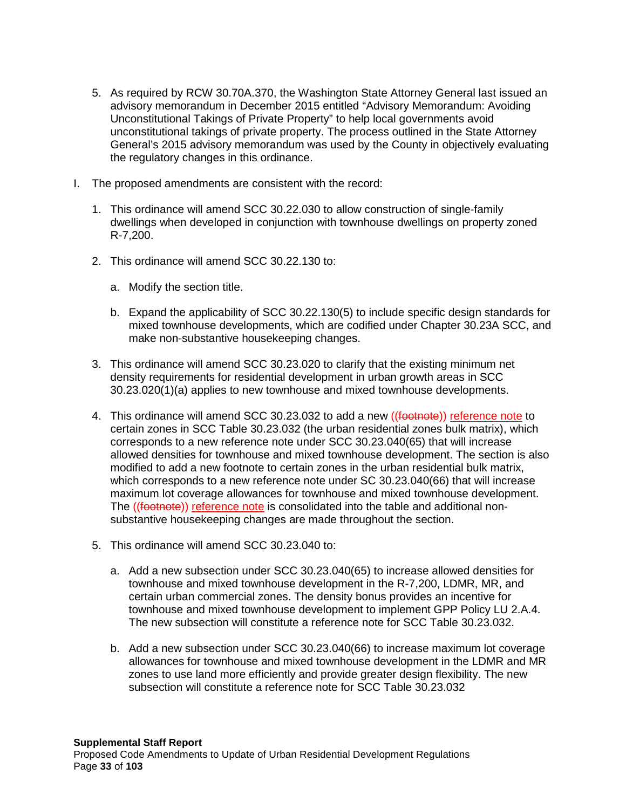- 5. As required by RCW 30.70A.370, the Washington State Attorney General last issued an advisory memorandum in December 2015 entitled "Advisory Memorandum: Avoiding Unconstitutional Takings of Private Property" to help local governments avoid unconstitutional takings of private property. The process outlined in the State Attorney General's 2015 advisory memorandum was used by the County in objectively evaluating the regulatory changes in this ordinance.
- I. The proposed amendments are consistent with the record:
	- 1. This ordinance will amend SCC 30.22.030 to allow construction of single-family dwellings when developed in conjunction with townhouse dwellings on property zoned R-7,200.
	- 2. This ordinance will amend SCC 30.22.130 to:
		- a. Modify the section title.
		- b. Expand the applicability of SCC 30.22.130(5) to include specific design standards for mixed townhouse developments, which are codified under Chapter 30.23A SCC, and make non-substantive housekeeping changes.
	- 3. This ordinance will amend SCC 30.23.020 to clarify that the existing minimum net density requirements for residential development in urban growth areas in SCC 30.23.020(1)(a) applies to new townhouse and mixed townhouse developments.
	- 4. This ordinance will amend SCC 30.23.032 to add a new ((footnote)) reference note to certain zones in SCC Table 30.23.032 (the urban residential zones bulk matrix), which corresponds to a new reference note under SCC 30.23.040(65) that will increase allowed densities for townhouse and mixed townhouse development. The section is also modified to add a new footnote to certain zones in the urban residential bulk matrix, which corresponds to a new reference note under SC 30.23.040(66) that will increase maximum lot coverage allowances for townhouse and mixed townhouse development. The ((footnote)) reference note is consolidated into the table and additional nonsubstantive housekeeping changes are made throughout the section.
	- 5. This ordinance will amend SCC 30.23.040 to:
		- a. Add a new subsection under SCC 30.23.040(65) to increase allowed densities for townhouse and mixed townhouse development in the R-7,200, LDMR, MR, and certain urban commercial zones. The density bonus provides an incentive for townhouse and mixed townhouse development to implement GPP Policy LU 2.A.4. The new subsection will constitute a reference note for SCC Table 30.23.032.
		- b. Add a new subsection under SCC 30.23.040(66) to increase maximum lot coverage allowances for townhouse and mixed townhouse development in the LDMR and MR zones to use land more efficiently and provide greater design flexibility. The new subsection will constitute a reference note for SCC Table 30.23.032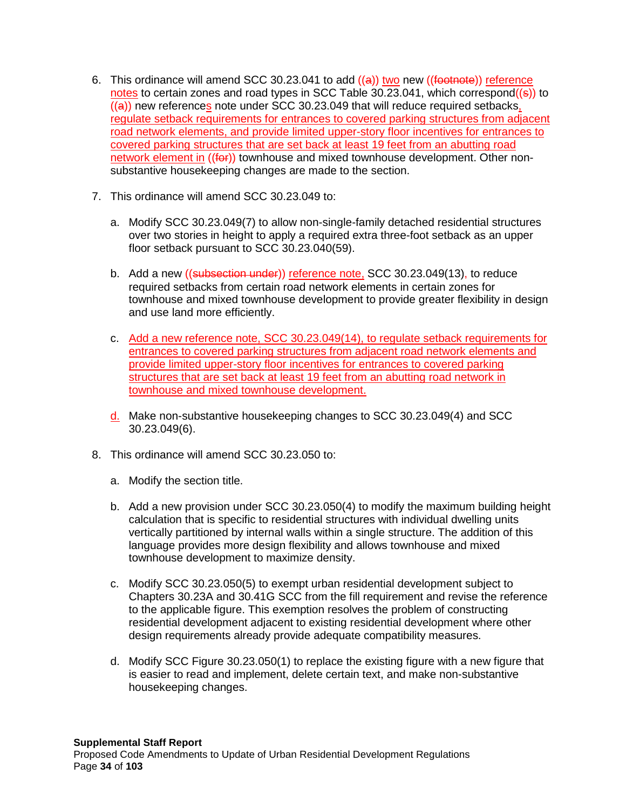- 6. This ordinance will amend SCC 30.23.041 to add  $((a))$  two new  $((footnote))$  reference notes to certain zones and road types in SCC Table 30.23.041, which correspond $((s))$  to  $((a))$  new references note under SCC 30.23.049 that will reduce required setbacks, regulate setback requirements for entrances to covered parking structures from adjacent road network elements, and provide limited upper-story floor incentives for entrances to covered parking structures that are set back at least 19 feet from an abutting road network element in ((for)) townhouse and mixed townhouse development. Other nonsubstantive housekeeping changes are made to the section.
- 7. This ordinance will amend SCC 30.23.049 to:
	- a. Modify SCC 30.23.049(7) to allow non-single-family detached residential structures over two stories in height to apply a required extra three-foot setback as an upper floor setback pursuant to SCC 30.23.040(59).
	- b. Add a new ((subsection under)) reference note, SCC 30.23.049(13), to reduce required setbacks from certain road network elements in certain zones for townhouse and mixed townhouse development to provide greater flexibility in design and use land more efficiently.
	- c. Add a new reference note, SCC 30.23.049(14), to regulate setback requirements for entrances to covered parking structures from adjacent road network elements and provide limited upper-story floor incentives for entrances to covered parking structures that are set back at least 19 feet from an abutting road network in townhouse and mixed townhouse development.
	- d. Make non-substantive housekeeping changes to SCC 30.23.049(4) and SCC 30.23.049(6).
- 8. This ordinance will amend SCC 30.23.050 to:
	- a. Modify the section title.
	- b. Add a new provision under SCC 30.23.050(4) to modify the maximum building height calculation that is specific to residential structures with individual dwelling units vertically partitioned by internal walls within a single structure. The addition of this language provides more design flexibility and allows townhouse and mixed townhouse development to maximize density.
	- c. Modify SCC 30.23.050(5) to exempt urban residential development subject to Chapters 30.23A and 30.41G SCC from the fill requirement and revise the reference to the applicable figure. This exemption resolves the problem of constructing residential development adjacent to existing residential development where other design requirements already provide adequate compatibility measures.
	- d. Modify SCC Figure 30.23.050(1) to replace the existing figure with a new figure that is easier to read and implement, delete certain text, and make non-substantive housekeeping changes.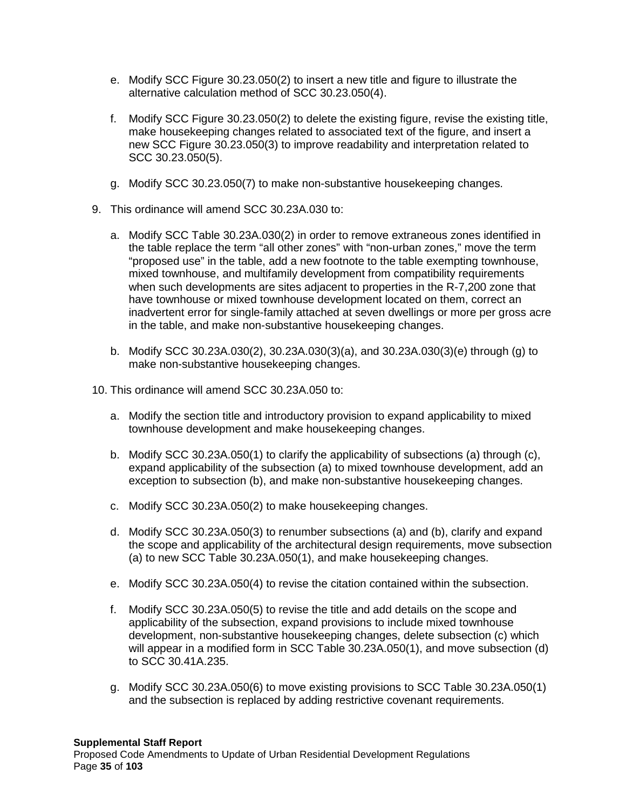- e. Modify SCC Figure 30.23.050(2) to insert a new title and figure to illustrate the alternative calculation method of SCC 30.23.050(4).
- f. Modify SCC Figure 30.23.050(2) to delete the existing figure, revise the existing title, make housekeeping changes related to associated text of the figure, and insert a new SCC Figure 30.23.050(3) to improve readability and interpretation related to SCC 30.23.050(5).
- g. Modify SCC 30.23.050(7) to make non-substantive housekeeping changes.
- 9. This ordinance will amend SCC 30.23A.030 to:
	- a. Modify SCC Table 30.23A.030(2) in order to remove extraneous zones identified in the table replace the term "all other zones" with "non-urban zones," move the term "proposed use" in the table, add a new footnote to the table exempting townhouse, mixed townhouse, and multifamily development from compatibility requirements when such developments are sites adjacent to properties in the R-7,200 zone that have townhouse or mixed townhouse development located on them, correct an inadvertent error for single-family attached at seven dwellings or more per gross acre in the table, and make non-substantive housekeeping changes.
	- b. Modify SCC 30.23A.030(2), 30.23A.030(3)(a), and 30.23A.030(3)(e) through (g) to make non-substantive housekeeping changes.
- 10. This ordinance will amend SCC 30.23A.050 to:
	- a. Modify the section title and introductory provision to expand applicability to mixed townhouse development and make housekeeping changes.
	- b. Modify SCC 30.23A.050(1) to clarify the applicability of subsections (a) through (c), expand applicability of the subsection (a) to mixed townhouse development, add an exception to subsection (b), and make non-substantive housekeeping changes.
	- c. Modify SCC 30.23A.050(2) to make housekeeping changes.
	- d. Modify SCC 30.23A.050(3) to renumber subsections (a) and (b), clarify and expand the scope and applicability of the architectural design requirements, move subsection (a) to new SCC Table 30.23A.050(1), and make housekeeping changes.
	- e. Modify SCC 30.23A.050(4) to revise the citation contained within the subsection.
	- f. Modify SCC 30.23A.050(5) to revise the title and add details on the scope and applicability of the subsection, expand provisions to include mixed townhouse development, non-substantive housekeeping changes, delete subsection (c) which will appear in a modified form in SCC Table 30.23A.050(1), and move subsection (d) to SCC 30.41A.235.
	- g. Modify SCC 30.23A.050(6) to move existing provisions to SCC Table 30.23A.050(1) and the subsection is replaced by adding restrictive covenant requirements.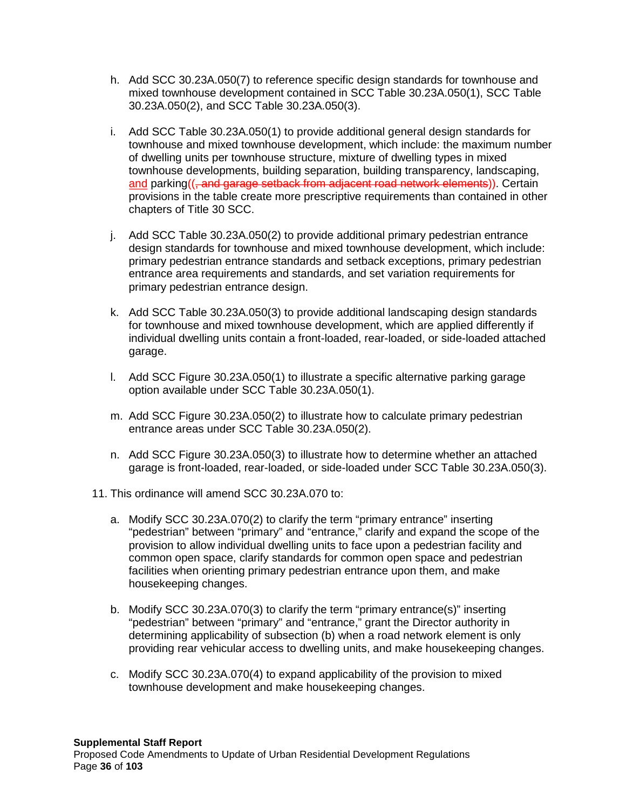- h. Add SCC 30.23A.050(7) to reference specific design standards for townhouse and mixed townhouse development contained in SCC Table 30.23A.050(1), SCC Table 30.23A.050(2), and SCC Table 30.23A.050(3).
- i. Add SCC Table 30.23A.050(1) to provide additional general design standards for townhouse and mixed townhouse development, which include: the maximum number of dwelling units per townhouse structure, mixture of dwelling types in mixed townhouse developments, building separation, building transparency, landscaping, and parking((, and garage setback from adjacent road network elements)). Certain provisions in the table create more prescriptive requirements than contained in other chapters of Title 30 SCC.
- j. Add SCC Table 30.23A.050(2) to provide additional primary pedestrian entrance design standards for townhouse and mixed townhouse development, which include: primary pedestrian entrance standards and setback exceptions, primary pedestrian entrance area requirements and standards, and set variation requirements for primary pedestrian entrance design.
- k. Add SCC Table 30.23A.050(3) to provide additional landscaping design standards for townhouse and mixed townhouse development, which are applied differently if individual dwelling units contain a front-loaded, rear-loaded, or side-loaded attached garage.
- l. Add SCC Figure 30.23A.050(1) to illustrate a specific alternative parking garage option available under SCC Table 30.23A.050(1).
- m. Add SCC Figure 30.23A.050(2) to illustrate how to calculate primary pedestrian entrance areas under SCC Table 30.23A.050(2).
- n. Add SCC Figure 30.23A.050(3) to illustrate how to determine whether an attached garage is front-loaded, rear-loaded, or side-loaded under SCC Table 30.23A.050(3).
- 11. This ordinance will amend SCC 30.23A.070 to:
	- a. Modify SCC 30.23A.070(2) to clarify the term "primary entrance" inserting "pedestrian" between "primary" and "entrance," clarify and expand the scope of the provision to allow individual dwelling units to face upon a pedestrian facility and common open space, clarify standards for common open space and pedestrian facilities when orienting primary pedestrian entrance upon them, and make housekeeping changes.
	- b. Modify SCC 30.23A.070(3) to clarify the term "primary entrance(s)" inserting "pedestrian" between "primary" and "entrance," grant the Director authority in determining applicability of subsection (b) when a road network element is only providing rear vehicular access to dwelling units, and make housekeeping changes.
	- c. Modify SCC 30.23A.070(4) to expand applicability of the provision to mixed townhouse development and make housekeeping changes.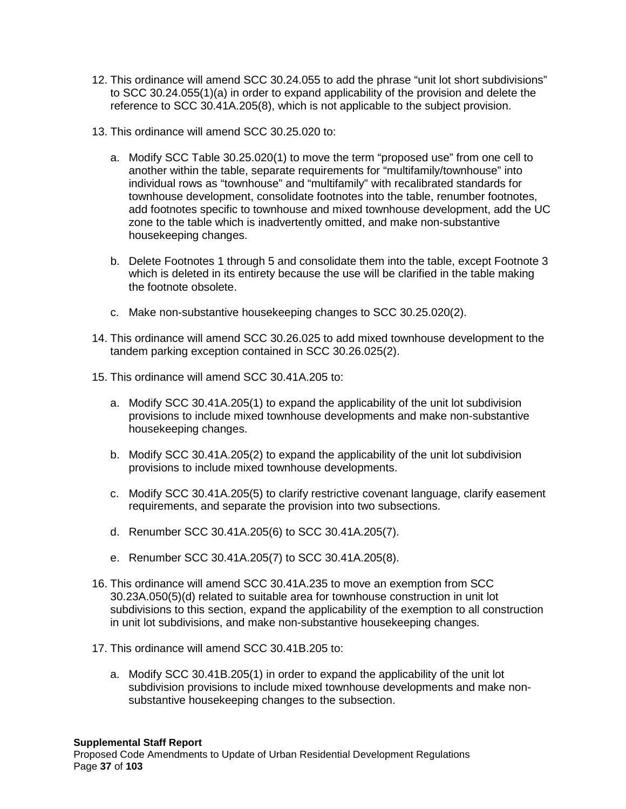- 12. This ordinance will amend SCC 30.24.055 to add the phrase "unit lot short subdivisions" to SCC 30.24.055(1)(a) in order to expand applicability of the provision and delete the reference to SCC 30.41A.205(8), which is not applicable to the subject provision.
- 13. This ordinance will amend SCC 30.25.020 to:
	- a. Modify SCC Table 30.25.020(1) to move the term "proposed use" from one cell to another within the table, separate requirements for "multifamily/townhouse" into individual rows as "townhouse" and "multifamily" with recalibrated standards for townhouse development, consolidate footnotes into the table, renumber footnotes, add footnotes specific to townhouse and mixed townhouse development, add the UC zone to the table which is inadvertently omitted, and make non-substantive housekeeping changes.
	- b. Delete Footnotes 1 through 5 and consolidate them into the table, except Footnote 3 which is deleted in its entirety because the use will be clarified in the table making the footnote obsolete.
	- c. Make non-substantive housekeeping changes to SCC 30.25.020(2).
- 14. This ordinance will amend SCC 30.26.025 to add mixed townhouse development to the tandem parking exception contained in SCC 30.26.025(2).
- 15. This ordinance will amend SCC 30.41A.205 to:
	- a. Modify SCC 30.41A.205(1) to expand the applicability of the unit lot subdivision provisions to include mixed townhouse developments and make non-substantive housekeeping changes.
	- b. Modify SCC 30.41A.205(2) to expand the applicability of the unit lot subdivision provisions to include mixed townhouse developments.
	- c. Modify SCC 30.41A.205(5) to clarify restrictive covenant language, clarify easement requirements, and separate the provision into two subsections.
	- d. Renumber SCC 30.41A.205(6) to SCC 30.41A.205(7).
	- e. Renumber SCC 30.41A.205(7) to SCC 30.41A.205(8).
- 16. This ordinance will amend SCC 30.41A.235 to move an exemption from SCC 30.23A.050(5)(d) related to suitable area for townhouse construction in unit lot subdivisions to this section, expand the applicability of the exemption to all construction in unit lot subdivisions, and make non-substantive housekeeping changes.
- 17. This ordinance will amend SCC 30.41B.205 to:
	- a. Modify SCC 30.41B.205(1) in order to expand the applicability of the unit lot subdivision provisions to include mixed townhouse developments and make nonsubstantive housekeeping changes to the subsection.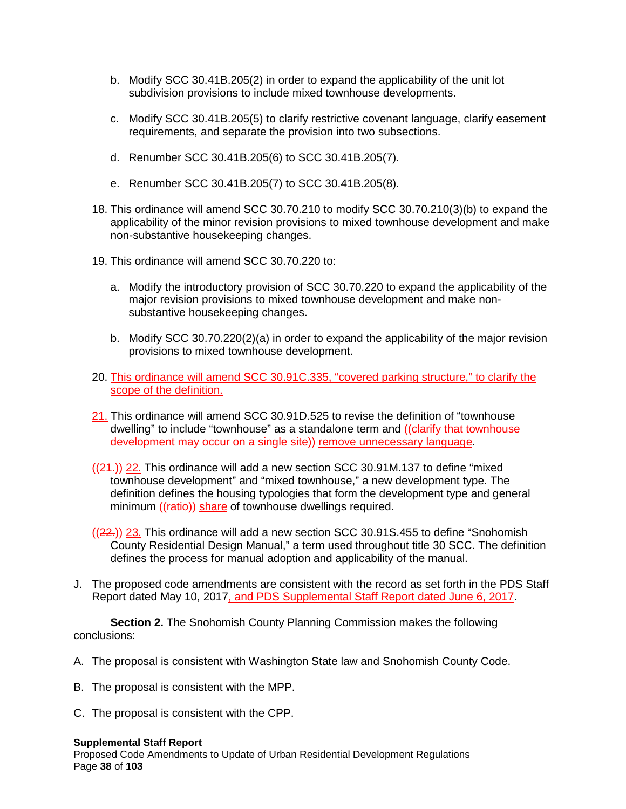- b. Modify SCC 30.41B.205(2) in order to expand the applicability of the unit lot subdivision provisions to include mixed townhouse developments.
- c. Modify SCC 30.41B.205(5) to clarify restrictive covenant language, clarify easement requirements, and separate the provision into two subsections.
- d. Renumber SCC 30.41B.205(6) to SCC 30.41B.205(7).
- e. Renumber SCC 30.41B.205(7) to SCC 30.41B.205(8).
- 18. This ordinance will amend SCC 30.70.210 to modify SCC 30.70.210(3)(b) to expand the applicability of the minor revision provisions to mixed townhouse development and make non-substantive housekeeping changes.
- 19. This ordinance will amend SCC 30.70.220 to:
	- a. Modify the introductory provision of SCC 30.70.220 to expand the applicability of the major revision provisions to mixed townhouse development and make nonsubstantive housekeeping changes.
	- b. Modify SCC 30.70.220(2)(a) in order to expand the applicability of the major revision provisions to mixed townhouse development.
- 20. This ordinance will amend SCC 30.91C.335, "covered parking structure," to clarify the scope of the definition.
- 21. This ordinance will amend SCC 30.91D.525 to revise the definition of "townhouse dwelling" to include "townhouse" as a standalone term and ((clarify that townhouse development may occur on a single site)) remove unnecessary language.
- $((24))$  22. This ordinance will add a new section SCC 30.91M.137 to define "mixed" townhouse development" and "mixed townhouse," a new development type. The definition defines the housing typologies that form the development type and general minimum ((ratie)) share of townhouse dwellings required.
- $((22))$  23. This ordinance will add a new section SCC 30.91S.455 to define "Snohomish" County Residential Design Manual," a term used throughout title 30 SCC. The definition defines the process for manual adoption and applicability of the manual.
- J. The proposed code amendments are consistent with the record as set forth in the PDS Staff Report dated May 10, 2017, and PDS Supplemental Staff Report dated June 6, 2017.

**Section 2.** The Snohomish County Planning Commission makes the following conclusions:

- A. The proposal is consistent with Washington State law and Snohomish County Code.
- B. The proposal is consistent with the MPP.
- C. The proposal is consistent with the CPP.

## **Supplemental Staff Report**

Proposed Code Amendments to Update of Urban Residential Development Regulations Page **38** of **103**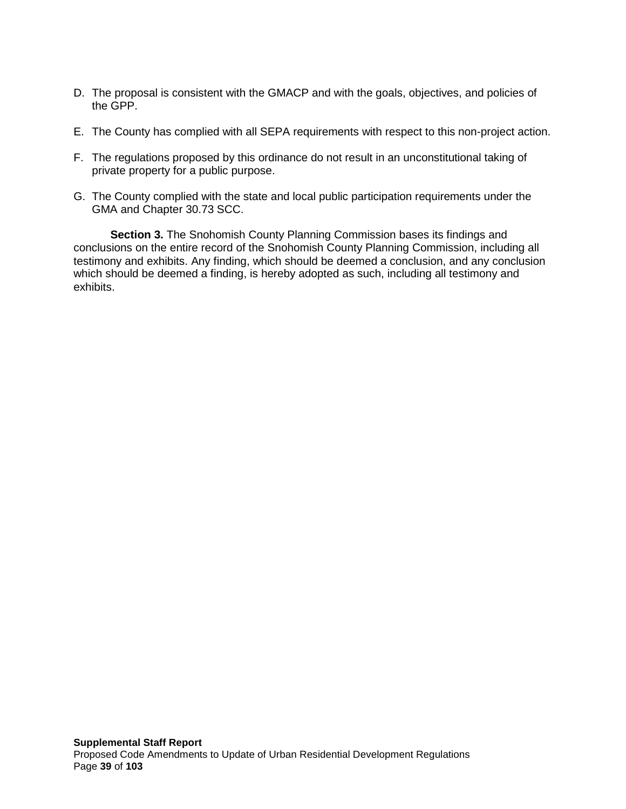- D. The proposal is consistent with the GMACP and with the goals, objectives, and policies of the GPP.
- E. The County has complied with all SEPA requirements with respect to this non-project action.
- F. The regulations proposed by this ordinance do not result in an unconstitutional taking of private property for a public purpose.
- G. The County complied with the state and local public participation requirements under the GMA and Chapter 30.73 SCC.

**Section 3.** The Snohomish County Planning Commission bases its findings and conclusions on the entire record of the Snohomish County Planning Commission, including all testimony and exhibits. Any finding, which should be deemed a conclusion, and any conclusion which should be deemed a finding, is hereby adopted as such, including all testimony and exhibits.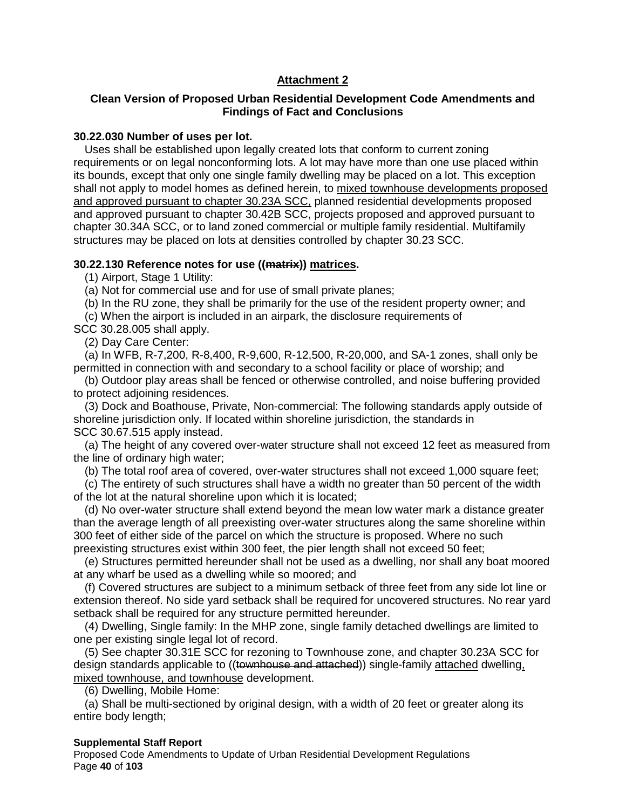# **Attachment 2**

# **Clean Version of Proposed Urban Residential Development Code Amendments and Findings of Fact and Conclusions**

## **30.22.030 Number of uses per lot.**

Uses shall be established upon legally created lots that conform to current zoning requirements or on legal nonconforming lots. A lot may have more than one use placed within its bounds, except that only one single family dwelling may be placed on a lot. This exception shall not apply to model homes as defined herein, to mixed townhouse developments proposed and approved pursuant to chapter 30.23A SCC, planned residential developments proposed and approved pursuant to chapter 30.42B SCC, projects proposed and approved pursuant to chapter 30.34A SCC, or to land zoned commercial or multiple family residential. Multifamily structures may be placed on lots at densities controlled by chapter 30.23 SCC.

## **30.22.130 Reference notes for use ((matrix)) matrices.**

(1) Airport, Stage 1 Utility:

(a) Not for commercial use and for use of small private planes;

(b) In the RU zone, they shall be primarily for the use of the resident property owner; and

(c) When the airport is included in an airpark, the disclosure requirements of

SCC 30.28.005 shall apply.

(2) Day Care Center:

(a) In WFB, R-7,200, R-8,400, R-9,600, R-12,500, R-20,000, and SA-1 zones, shall only be permitted in connection with and secondary to a school facility or place of worship; and

(b) Outdoor play areas shall be fenced or otherwise controlled, and noise buffering provided to protect adjoining residences.

(3) Dock and Boathouse, Private, Non-commercial: The following standards apply outside of shoreline jurisdiction only. If located within shoreline jurisdiction, the standards in SCC 30.67.515 apply instead.

(a) The height of any covered over-water structure shall not exceed 12 feet as measured from the line of ordinary high water;

(b) The total roof area of covered, over-water structures shall not exceed 1,000 square feet;

(c) The entirety of such structures shall have a width no greater than 50 percent of the width of the lot at the natural shoreline upon which it is located;

(d) No over-water structure shall extend beyond the mean low water mark a distance greater than the average length of all preexisting over-water structures along the same shoreline within 300 feet of either side of the parcel on which the structure is proposed. Where no such preexisting structures exist within 300 feet, the pier length shall not exceed 50 feet;

(e) Structures permitted hereunder shall not be used as a dwelling, nor shall any boat moored at any wharf be used as a dwelling while so moored; and

(f) Covered structures are subject to a minimum setback of three feet from any side lot line or extension thereof. No side yard setback shall be required for uncovered structures. No rear yard setback shall be required for any structure permitted hereunder.

(4) Dwelling, Single family: In the MHP zone, single family detached dwellings are limited to one per existing single legal lot of record.

(5) See chapter 30.31E SCC for rezoning to Townhouse zone, and chapter 30.23A SCC for design standards applicable to ((townhouse and attached)) single-family attached dwelling, mixed townhouse, and townhouse development.

(6) Dwelling, Mobile Home:

(a) Shall be multi-sectioned by original design, with a width of 20 feet or greater along its entire body length;

## **Supplemental Staff Report**

Proposed Code Amendments to Update of Urban Residential Development Regulations Page **40** of **103**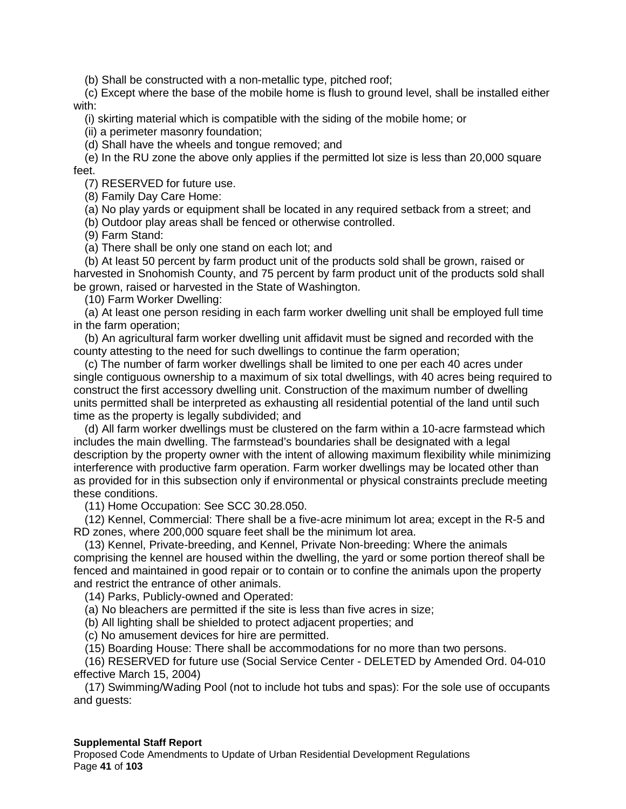(b) Shall be constructed with a non-metallic type, pitched roof;

(c) Except where the base of the mobile home is flush to ground level, shall be installed either with:

(i) skirting material which is compatible with the siding of the mobile home; or

(ii) a perimeter masonry foundation;

(d) Shall have the wheels and tongue removed; and

(e) In the RU zone the above only applies if the permitted lot size is less than 20,000 square feet.

(7) RESERVED for future use.

(8) Family Day Care Home:

(a) No play yards or equipment shall be located in any required setback from a street; and

(b) Outdoor play areas shall be fenced or otherwise controlled.

(9) Farm Stand:

(a) There shall be only one stand on each lot; and

(b) At least 50 percent by farm product unit of the products sold shall be grown, raised or harvested in Snohomish County, and 75 percent by farm product unit of the products sold shall be grown, raised or harvested in the State of Washington.

(10) Farm Worker Dwelling:

(a) At least one person residing in each farm worker dwelling unit shall be employed full time in the farm operation;

(b) An agricultural farm worker dwelling unit affidavit must be signed and recorded with the county attesting to the need for such dwellings to continue the farm operation;

(c) The number of farm worker dwellings shall be limited to one per each 40 acres under single contiguous ownership to a maximum of six total dwellings, with 40 acres being required to construct the first accessory dwelling unit. Construction of the maximum number of dwelling units permitted shall be interpreted as exhausting all residential potential of the land until such time as the property is legally subdivided; and

(d) All farm worker dwellings must be clustered on the farm within a 10-acre farmstead which includes the main dwelling. The farmstead's boundaries shall be designated with a legal description by the property owner with the intent of allowing maximum flexibility while minimizing interference with productive farm operation. Farm worker dwellings may be located other than as provided for in this subsection only if environmental or physical constraints preclude meeting these conditions.

(11) Home Occupation: See SCC 30.28.050.

(12) Kennel, Commercial: There shall be a five-acre minimum lot area; except in the R-5 and RD zones, where 200,000 square feet shall be the minimum lot area.

(13) Kennel, Private-breeding, and Kennel, Private Non-breeding: Where the animals comprising the kennel are housed within the dwelling, the yard or some portion thereof shall be fenced and maintained in good repair or to contain or to confine the animals upon the property and restrict the entrance of other animals.

(14) Parks, Publicly-owned and Operated:

(a) No bleachers are permitted if the site is less than five acres in size;

(b) All lighting shall be shielded to protect adjacent properties; and

(c) No amusement devices for hire are permitted.

(15) Boarding House: There shall be accommodations for no more than two persons.

(16) RESERVED for future use (Social Service Center - DELETED by Amended Ord. 04-010 effective March 15, 2004)

(17) Swimming/Wading Pool (not to include hot tubs and spas): For the sole use of occupants and guests:

## **Supplemental Staff Report**

Proposed Code Amendments to Update of Urban Residential Development Regulations Page **41** of **103**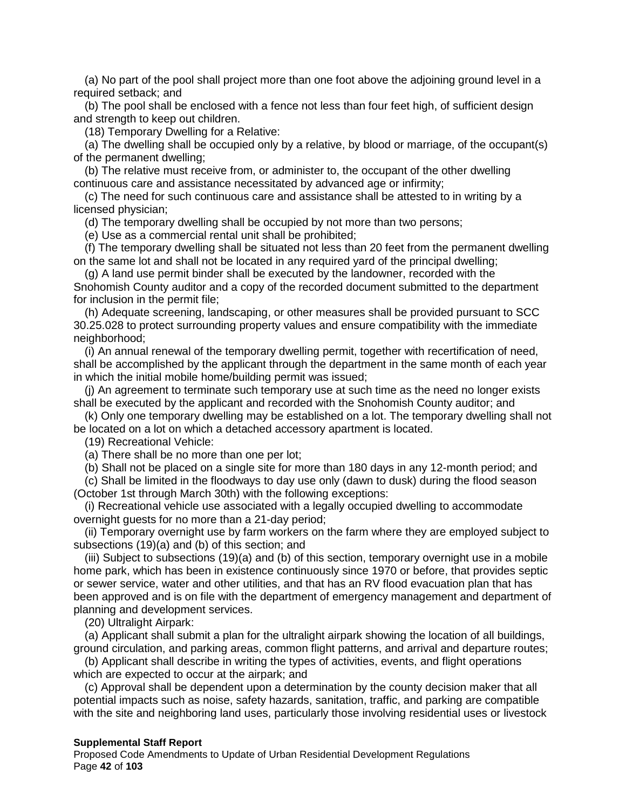(a) No part of the pool shall project more than one foot above the adjoining ground level in a required setback; and

(b) The pool shall be enclosed with a fence not less than four feet high, of sufficient design and strength to keep out children.

(18) Temporary Dwelling for a Relative:

(a) The dwelling shall be occupied only by a relative, by blood or marriage, of the occupant(s) of the permanent dwelling;

(b) The relative must receive from, or administer to, the occupant of the other dwelling continuous care and assistance necessitated by advanced age or infirmity;

(c) The need for such continuous care and assistance shall be attested to in writing by a licensed physician;

(d) The temporary dwelling shall be occupied by not more than two persons;

(e) Use as a commercial rental unit shall be prohibited;

(f) The temporary dwelling shall be situated not less than 20 feet from the permanent dwelling on the same lot and shall not be located in any required yard of the principal dwelling;

(g) A land use permit binder shall be executed by the landowner, recorded with the Snohomish County auditor and a copy of the recorded document submitted to the department for inclusion in the permit file;

(h) Adequate screening, landscaping, or other measures shall be provided pursuant to SCC 30.25.028 to protect surrounding property values and ensure compatibility with the immediate neighborhood;

(i) An annual renewal of the temporary dwelling permit, together with recertification of need, shall be accomplished by the applicant through the department in the same month of each year in which the initial mobile home/building permit was issued;

(j) An agreement to terminate such temporary use at such time as the need no longer exists shall be executed by the applicant and recorded with the Snohomish County auditor; and

(k) Only one temporary dwelling may be established on a lot. The temporary dwelling shall not be located on a lot on which a detached accessory apartment is located.

(19) Recreational Vehicle:

(a) There shall be no more than one per lot;

(b) Shall not be placed on a single site for more than 180 days in any 12-month period; and

(c) Shall be limited in the floodways to day use only (dawn to dusk) during the flood season (October 1st through March 30th) with the following exceptions:

(i) Recreational vehicle use associated with a legally occupied dwelling to accommodate overnight guests for no more than a 21-day period;

(ii) Temporary overnight use by farm workers on the farm where they are employed subject to subsections (19)(a) and (b) of this section; and

(iii) Subject to subsections (19)(a) and (b) of this section, temporary overnight use in a mobile home park, which has been in existence continuously since 1970 or before, that provides septic or sewer service, water and other utilities, and that has an RV flood evacuation plan that has been approved and is on file with the department of emergency management and department of planning and development services.

(20) Ultralight Airpark:

(a) Applicant shall submit a plan for the ultralight airpark showing the location of all buildings, ground circulation, and parking areas, common flight patterns, and arrival and departure routes;

(b) Applicant shall describe in writing the types of activities, events, and flight operations which are expected to occur at the airpark; and

(c) Approval shall be dependent upon a determination by the county decision maker that all potential impacts such as noise, safety hazards, sanitation, traffic, and parking are compatible with the site and neighboring land uses, particularly those involving residential uses or livestock

#### **Supplemental Staff Report**

Proposed Code Amendments to Update of Urban Residential Development Regulations Page **42** of **103**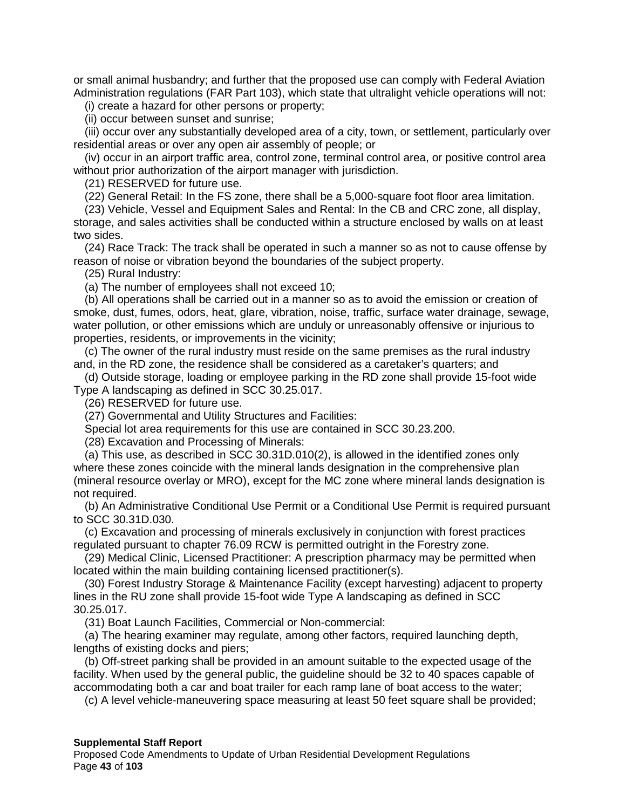or small animal husbandry; and further that the proposed use can comply with Federal Aviation Administration regulations (FAR Part 103), which state that ultralight vehicle operations will not:

(i) create a hazard for other persons or property;

(ii) occur between sunset and sunrise;

(iii) occur over any substantially developed area of a city, town, or settlement, particularly over residential areas or over any open air assembly of people; or

(iv) occur in an airport traffic area, control zone, terminal control area, or positive control area without prior authorization of the airport manager with jurisdiction.

(21) RESERVED for future use.

(22) General Retail: In the FS zone, there shall be a 5,000-square foot floor area limitation.

(23) Vehicle, Vessel and Equipment Sales and Rental: In the CB and CRC zone, all display, storage, and sales activities shall be conducted within a structure enclosed by walls on at least two sides.

(24) Race Track: The track shall be operated in such a manner so as not to cause offense by reason of noise or vibration beyond the boundaries of the subject property.

(25) Rural Industry:

(a) The number of employees shall not exceed 10;

(b) All operations shall be carried out in a manner so as to avoid the emission or creation of smoke, dust, fumes, odors, heat, glare, vibration, noise, traffic, surface water drainage, sewage, water pollution, or other emissions which are unduly or unreasonably offensive or injurious to properties, residents, or improvements in the vicinity;

(c) The owner of the rural industry must reside on the same premises as the rural industry and, in the RD zone, the residence shall be considered as a caretaker's quarters; and

(d) Outside storage, loading or employee parking in the RD zone shall provide 15-foot wide Type A landscaping as defined in SCC 30.25.017.

(26) RESERVED for future use.

(27) Governmental and Utility Structures and Facilities:

Special lot area requirements for this use are contained in SCC 30.23.200.

(28) Excavation and Processing of Minerals:

(a) This use, as described in SCC 30.31D.010(2), is allowed in the identified zones only where these zones coincide with the mineral lands designation in the comprehensive plan (mineral resource overlay or MRO), except for the MC zone where mineral lands designation is not required.

(b) An Administrative Conditional Use Permit or a Conditional Use Permit is required pursuant to SCC 30.31D.030.

(c) Excavation and processing of minerals exclusively in conjunction with forest practices regulated pursuant to chapter 76.09 RCW is permitted outright in the Forestry zone.

(29) Medical Clinic, Licensed Practitioner: A prescription pharmacy may be permitted when located within the main building containing licensed practitioner(s).

(30) Forest Industry Storage & Maintenance Facility (except harvesting) adjacent to property lines in the RU zone shall provide 15-foot wide Type A landscaping as defined in SCC 30.25.017.

(31) Boat Launch Facilities, Commercial or Non-commercial:

(a) The hearing examiner may regulate, among other factors, required launching depth, lengths of existing docks and piers;

(b) Off-street parking shall be provided in an amount suitable to the expected usage of the facility. When used by the general public, the guideline should be 32 to 40 spaces capable of accommodating both a car and boat trailer for each ramp lane of boat access to the water;

(c) A level vehicle-maneuvering space measuring at least 50 feet square shall be provided;

#### **Supplemental Staff Report**

Proposed Code Amendments to Update of Urban Residential Development Regulations Page **43** of **103**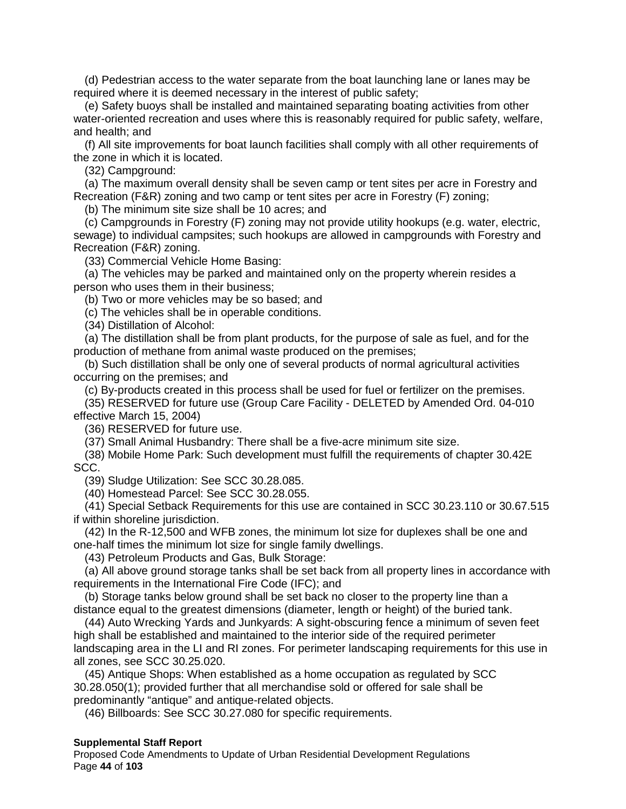(d) Pedestrian access to the water separate from the boat launching lane or lanes may be required where it is deemed necessary in the interest of public safety;

(e) Safety buoys shall be installed and maintained separating boating activities from other water-oriented recreation and uses where this is reasonably required for public safety, welfare, and health; and

(f) All site improvements for boat launch facilities shall comply with all other requirements of the zone in which it is located.

(32) Campground:

(a) The maximum overall density shall be seven camp or tent sites per acre in Forestry and Recreation (F&R) zoning and two camp or tent sites per acre in Forestry (F) zoning;

(b) The minimum site size shall be 10 acres; and

(c) Campgrounds in Forestry (F) zoning may not provide utility hookups (e.g. water, electric, sewage) to individual campsites; such hookups are allowed in campgrounds with Forestry and Recreation (F&R) zoning.

(33) Commercial Vehicle Home Basing:

(a) The vehicles may be parked and maintained only on the property wherein resides a person who uses them in their business;

(b) Two or more vehicles may be so based; and

(c) The vehicles shall be in operable conditions.

(34) Distillation of Alcohol:

(a) The distillation shall be from plant products, for the purpose of sale as fuel, and for the production of methane from animal waste produced on the premises;

(b) Such distillation shall be only one of several products of normal agricultural activities occurring on the premises; and

(c) By-products created in this process shall be used for fuel or fertilizer on the premises.

(35) RESERVED for future use (Group Care Facility - DELETED by Amended Ord. 04-010 effective March 15, 2004)

(36) RESERVED for future use.

(37) Small Animal Husbandry: There shall be a five-acre minimum site size.

(38) Mobile Home Park: Such development must fulfill the requirements of chapter 30.42E SCC.

(39) Sludge Utilization: See SCC 30.28.085.

(40) Homestead Parcel: See SCC 30.28.055.

(41) Special Setback Requirements for this use are contained in SCC 30.23.110 or 30.67.515 if within shoreline jurisdiction.

(42) In the R-12,500 and WFB zones, the minimum lot size for duplexes shall be one and one-half times the minimum lot size for single family dwellings.

(43) Petroleum Products and Gas, Bulk Storage:

(a) All above ground storage tanks shall be set back from all property lines in accordance with requirements in the International Fire Code (IFC); and

(b) Storage tanks below ground shall be set back no closer to the property line than a distance equal to the greatest dimensions (diameter, length or height) of the buried tank.

(44) Auto Wrecking Yards and Junkyards: A sight-obscuring fence a minimum of seven feet high shall be established and maintained to the interior side of the required perimeter landscaping area in the LI and RI zones. For perimeter landscaping requirements for this use in all zones, see SCC 30.25.020.

(45) Antique Shops: When established as a home occupation as regulated by SCC 30.28.050(1); provided further that all merchandise sold or offered for sale shall be predominantly "antique" and antique-related objects.

(46) Billboards: See SCC 30.27.080 for specific requirements.

#### **Supplemental Staff Report**

Proposed Code Amendments to Update of Urban Residential Development Regulations Page **44** of **103**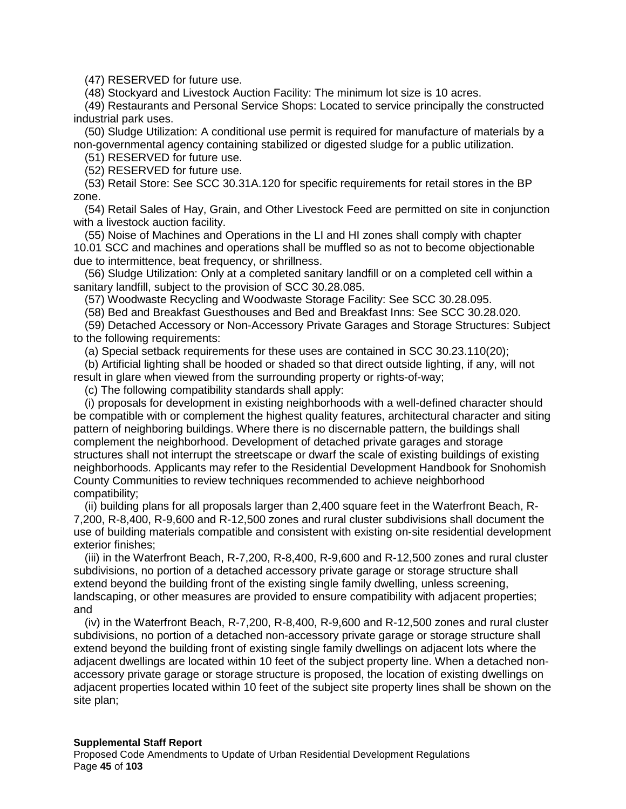(47) RESERVED for future use.

(48) Stockyard and Livestock Auction Facility: The minimum lot size is 10 acres.

(49) Restaurants and Personal Service Shops: Located to service principally the constructed industrial park uses.

(50) Sludge Utilization: A conditional use permit is required for manufacture of materials by a non-governmental agency containing stabilized or digested sludge for a public utilization.

(51) RESERVED for future use.

(52) RESERVED for future use.

(53) Retail Store: See SCC 30.31A.120 for specific requirements for retail stores in the BP zone.

(54) Retail Sales of Hay, Grain, and Other Livestock Feed are permitted on site in conjunction with a livestock auction facility.

(55) Noise of Machines and Operations in the LI and HI zones shall comply with chapter 10.01 SCC and machines and operations shall be muffled so as not to become objectionable due to intermittence, beat frequency, or shrillness.

(56) Sludge Utilization: Only at a completed sanitary landfill or on a completed cell within a sanitary landfill, subject to the provision of SCC 30.28.085.

(57) Woodwaste Recycling and Woodwaste Storage Facility: See SCC 30.28.095.

(58) Bed and Breakfast Guesthouses and Bed and Breakfast Inns: See SCC 30.28.020.

(59) Detached Accessory or Non-Accessory Private Garages and Storage Structures: Subject to the following requirements:

(a) Special setback requirements for these uses are contained in SCC 30.23.110(20);

(b) Artificial lighting shall be hooded or shaded so that direct outside lighting, if any, will not result in glare when viewed from the surrounding property or rights-of-way;

(c) The following compatibility standards shall apply:

(i) proposals for development in existing neighborhoods with a well-defined character should be compatible with or complement the highest quality features, architectural character and siting pattern of neighboring buildings. Where there is no discernable pattern, the buildings shall complement the neighborhood. Development of detached private garages and storage structures shall not interrupt the streetscape or dwarf the scale of existing buildings of existing neighborhoods. Applicants may refer to the Residential Development Handbook for Snohomish County Communities to review techniques recommended to achieve neighborhood compatibility;

(ii) building plans for all proposals larger than 2,400 square feet in the Waterfront Beach, R-7,200, R-8,400, R-9,600 and R-12,500 zones and rural cluster subdivisions shall document the use of building materials compatible and consistent with existing on-site residential development exterior finishes;

(iii) in the Waterfront Beach, R-7,200, R-8,400, R-9,600 and R-12,500 zones and rural cluster subdivisions, no portion of a detached accessory private garage or storage structure shall extend beyond the building front of the existing single family dwelling, unless screening, landscaping, or other measures are provided to ensure compatibility with adjacent properties; and

(iv) in the Waterfront Beach, R-7,200, R-8,400, R-9,600 and R-12,500 zones and rural cluster subdivisions, no portion of a detached non-accessory private garage or storage structure shall extend beyond the building front of existing single family dwellings on adjacent lots where the adjacent dwellings are located within 10 feet of the subject property line. When a detached nonaccessory private garage or storage structure is proposed, the location of existing dwellings on adjacent properties located within 10 feet of the subject site property lines shall be shown on the site plan;

Proposed Code Amendments to Update of Urban Residential Development Regulations Page **45** of **103**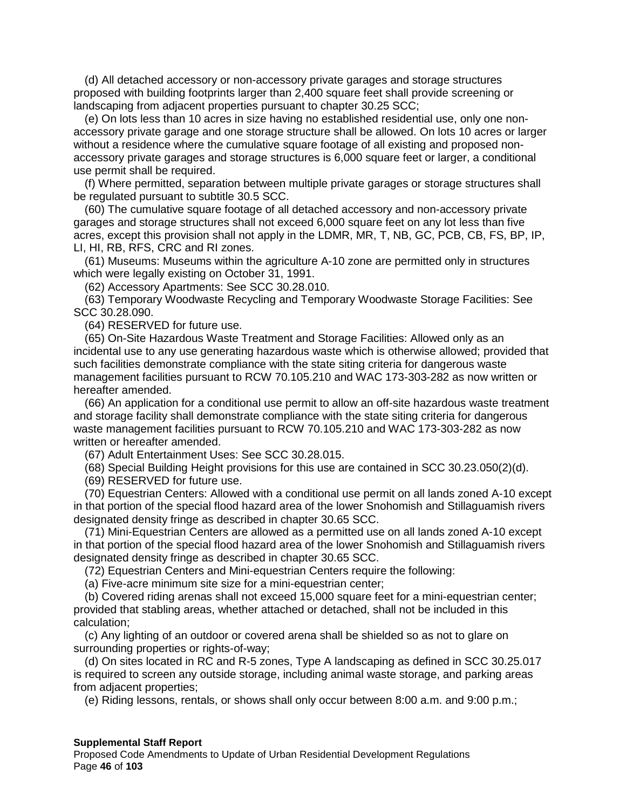(d) All detached accessory or non-accessory private garages and storage structures proposed with building footprints larger than 2,400 square feet shall provide screening or landscaping from adjacent properties pursuant to chapter 30.25 SCC;

(e) On lots less than 10 acres in size having no established residential use, only one nonaccessory private garage and one storage structure shall be allowed. On lots 10 acres or larger without a residence where the cumulative square footage of all existing and proposed nonaccessory private garages and storage structures is 6,000 square feet or larger, a conditional use permit shall be required.

(f) Where permitted, separation between multiple private garages or storage structures shall be regulated pursuant to subtitle 30.5 SCC.

(60) The cumulative square footage of all detached accessory and non-accessory private garages and storage structures shall not exceed 6,000 square feet on any lot less than five acres, except this provision shall not apply in the LDMR, MR, T, NB, GC, PCB, CB, FS, BP, IP, LI, HI, RB, RFS, CRC and RI zones.

(61) Museums: Museums within the agriculture A-10 zone are permitted only in structures which were legally existing on October 31, 1991.

(62) Accessory Apartments: See SCC 30.28.010.

(63) Temporary Woodwaste Recycling and Temporary Woodwaste Storage Facilities: See SCC 30.28.090.

(64) RESERVED for future use.

(65) On-Site Hazardous Waste Treatment and Storage Facilities: Allowed only as an incidental use to any use generating hazardous waste which is otherwise allowed; provided that such facilities demonstrate compliance with the state siting criteria for dangerous waste management facilities pursuant to RCW 70.105.210 and WAC 173-303-282 as now written or hereafter amended.

(66) An application for a conditional use permit to allow an off-site hazardous waste treatment and storage facility shall demonstrate compliance with the state siting criteria for dangerous waste management facilities pursuant to RCW 70.105.210 and WAC 173-303-282 as now written or hereafter amended.

(67) Adult Entertainment Uses: See SCC 30.28.015.

(68) Special Building Height provisions for this use are contained in SCC 30.23.050(2)(d).

(69) RESERVED for future use.

(70) Equestrian Centers: Allowed with a conditional use permit on all lands zoned A-10 except in that portion of the special flood hazard area of the lower Snohomish and Stillaguamish rivers designated density fringe as described in chapter 30.65 SCC.

(71) Mini-Equestrian Centers are allowed as a permitted use on all lands zoned A-10 except in that portion of the special flood hazard area of the lower Snohomish and Stillaguamish rivers designated density fringe as described in chapter 30.65 SCC.

(72) Equestrian Centers and Mini-equestrian Centers require the following:

(a) Five-acre minimum site size for a mini-equestrian center;

(b) Covered riding arenas shall not exceed 15,000 square feet for a mini-equestrian center; provided that stabling areas, whether attached or detached, shall not be included in this calculation;

(c) Any lighting of an outdoor or covered arena shall be shielded so as not to glare on surrounding properties or rights-of-way;

(d) On sites located in RC and R-5 zones, Type A landscaping as defined in SCC 30.25.017 is required to screen any outside storage, including animal waste storage, and parking areas from adjacent properties;

(e) Riding lessons, rentals, or shows shall only occur between 8:00 a.m. and 9:00 p.m.;

#### **Supplemental Staff Report**

Proposed Code Amendments to Update of Urban Residential Development Regulations Page **46** of **103**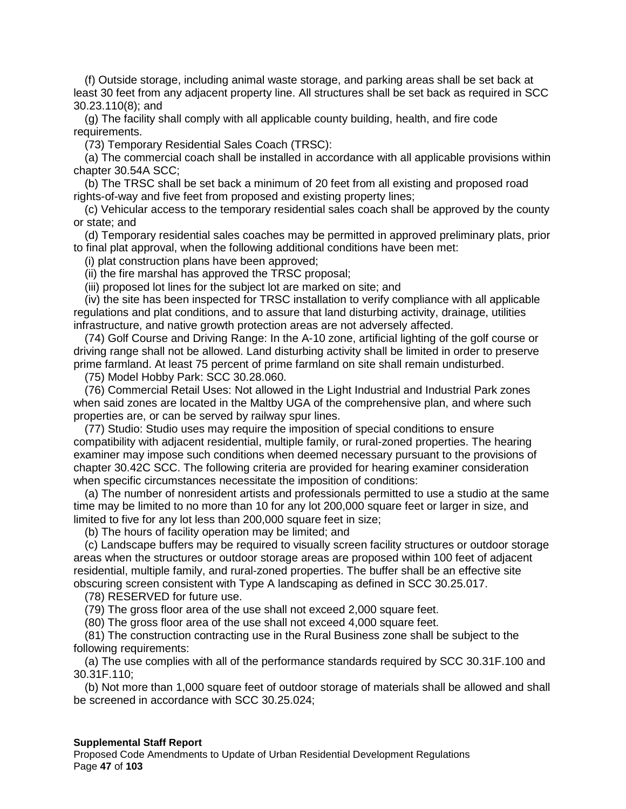(f) Outside storage, including animal waste storage, and parking areas shall be set back at least 30 feet from any adjacent property line. All structures shall be set back as required in SCC 30.23.110(8); and

(g) The facility shall comply with all applicable county building, health, and fire code requirements.

(73) Temporary Residential Sales Coach (TRSC):

(a) The commercial coach shall be installed in accordance with all applicable provisions within chapter 30.54A SCC;

(b) The TRSC shall be set back a minimum of 20 feet from all existing and proposed road rights-of-way and five feet from proposed and existing property lines;

(c) Vehicular access to the temporary residential sales coach shall be approved by the county or state; and

(d) Temporary residential sales coaches may be permitted in approved preliminary plats, prior to final plat approval, when the following additional conditions have been met:

(i) plat construction plans have been approved;

(ii) the fire marshal has approved the TRSC proposal;

(iii) proposed lot lines for the subject lot are marked on site; and

(iv) the site has been inspected for TRSC installation to verify compliance with all applicable regulations and plat conditions, and to assure that land disturbing activity, drainage, utilities infrastructure, and native growth protection areas are not adversely affected.

(74) Golf Course and Driving Range: In the A-10 zone, artificial lighting of the golf course or driving range shall not be allowed. Land disturbing activity shall be limited in order to preserve prime farmland. At least 75 percent of prime farmland on site shall remain undisturbed.

(75) Model Hobby Park: SCC 30.28.060.

(76) Commercial Retail Uses: Not allowed in the Light Industrial and Industrial Park zones when said zones are located in the Maltby UGA of the comprehensive plan, and where such properties are, or can be served by railway spur lines.

(77) Studio: Studio uses may require the imposition of special conditions to ensure compatibility with adjacent residential, multiple family, or rural-zoned properties. The hearing examiner may impose such conditions when deemed necessary pursuant to the provisions of chapter 30.42C SCC. The following criteria are provided for hearing examiner consideration when specific circumstances necessitate the imposition of conditions:

(a) The number of nonresident artists and professionals permitted to use a studio at the same time may be limited to no more than 10 for any lot 200,000 square feet or larger in size, and limited to five for any lot less than 200,000 square feet in size;

(b) The hours of facility operation may be limited; and

(c) Landscape buffers may be required to visually screen facility structures or outdoor storage areas when the structures or outdoor storage areas are proposed within 100 feet of adjacent residential, multiple family, and rural-zoned properties. The buffer shall be an effective site obscuring screen consistent with Type A landscaping as defined in SCC 30.25.017.

(78) RESERVED for future use.

(79) The gross floor area of the use shall not exceed 2,000 square feet.

(80) The gross floor area of the use shall not exceed 4,000 square feet.

(81) The construction contracting use in the Rural Business zone shall be subject to the following requirements:

(a) The use complies with all of the performance standards required by SCC 30.31F.100 and 30.31F.110;

(b) Not more than 1,000 square feet of outdoor storage of materials shall be allowed and shall be screened in accordance with SCC 30.25.024;

#### **Supplemental Staff Report**

Proposed Code Amendments to Update of Urban Residential Development Regulations Page **47** of **103**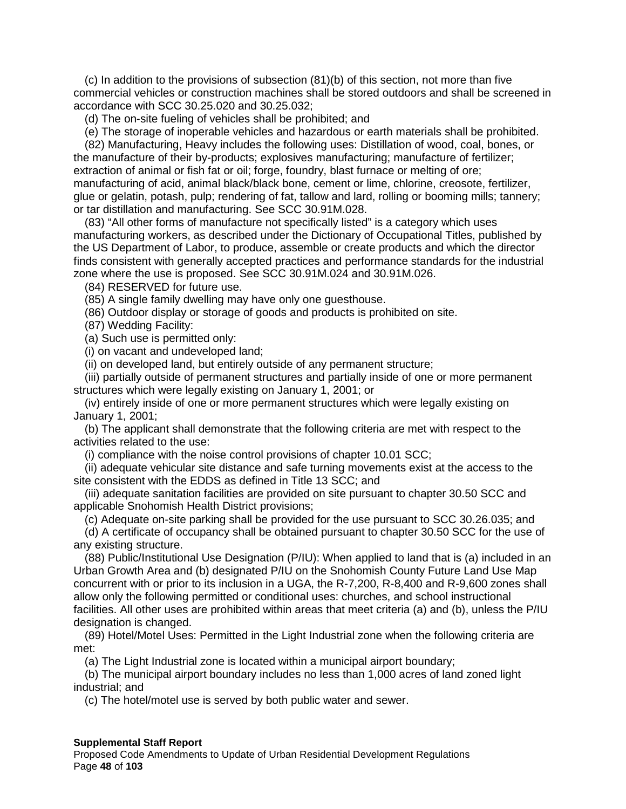(c) In addition to the provisions of subsection (81)(b) of this section, not more than five commercial vehicles or construction machines shall be stored outdoors and shall be screened in accordance with SCC 30.25.020 and 30.25.032;

(d) The on-site fueling of vehicles shall be prohibited; and

(e) The storage of inoperable vehicles and hazardous or earth materials shall be prohibited.

(82) Manufacturing, Heavy includes the following uses: Distillation of wood, coal, bones, or the manufacture of their by-products; explosives manufacturing; manufacture of fertilizer; extraction of animal or fish fat or oil; forge, foundry, blast furnace or melting of ore; manufacturing of acid, animal black/black bone, cement or lime, chlorine, creosote, fertilizer, glue or gelatin, potash, pulp; rendering of fat, tallow and lard, rolling or booming mills; tannery; or tar distillation and manufacturing. See SCC 30.91M.028.

(83) "All other forms of manufacture not specifically listed" is a category which uses manufacturing workers, as described under the Dictionary of Occupational Titles, published by the US Department of Labor, to produce, assemble or create products and which the director finds consistent with generally accepted practices and performance standards for the industrial zone where the use is proposed. See SCC 30.91M.024 and 30.91M.026.

(84) RESERVED for future use.

(85) A single family dwelling may have only one guesthouse.

(86) Outdoor display or storage of goods and products is prohibited on site.

(87) Wedding Facility:

(a) Such use is permitted only:

(i) on vacant and undeveloped land;

(ii) on developed land, but entirely outside of any permanent structure;

(iii) partially outside of permanent structures and partially inside of one or more permanent structures which were legally existing on January 1, 2001; or

(iv) entirely inside of one or more permanent structures which were legally existing on January 1, 2001;

(b) The applicant shall demonstrate that the following criteria are met with respect to the activities related to the use:

(i) compliance with the noise control provisions of chapter 10.01 SCC;

(ii) adequate vehicular site distance and safe turning movements exist at the access to the site consistent with the EDDS as defined in Title 13 SCC; and

(iii) adequate sanitation facilities are provided on site pursuant to chapter 30.50 SCC and applicable Snohomish Health District provisions;

(c) Adequate on-site parking shall be provided for the use pursuant to SCC 30.26.035; and

(d) A certificate of occupancy shall be obtained pursuant to chapter 30.50 SCC for the use of any existing structure.

(88) Public/Institutional Use Designation (P/IU): When applied to land that is (a) included in an Urban Growth Area and (b) designated P/IU on the Snohomish County Future Land Use Map concurrent with or prior to its inclusion in a UGA, the R-7,200, R-8,400 and R-9,600 zones shall allow only the following permitted or conditional uses: churches, and school instructional facilities. All other uses are prohibited within areas that meet criteria (a) and (b), unless the P/IU designation is changed.

(89) Hotel/Motel Uses: Permitted in the Light Industrial zone when the following criteria are met:

(a) The Light Industrial zone is located within a municipal airport boundary;

(b) The municipal airport boundary includes no less than 1,000 acres of land zoned light industrial; and

(c) The hotel/motel use is served by both public water and sewer.

#### **Supplemental Staff Report**

Proposed Code Amendments to Update of Urban Residential Development Regulations Page **48** of **103**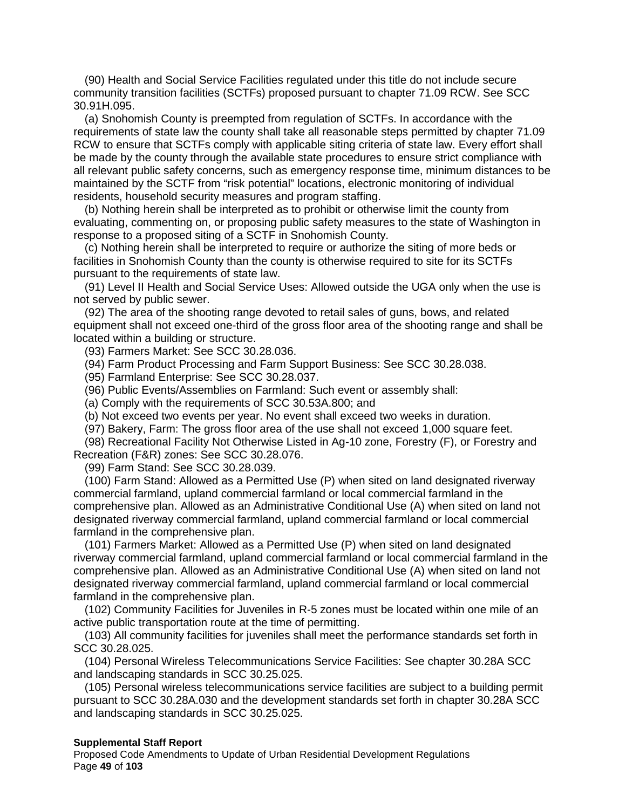(90) Health and Social Service Facilities regulated under this title do not include secure community transition facilities (SCTFs) proposed pursuant to chapter 71.09 RCW. See SCC 30.91H.095.

(a) Snohomish County is preempted from regulation of SCTFs. In accordance with the requirements of state law the county shall take all reasonable steps permitted by chapter 71.09 RCW to ensure that SCTFs comply with applicable siting criteria of state law. Every effort shall be made by the county through the available state procedures to ensure strict compliance with all relevant public safety concerns, such as emergency response time, minimum distances to be maintained by the SCTF from "risk potential" locations, electronic monitoring of individual residents, household security measures and program staffing.

(b) Nothing herein shall be interpreted as to prohibit or otherwise limit the county from evaluating, commenting on, or proposing public safety measures to the state of Washington in response to a proposed siting of a SCTF in Snohomish County.

(c) Nothing herein shall be interpreted to require or authorize the siting of more beds or facilities in Snohomish County than the county is otherwise required to site for its SCTFs pursuant to the requirements of state law.

(91) Level II Health and Social Service Uses: Allowed outside the UGA only when the use is not served by public sewer.

(92) The area of the shooting range devoted to retail sales of guns, bows, and related equipment shall not exceed one-third of the gross floor area of the shooting range and shall be located within a building or structure.

(93) Farmers Market: See SCC 30.28.036.

(94) Farm Product Processing and Farm Support Business: See SCC 30.28.038.

(95) Farmland Enterprise: See SCC 30.28.037.

(96) Public Events/Assemblies on Farmland: Such event or assembly shall:

(a) Comply with the requirements of SCC 30.53A.800; and

(b) Not exceed two events per year. No event shall exceed two weeks in duration.

(97) Bakery, Farm: The gross floor area of the use shall not exceed 1,000 square feet.

(98) Recreational Facility Not Otherwise Listed in Ag-10 zone, Forestry (F), or Forestry and Recreation (F&R) zones: See SCC 30.28.076.

(99) Farm Stand: See SCC 30.28.039.

(100) Farm Stand: Allowed as a Permitted Use (P) when sited on land designated riverway commercial farmland, upland commercial farmland or local commercial farmland in the comprehensive plan. Allowed as an Administrative Conditional Use (A) when sited on land not designated riverway commercial farmland, upland commercial farmland or local commercial farmland in the comprehensive plan.

(101) Farmers Market: Allowed as a Permitted Use (P) when sited on land designated riverway commercial farmland, upland commercial farmland or local commercial farmland in the comprehensive plan. Allowed as an Administrative Conditional Use (A) when sited on land not designated riverway commercial farmland, upland commercial farmland or local commercial farmland in the comprehensive plan.

(102) Community Facilities for Juveniles in R-5 zones must be located within one mile of an active public transportation route at the time of permitting.

(103) All community facilities for juveniles shall meet the performance standards set forth in SCC 30.28.025.

(104) Personal Wireless Telecommunications Service Facilities: See chapter 30.28A SCC and landscaping standards in SCC 30.25.025.

(105) Personal wireless telecommunications service facilities are subject to a building permit pursuant to SCC 30.28A.030 and the development standards set forth in chapter 30.28A SCC and landscaping standards in SCC 30.25.025.

#### **Supplemental Staff Report**

Proposed Code Amendments to Update of Urban Residential Development Regulations Page **49** of **103**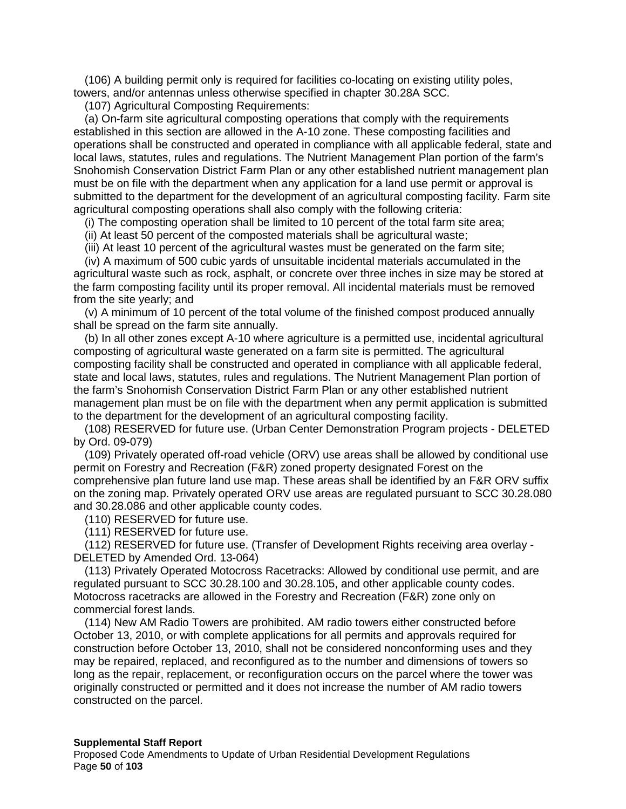(106) A building permit only is required for facilities co-locating on existing utility poles, towers, and/or antennas unless otherwise specified in chapter 30.28A SCC.

(107) Agricultural Composting Requirements:

(a) On-farm site agricultural composting operations that comply with the requirements established in this section are allowed in the A-10 zone. These composting facilities and operations shall be constructed and operated in compliance with all applicable federal, state and local laws, statutes, rules and regulations. The Nutrient Management Plan portion of the farm's Snohomish Conservation District Farm Plan or any other established nutrient management plan must be on file with the department when any application for a land use permit or approval is submitted to the department for the development of an agricultural composting facility. Farm site agricultural composting operations shall also comply with the following criteria:

(i) The composting operation shall be limited to 10 percent of the total farm site area;

(ii) At least 50 percent of the composted materials shall be agricultural waste;

(iii) At least 10 percent of the agricultural wastes must be generated on the farm site;

(iv) A maximum of 500 cubic yards of unsuitable incidental materials accumulated in the agricultural waste such as rock, asphalt, or concrete over three inches in size may be stored at the farm composting facility until its proper removal. All incidental materials must be removed from the site yearly; and

(v) A minimum of 10 percent of the total volume of the finished compost produced annually shall be spread on the farm site annually.

(b) In all other zones except A-10 where agriculture is a permitted use, incidental agricultural composting of agricultural waste generated on a farm site is permitted. The agricultural composting facility shall be constructed and operated in compliance with all applicable federal, state and local laws, statutes, rules and regulations. The Nutrient Management Plan portion of the farm's Snohomish Conservation District Farm Plan or any other established nutrient management plan must be on file with the department when any permit application is submitted to the department for the development of an agricultural composting facility.

(108) RESERVED for future use. (Urban Center Demonstration Program projects - DELETED by Ord. 09-079)

(109) Privately operated off-road vehicle (ORV) use areas shall be allowed by conditional use permit on Forestry and Recreation (F&R) zoned property designated Forest on the comprehensive plan future land use map. These areas shall be identified by an F&R ORV suffix on the zoning map. Privately operated ORV use areas are regulated pursuant to SCC 30.28.080 and 30.28.086 and other applicable county codes.

(110) RESERVED for future use.

(111) RESERVED for future use.

(112) RESERVED for future use. (Transfer of Development Rights receiving area overlay - DELETED by Amended Ord. 13-064)

(113) Privately Operated Motocross Racetracks: Allowed by conditional use permit, and are regulated pursuant to SCC 30.28.100 and 30.28.105, and other applicable county codes. Motocross racetracks are allowed in the Forestry and Recreation (F&R) zone only on commercial forest lands.

(114) New AM Radio Towers are prohibited. AM radio towers either constructed before October 13, 2010, or with complete applications for all permits and approvals required for construction before October 13, 2010, shall not be considered nonconforming uses and they may be repaired, replaced, and reconfigured as to the number and dimensions of towers so long as the repair, replacement, or reconfiguration occurs on the parcel where the tower was originally constructed or permitted and it does not increase the number of AM radio towers constructed on the parcel.

#### **Supplemental Staff Report**

Proposed Code Amendments to Update of Urban Residential Development Regulations Page **50** of **103**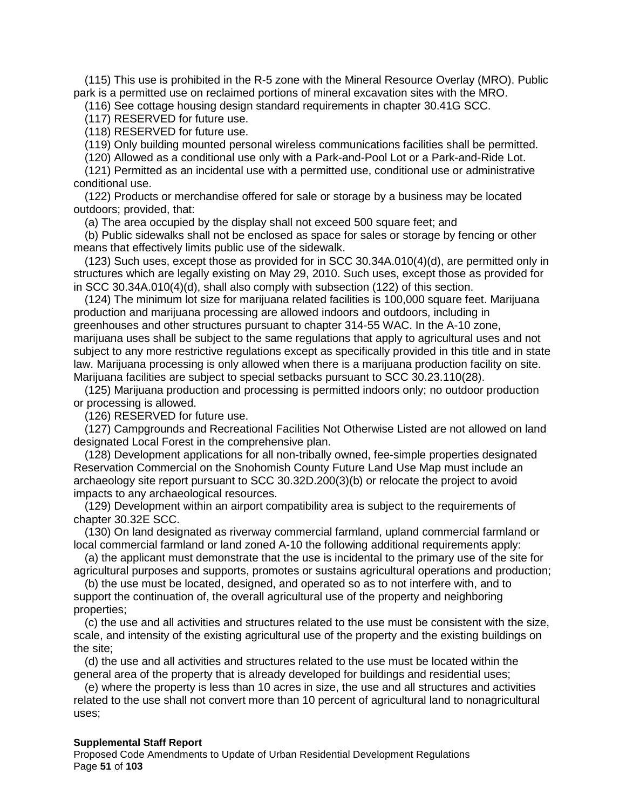(115) This use is prohibited in the R-5 zone with the Mineral Resource Overlay (MRO). Public park is a permitted use on reclaimed portions of mineral excavation sites with the MRO.

(116) See cottage housing design standard requirements in chapter 30.41G SCC.

(117) RESERVED for future use.

(118) RESERVED for future use.

(119) Only building mounted personal wireless communications facilities shall be permitted.

(120) Allowed as a conditional use only with a Park-and-Pool Lot or a Park-and-Ride Lot.

(121) Permitted as an incidental use with a permitted use, conditional use or administrative conditional use.

(122) Products or merchandise offered for sale or storage by a business may be located outdoors; provided, that:

(a) The area occupied by the display shall not exceed 500 square feet; and

(b) Public sidewalks shall not be enclosed as space for sales or storage by fencing or other means that effectively limits public use of the sidewalk.

 $(123)$  Such uses, except those as provided for in SCC 30.34A.010 $(4)(d)$ , are permitted only in structures which are legally existing on May 29, 2010. Such uses, except those as provided for in SCC 30.34A.010(4)(d), shall also comply with subsection (122) of this section.

(124) The minimum lot size for marijuana related facilities is 100,000 square feet. Marijuana production and marijuana processing are allowed indoors and outdoors, including in greenhouses and other structures pursuant to chapter 314-55 WAC. In the A-10 zone, marijuana uses shall be subject to the same regulations that apply to agricultural uses and not subject to any more restrictive regulations except as specifically provided in this title and in state law. Marijuana processing is only allowed when there is a marijuana production facility on site. Marijuana facilities are subject to special setbacks pursuant to SCC 30.23.110(28).

(125) Marijuana production and processing is permitted indoors only; no outdoor production or processing is allowed.

(126) RESERVED for future use.

(127) Campgrounds and Recreational Facilities Not Otherwise Listed are not allowed on land designated Local Forest in the comprehensive plan.

(128) Development applications for all non-tribally owned, fee-simple properties designated Reservation Commercial on the Snohomish County Future Land Use Map must include an archaeology site report pursuant to SCC 30.32D.200(3)(b) or relocate the project to avoid impacts to any archaeological resources.

(129) Development within an airport compatibility area is subject to the requirements of chapter 30.32E SCC.

(130) On land designated as riverway commercial farmland, upland commercial farmland or local commercial farmland or land zoned A-10 the following additional requirements apply:

(a) the applicant must demonstrate that the use is incidental to the primary use of the site for agricultural purposes and supports, promotes or sustains agricultural operations and production;

(b) the use must be located, designed, and operated so as to not interfere with, and to support the continuation of, the overall agricultural use of the property and neighboring properties;

(c) the use and all activities and structures related to the use must be consistent with the size, scale, and intensity of the existing agricultural use of the property and the existing buildings on the site;

(d) the use and all activities and structures related to the use must be located within the general area of the property that is already developed for buildings and residential uses;

(e) where the property is less than 10 acres in size, the use and all structures and activities related to the use shall not convert more than 10 percent of agricultural land to nonagricultural uses;

#### **Supplemental Staff Report**

Proposed Code Amendments to Update of Urban Residential Development Regulations Page **51** of **103**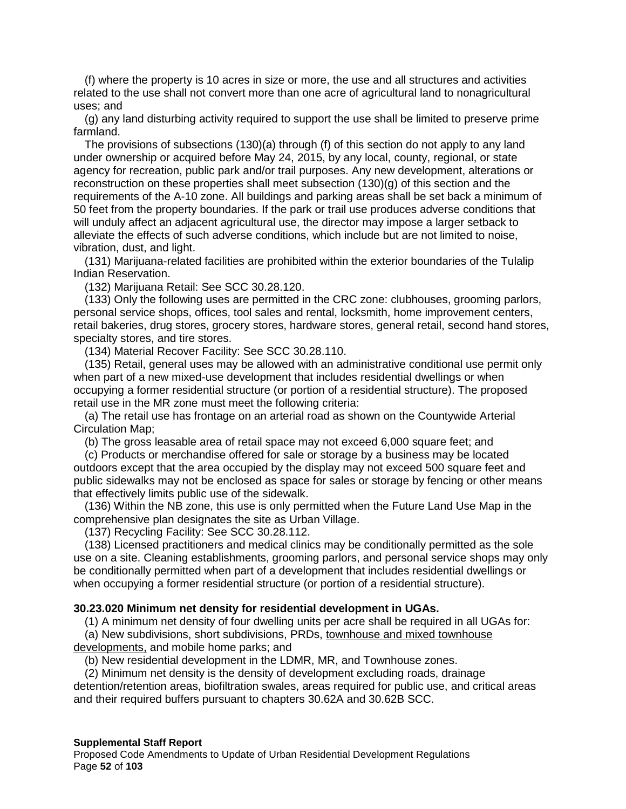(f) where the property is 10 acres in size or more, the use and all structures and activities related to the use shall not convert more than one acre of agricultural land to nonagricultural uses; and

(g) any land disturbing activity required to support the use shall be limited to preserve prime farmland.

The provisions of subsections (130)(a) through (f) of this section do not apply to any land under ownership or acquired before May 24, 2015, by any local, county, regional, or state agency for recreation, public park and/or trail purposes. Any new development, alterations or reconstruction on these properties shall meet subsection (130)(g) of this section and the requirements of the A-10 zone. All buildings and parking areas shall be set back a minimum of 50 feet from the property boundaries. If the park or trail use produces adverse conditions that will unduly affect an adjacent agricultural use, the director may impose a larger setback to alleviate the effects of such adverse conditions, which include but are not limited to noise, vibration, dust, and light.

(131) Marijuana-related facilities are prohibited within the exterior boundaries of the Tulalip Indian Reservation.

(132) Marijuana Retail: See SCC 30.28.120.

(133) Only the following uses are permitted in the CRC zone: clubhouses, grooming parlors, personal service shops, offices, tool sales and rental, locksmith, home improvement centers, retail bakeries, drug stores, grocery stores, hardware stores, general retail, second hand stores, specialty stores, and tire stores.

(134) Material Recover Facility: See SCC 30.28.110.

(135) Retail, general uses may be allowed with an administrative conditional use permit only when part of a new mixed-use development that includes residential dwellings or when occupying a former residential structure (or portion of a residential structure). The proposed retail use in the MR zone must meet the following criteria:

(a) The retail use has frontage on an arterial road as shown on the Countywide Arterial Circulation Map;

(b) The gross leasable area of retail space may not exceed 6,000 square feet; and

(c) Products or merchandise offered for sale or storage by a business may be located outdoors except that the area occupied by the display may not exceed 500 square feet and public sidewalks may not be enclosed as space for sales or storage by fencing or other means that effectively limits public use of the sidewalk.

(136) Within the NB zone, this use is only permitted when the Future Land Use Map in the comprehensive plan designates the site as Urban Village.

(137) Recycling Facility: See SCC 30.28.112.

(138) Licensed practitioners and medical clinics may be conditionally permitted as the sole use on a site. Cleaning establishments, grooming parlors, and personal service shops may only be conditionally permitted when part of a development that includes residential dwellings or when occupying a former residential structure (or portion of a residential structure).

#### **30.23.020 Minimum net density for residential development in UGAs.**

(1) A minimum net density of four dwelling units per acre shall be required in all UGAs for:

(a) New subdivisions, short subdivisions, PRDs, townhouse and mixed townhouse developments, and mobile home parks; and

(b) New residential development in the LDMR, MR, and Townhouse zones.

(2) Minimum net density is the density of development excluding roads, drainage detention/retention areas, biofiltration swales, areas required for public use, and critical areas and their required buffers pursuant to chapters 30.62A and 30.62B SCC.

#### **Supplemental Staff Report**

Proposed Code Amendments to Update of Urban Residential Development Regulations Page **52** of **103**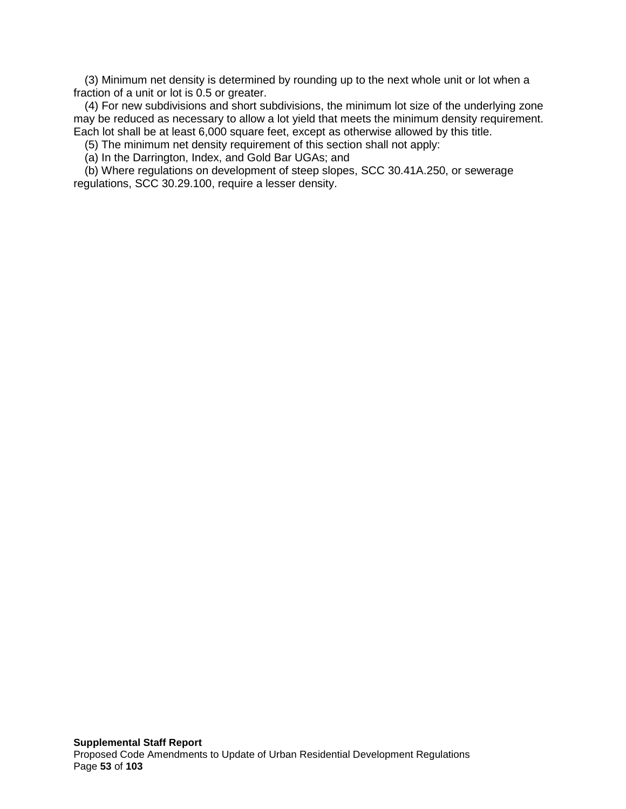(3) Minimum net density is determined by rounding up to the next whole unit or lot when a fraction of a unit or lot is 0.5 or greater.

(4) For new subdivisions and short subdivisions, the minimum lot size of the underlying zone may be reduced as necessary to allow a lot yield that meets the minimum density requirement. Each lot shall be at least 6,000 square feet, except as otherwise allowed by this title.

(5) The minimum net density requirement of this section shall not apply:

(a) In the Darrington, Index, and Gold Bar UGAs; and

(b) Where regulations on development of steep slopes, SCC 30.41A.250, or sewerage regulations, SCC 30.29.100, require a lesser density.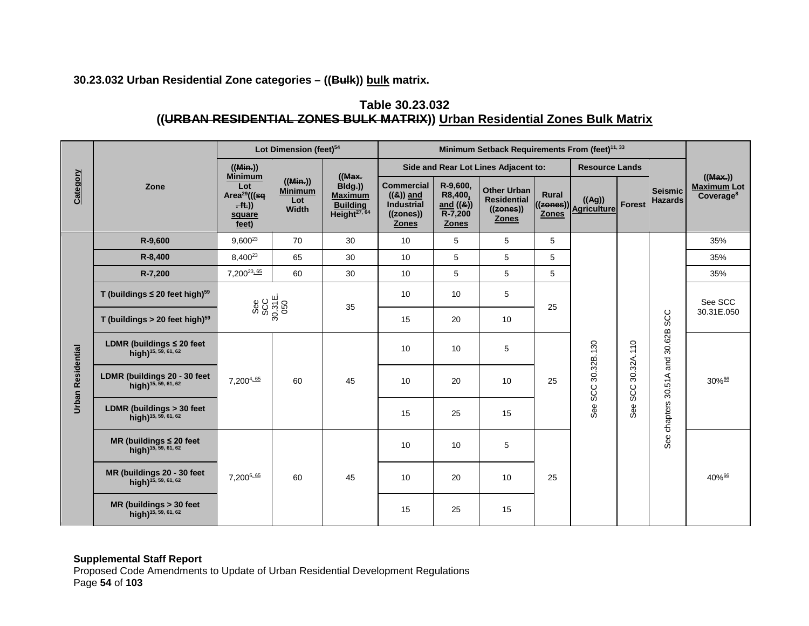# **30.23.032 Urban Residential Zone categories – ((Bulk)) bulk matrix.**

# **Table 30.23.032 ((URBAN RESIDENTIAL ZONES BULK MATRIX)) Urban Residential Zones Bulk Matrix**

|                          |                                                                   |                              | Lot Dimension (feet) <sup>54</sup>                                                        |                                           |                                                                                  |                                                                                    | Minimum Setback Requirements From (feet) <sup>11, 33</sup>  |                                                                       |                       |                                 |                     |                                  |                                                        |
|--------------------------|-------------------------------------------------------------------|------------------------------|-------------------------------------------------------------------------------------------|-------------------------------------------|----------------------------------------------------------------------------------|------------------------------------------------------------------------------------|-------------------------------------------------------------|-----------------------------------------------------------------------|-----------------------|---------------------------------|---------------------|----------------------------------|--------------------------------------------------------|
|                          |                                                                   | ((Min.))                     |                                                                                           |                                           |                                                                                  |                                                                                    | Side and Rear Lot Lines Adjacent to:                        |                                                                       | <b>Resource Lands</b> |                                 |                     |                                  |                                                        |
| Category                 | Zone                                                              |                              | <b>Minimum</b><br>Lot<br>Area <sup>29</sup> (((sq<br>$\overline{f(t)}$<br>square<br>feet) | ((Min))<br><b>Minimum</b><br>Lot<br>Width | ((Max.)<br>Big)<br><b>Maximum</b><br><b>Building</b><br>Height <sup>27, 64</sup> | <b>Commercial</b><br>$((8))$ and<br><b>Industrial</b><br>((zones))<br><b>Zones</b> | R-9,600,<br>R8,400,<br>and ((&))<br>R-7,200<br><b>Zones</b> | <b>Other Urban</b><br><b>Residential</b><br>((zones))<br><b>Zones</b> | <b>Rural</b>          | ((Ag))<br>((zones)) Agriculture | <b>Forest</b>       | <b>Seismic</b><br><b>Hazards</b> | ((Max))<br><b>Maximum Lot</b><br>Coverage <sup>8</sup> |
|                          | R-9,600                                                           | $9,600^{23}$                 | 70                                                                                        | 30                                        | 10                                                                               | $\sqrt{5}$                                                                         | 5                                                           | 5                                                                     |                       |                                 |                     | 35%                              |                                                        |
|                          | R-8,400                                                           | 8,400 <sup>23</sup>          | 65                                                                                        | 30                                        | 10                                                                               | 5                                                                                  | 5                                                           | 5                                                                     |                       |                                 |                     | 35%                              |                                                        |
|                          | R-7,200                                                           | 7,200 <sup>23,65</sup>       | 60                                                                                        | 30                                        | 10                                                                               | 5                                                                                  | 5                                                           | 5                                                                     |                       |                                 |                     | 35%                              |                                                        |
|                          | T (buildings $\leq 20$ feet high) <sup>59</sup>                   | See<br>SCC<br>30.31E.<br>050 |                                                                                           | 35                                        | 10 <sup>°</sup>                                                                  | 10                                                                                 | 5                                                           | 25                                                                    |                       |                                 | and 30.62B SCC      | See SCC                          |                                                        |
|                          | T (buildings $> 20$ feet high) $59$                               |                              |                                                                                           |                                           | 15                                                                               | 20                                                                                 | 10 <sup>°</sup>                                             |                                                                       |                       |                                 |                     | 30.31E.050                       |                                                        |
|                          | LDMR (buildings $\leq 20$ feet<br>high) <sup>15, 59, 61, 62</sup> |                              |                                                                                           |                                           | 10                                                                               | 10                                                                                 | 5                                                           |                                                                       |                       | 30.32A.110                      |                     |                                  |                                                        |
| <b>Urban Residential</b> | LDMR (buildings 20 - 30 feet<br>high) <sup>15, 59, 61, 62</sup>   | 7,2004.65                    | 60                                                                                        | 45                                        | 10                                                                               | 20                                                                                 | 10                                                          | 25                                                                    | See SCC 30.32B.130    | SCC.                            | See chapters 30.51A | 30%66                            |                                                        |
|                          | LDMR (buildings > 30 feet<br>high) <sup>15, 59, 61, 62</sup>      |                              |                                                                                           |                                           | 15                                                                               | 25                                                                                 | 15                                                          |                                                                       |                       | See:                            |                     |                                  |                                                        |
|                          | MR (buildings $\leq 20$ feet<br>high) <sup>15, 59, 61, 62</sup>   |                              |                                                                                           |                                           | 10                                                                               | 10                                                                                 | 5                                                           | 25                                                                    |                       |                                 |                     |                                  |                                                        |
|                          | MR (buildings 20 - 30 feet<br>high) <sup>15, 59, 61, 62</sup>     | 7,200 <sup>5,65</sup>        | 60                                                                                        | 45                                        | 10                                                                               | 20                                                                                 | 10                                                          |                                                                       |                       |                                 |                     | 40%66                            |                                                        |
|                          | MR (buildings > 30 feet<br>high) <sup>15, 59, 61, 62</sup>        |                              |                                                                                           |                                           | 15                                                                               | 25                                                                                 | 15                                                          |                                                                       |                       |                                 |                     |                                  |                                                        |

#### **Supplemental Staff Report**

Proposed Code Amendments to Update of Urban Residential Development Regulations Page **54** of **103**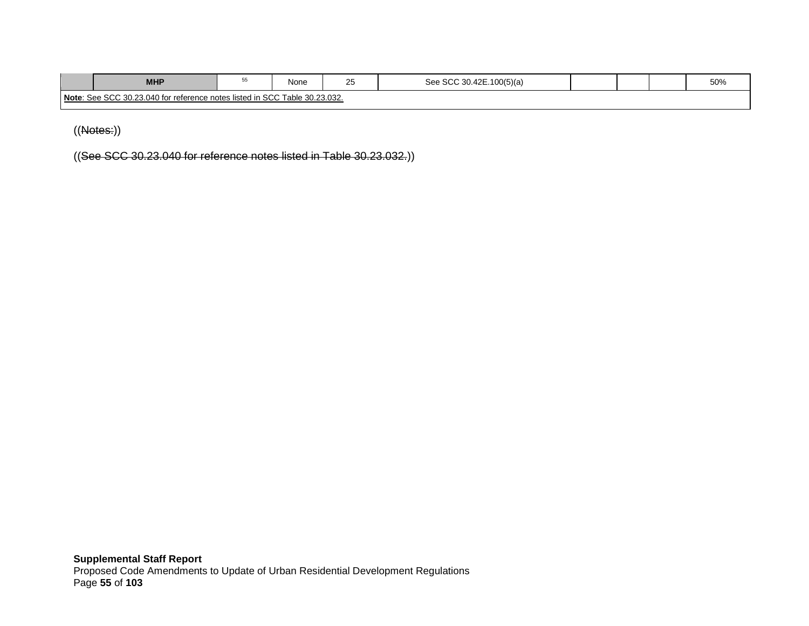| <b>MHP</b>                                                                            | ື | $\sim$<br>None<br>$\overline{\phantom{a}}$<br>∠∪ |  | .42E.100(5)(a)<br>ാറ |  |  |  | 50% |
|---------------------------------------------------------------------------------------|---|--------------------------------------------------|--|----------------------|--|--|--|-----|
| Note: See SCC 30.23.040 for<br>Table 30.23.032.<br>r reference notes listed in SCC Ta |   |                                                  |  |                      |  |  |  |     |

((Notes:))

((See SCC 30.23.040 for reference notes listed in Table 30.23.032.))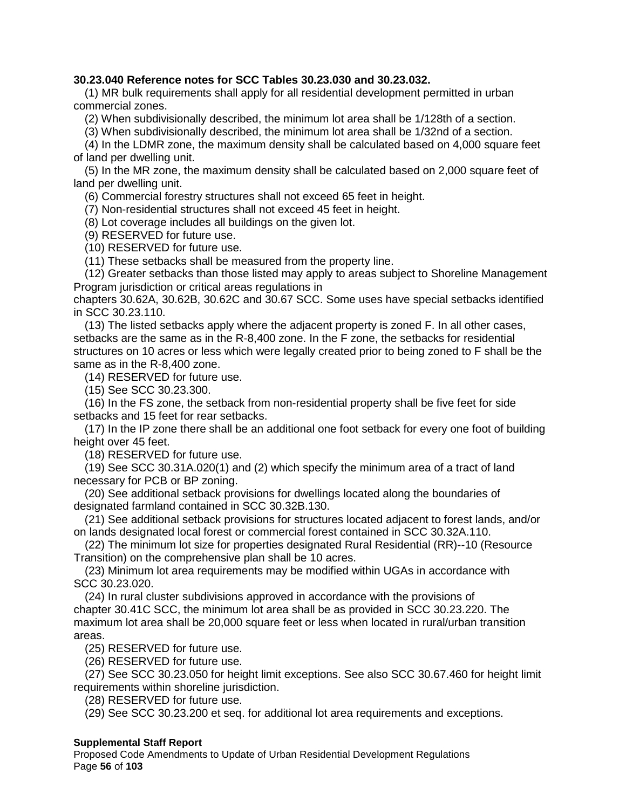## **30.23.040 Reference notes for SCC Tables 30.23.030 and 30.23.032.**

(1) MR bulk requirements shall apply for all residential development permitted in urban commercial zones.

(2) When subdivisionally described, the minimum lot area shall be 1/128th of a section.

(3) When subdivisionally described, the minimum lot area shall be 1/32nd of a section.

(4) In the LDMR zone, the maximum density shall be calculated based on 4,000 square feet of land per dwelling unit.

(5) In the MR zone, the maximum density shall be calculated based on 2,000 square feet of land per dwelling unit.

(6) Commercial forestry structures shall not exceed 65 feet in height.

(7) Non-residential structures shall not exceed 45 feet in height.

(8) Lot coverage includes all buildings on the given lot.

(9) RESERVED for future use.

(10) RESERVED for future use.

(11) These setbacks shall be measured from the property line.

(12) Greater setbacks than those listed may apply to areas subject to Shoreline Management Program jurisdiction or critical areas regulations in

chapters 30.62A, 30.62B, 30.62C and 30.67 SCC. Some uses have special setbacks identified in SCC 30.23.110.

(13) The listed setbacks apply where the adjacent property is zoned F. In all other cases, setbacks are the same as in the R-8,400 zone. In the F zone, the setbacks for residential structures on 10 acres or less which were legally created prior to being zoned to F shall be the same as in the R-8,400 zone.

(14) RESERVED for future use.

(15) See SCC 30.23.300.

(16) In the FS zone, the setback from non-residential property shall be five feet for side setbacks and 15 feet for rear setbacks.

(17) In the IP zone there shall be an additional one foot setback for every one foot of building height over 45 feet.

(18) RESERVED for future use.

(19) See SCC 30.31A.020(1) and (2) which specify the minimum area of a tract of land necessary for PCB or BP zoning.

(20) See additional setback provisions for dwellings located along the boundaries of designated farmland contained in SCC 30.32B.130.

(21) See additional setback provisions for structures located adjacent to forest lands, and/or on lands designated local forest or commercial forest contained in SCC 30.32A.110.

(22) The minimum lot size for properties designated Rural Residential (RR)--10 (Resource Transition) on the comprehensive plan shall be 10 acres.

(23) Minimum lot area requirements may be modified within UGAs in accordance with SCC 30.23.020.

(24) In rural cluster subdivisions approved in accordance with the provisions of chapter 30.41C SCC, the minimum lot area shall be as provided in SCC 30.23.220. The maximum lot area shall be 20,000 square feet or less when located in rural/urban transition areas.

(25) RESERVED for future use.

(26) RESERVED for future use.

(27) See SCC 30.23.050 for height limit exceptions. See also SCC 30.67.460 for height limit requirements within shoreline jurisdiction.

(28) RESERVED for future use.

(29) See SCC 30.23.200 et seq. for additional lot area requirements and exceptions.

## **Supplemental Staff Report**

Proposed Code Amendments to Update of Urban Residential Development Regulations Page **56** of **103**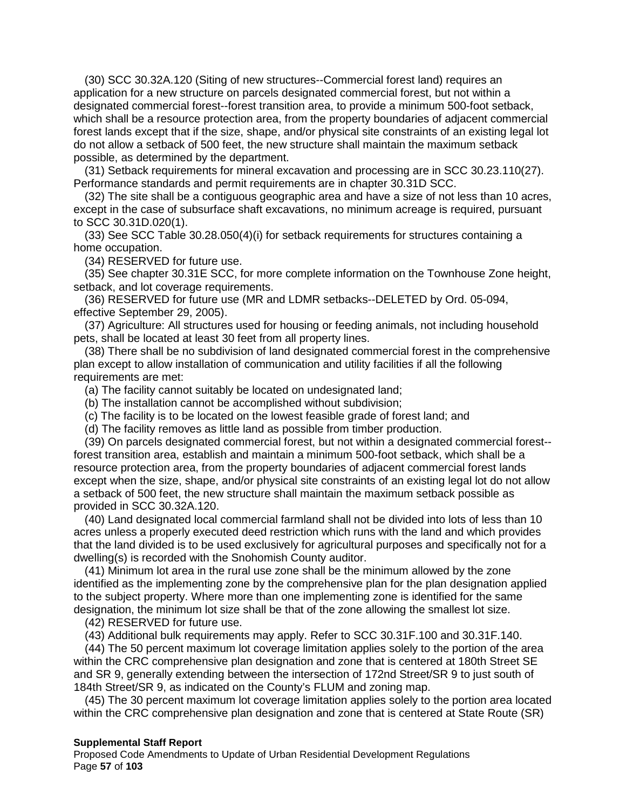(30) SCC 30.32A.120 (Siting of new structures--Commercial forest land) requires an application for a new structure on parcels designated commercial forest, but not within a designated commercial forest--forest transition area, to provide a minimum 500-foot setback, which shall be a resource protection area, from the property boundaries of adjacent commercial forest lands except that if the size, shape, and/or physical site constraints of an existing legal lot do not allow a setback of 500 feet, the new structure shall maintain the maximum setback possible, as determined by the department.

(31) Setback requirements for mineral excavation and processing are in SCC 30.23.110(27). Performance standards and permit requirements are in chapter 30.31D SCC.

(32) The site shall be a contiguous geographic area and have a size of not less than 10 acres, except in the case of subsurface shaft excavations, no minimum acreage is required, pursuant to SCC 30.31D.020(1).

(33) See SCC Table 30.28.050(4)(i) for setback requirements for structures containing a home occupation.

(34) RESERVED for future use.

(35) See chapter 30.31E SCC, for more complete information on the Townhouse Zone height, setback, and lot coverage requirements.

(36) RESERVED for future use (MR and LDMR setbacks--DELETED by Ord. 05-094, effective September 29, 2005).

(37) Agriculture: All structures used for housing or feeding animals, not including household pets, shall be located at least 30 feet from all property lines.

(38) There shall be no subdivision of land designated commercial forest in the comprehensive plan except to allow installation of communication and utility facilities if all the following requirements are met:

(a) The facility cannot suitably be located on undesignated land;

(b) The installation cannot be accomplished without subdivision;

(c) The facility is to be located on the lowest feasible grade of forest land; and

(d) The facility removes as little land as possible from timber production.

(39) On parcels designated commercial forest, but not within a designated commercial forest- forest transition area, establish and maintain a minimum 500-foot setback, which shall be a resource protection area, from the property boundaries of adjacent commercial forest lands except when the size, shape, and/or physical site constraints of an existing legal lot do not allow a setback of 500 feet, the new structure shall maintain the maximum setback possible as provided in SCC 30.32A.120.

(40) Land designated local commercial farmland shall not be divided into lots of less than 10 acres unless a properly executed deed restriction which runs with the land and which provides that the land divided is to be used exclusively for agricultural purposes and specifically not for a dwelling(s) is recorded with the Snohomish County auditor.

(41) Minimum lot area in the rural use zone shall be the minimum allowed by the zone identified as the implementing zone by the comprehensive plan for the plan designation applied to the subject property. Where more than one implementing zone is identified for the same designation, the minimum lot size shall be that of the zone allowing the smallest lot size.

(42) RESERVED for future use.

(43) Additional bulk requirements may apply. Refer to SCC 30.31F.100 and 30.31F.140.

(44) The 50 percent maximum lot coverage limitation applies solely to the portion of the area within the CRC comprehensive plan designation and zone that is centered at 180th Street SE and SR 9, generally extending between the intersection of 172nd Street/SR 9 to just south of 184th Street/SR 9, as indicated on the County's FLUM and zoning map.

(45) The 30 percent maximum lot coverage limitation applies solely to the portion area located within the CRC comprehensive plan designation and zone that is centered at State Route (SR)

#### **Supplemental Staff Report**

Proposed Code Amendments to Update of Urban Residential Development Regulations Page **57** of **103**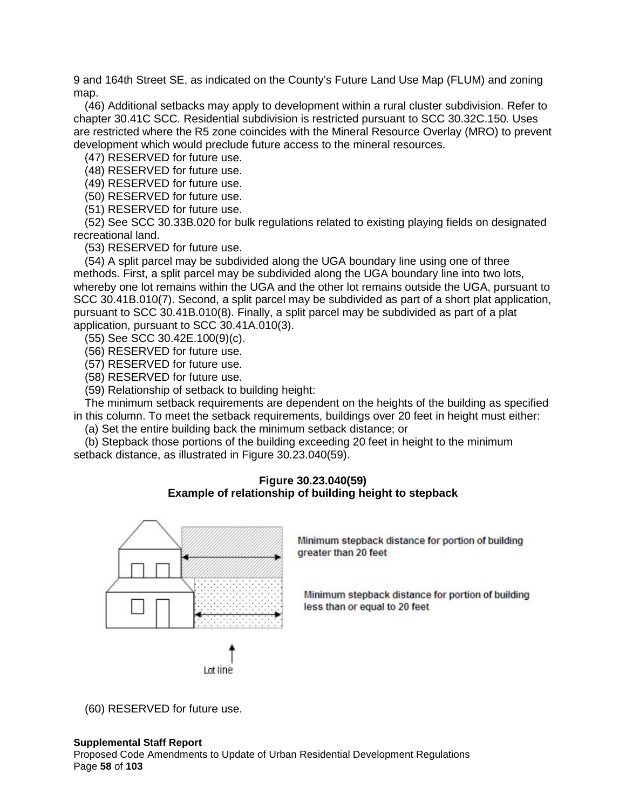9 and 164th Street SE, as indicated on the County's Future Land Use Map (FLUM) and zoning map.

(46) Additional setbacks may apply to development within a rural cluster subdivision. Refer to chapter 30.41C SCC*.* Residential subdivision is restricted pursuant to SCC 30.32C.150. Uses are restricted where the R5 zone coincides with the Mineral Resource Overlay (MRO) to prevent development which would preclude future access to the mineral resources.

(47) RESERVED for future use.

(48) RESERVED for future use.

(49) RESERVED for future use.

(50) RESERVED for future use.

(51) RESERVED for future use.

(52) See SCC 30.33B.020 for bulk regulations related to existing playing fields on designated recreational land.

(53) RESERVED for future use.

(54) A split parcel may be subdivided along the UGA boundary line using one of three methods. First, a split parcel may be subdivided along the UGA boundary line into two lots, whereby one lot remains within the UGA and the other lot remains outside the UGA, pursuant to SCC 30.41B.010(7). Second, a split parcel may be subdivided as part of a short plat application, pursuant to SCC 30.41B.010(8). Finally, a split parcel may be subdivided as part of a plat application, pursuant to SCC 30.41A.010(3).

(55) See SCC 30.42E.100(9)(c).

(56) RESERVED for future use.

(57) RESERVED for future use.

(58) RESERVED for future use.

(59) Relationship of setback to building height:

The minimum setback requirements are dependent on the heights of the building as specified in this column. To meet the setback requirements, buildings over 20 feet in height must either:

(a) Set the entire building back the minimum setback distance; or

(b) Stepback those portions of the building exceeding 20 feet in height to the minimum setback distance, as illustrated in Figure 30.23.040(59).

## **Figure 30.23.040(59) Example of relationship of building height to stepback**



Minimum stepback distance for portion of building greater than 20 feet

Minimum stepback distance for portion of building less than or equal to 20 feet

(60) RESERVED for future use.

#### **Supplemental Staff Report**

Proposed Code Amendments to Update of Urban Residential Development Regulations Page **58** of **103**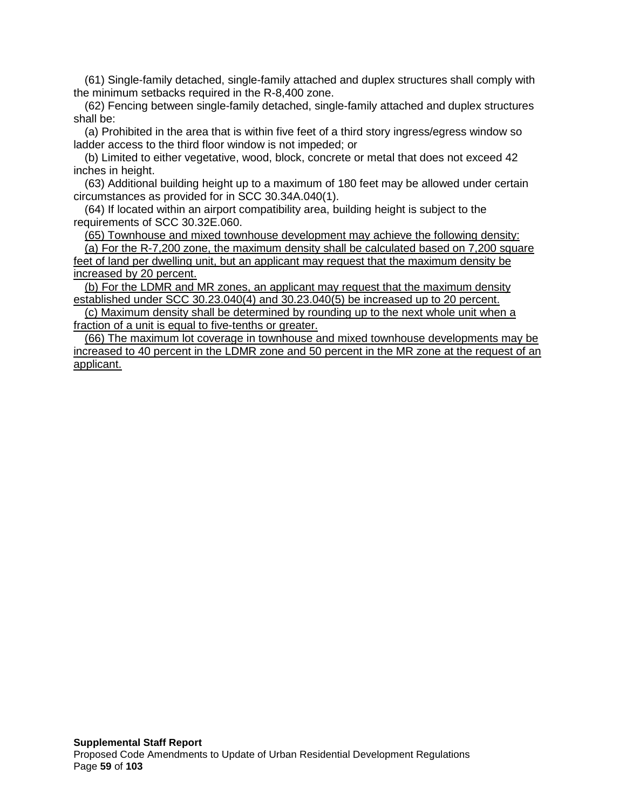(61) Single-family detached, single-family attached and duplex structures shall comply with the minimum setbacks required in the R-8,400 zone.

(62) Fencing between single-family detached, single-family attached and duplex structures shall be:

(a) Prohibited in the area that is within five feet of a third story ingress/egress window so ladder access to the third floor window is not impeded; or

(b) Limited to either vegetative, wood, block, concrete or metal that does not exceed 42 inches in height.

(63) Additional building height up to a maximum of 180 feet may be allowed under certain circumstances as provided for in SCC 30.34A.040(1).

(64) If located within an airport compatibility area, building height is subject to the requirements of SCC 30.32E.060.

(65) Townhouse and mixed townhouse development may achieve the following density:

 $\overline{a}$ ) For the R-7,200 zone, the maximum density shall be calculated based on 7,200 square feet of land per dwelling unit, but an applicant may request that the maximum density be increased by 20 percent.

(b) For the LDMR and MR zones, an applicant may request that the maximum density established under SCC 30.23.040(4) and 30.23.040(5) be increased up to 20 percent.

(c) Maximum density shall be determined by rounding up to the next whole unit when a fraction of a unit is equal to five-tenths or greater.

(66) The maximum lot coverage in townhouse and mixed townhouse developments may be increased to 40 percent in the LDMR zone and 50 percent in the MR zone at the request of an applicant.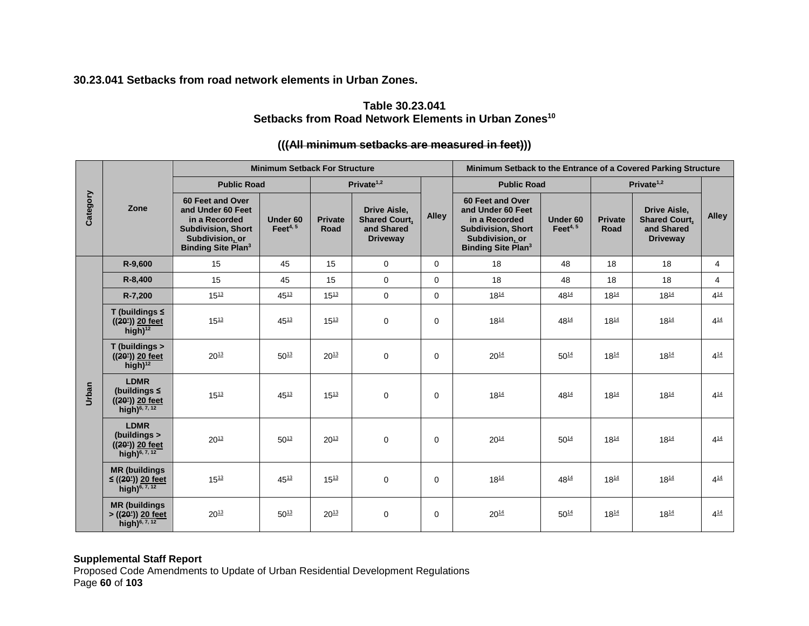**30.23.041 Setbacks from road network elements in Urban Zones.**

# **Table 30.23.041** Setbacks from Road Network Elements in Urban Zones<sup>10</sup>

# **(((All minimum setbacks are measured in feet)))**

|          |                                                                                    |                                                                                                                                                | <b>Minimum Setback For Structure</b> |                        |                                                                       | Minimum Setback to the Entrance of a Covered Parking Structure |                                                                                                                                                |                         |                        |                                                                              |                |
|----------|------------------------------------------------------------------------------------|------------------------------------------------------------------------------------------------------------------------------------------------|--------------------------------------|------------------------|-----------------------------------------------------------------------|----------------------------------------------------------------|------------------------------------------------------------------------------------------------------------------------------------------------|-------------------------|------------------------|------------------------------------------------------------------------------|----------------|
| Category |                                                                                    | <b>Public Road</b>                                                                                                                             |                                      |                        | Private <sup>1,2</sup>                                                |                                                                | <b>Public Road</b>                                                                                                                             |                         | Private $1,2$          |                                                                              |                |
|          | Zone                                                                               | 60 Feet and Over<br>and Under 60 Feet<br>in a Recorded<br><b>Subdivision, Short</b><br>Subdivision, or<br><b>Binding Site Plan<sup>3</sup></b> | Under 60<br>Feet $4, 5$              | <b>Private</b><br>Road | Drive Aisle,<br><b>Shared Court,</b><br>and Shared<br><b>Driveway</b> | <b>Alley</b>                                                   | 60 Feet and Over<br>and Under 60 Feet<br>in a Recorded<br><b>Subdivision, Short</b><br>Subdivision, or<br><b>Binding Site Plan<sup>3</sup></b> | Under 60<br>Feet $4, 5$ | <b>Private</b><br>Road | <b>Drive Aisle.</b><br><b>Shared Court,</b><br>and Shared<br><b>Driveway</b> | <b>Alley</b>   |
|          | R-9,600                                                                            | 15                                                                                                                                             | 45                                   | 15                     | $\mathbf 0$                                                           | $\Omega$                                                       | 18                                                                                                                                             | 48                      | 18                     | 18                                                                           | $\overline{4}$ |
|          | R-8,400                                                                            | 15                                                                                                                                             | 45                                   | 15                     | $\mathbf 0$                                                           | $\Omega$                                                       | 18                                                                                                                                             | 48                      | 18                     | 18                                                                           | $\overline{4}$ |
|          | R-7,200                                                                            | $15^{13}$                                                                                                                                      | $45^{13}$                            | $15^{13}$              | $\mathbf 0$                                                           | 0                                                              | $18^{14}$                                                                                                                                      | $48^{14}$               | $18^{14}$              | $18^{14}$                                                                    | $4^{14}$       |
|          | T (buildings $\leq$<br>$((20))$ 20 feet<br>high) $12$                              | $15^{13}$                                                                                                                                      | $45^{13}$                            | $15^{13}$              | $\mathbf 0$                                                           | $\Omega$                                                       | $18^{14}$                                                                                                                                      | $48^{14}$               | $18^{14}$              | $18^{14}$                                                                    | $4^{14}$       |
|          | T (buildings ><br>$((20))$ 20 feet<br>high) $12$                                   | $20^{13}$                                                                                                                                      | $50^{13}$                            | $20^{13}$              | $\mathbf 0$                                                           | $\Omega$                                                       | $20^{14}$                                                                                                                                      | $50^{14}$               | $18^{14}$              | $18^{14}$                                                                    | $4^{14}$       |
| Urban    | <b>LDMR</b><br>(buildings $\leq$<br>$((20))$ 20 feet<br>high) <sup>6, 7, 12</sup>  | $15^{13}$                                                                                                                                      | $45^{13}$                            | $15^{13}$              | $\mathbf 0$                                                           | $\Omega$                                                       | $18^{14}$                                                                                                                                      | 4814                    | $18^{14}$              | $18^{14}$                                                                    | $4^{14}$       |
|          | <b>LDMR</b><br>(buildings ><br>$((20))$ 20 feet<br>high) <sup>6, 7, 12</sup>       | $20^{13}$                                                                                                                                      | $50^{13}$                            | $20^{13}$              | $\Omega$                                                              | $\Omega$                                                       | $20^{14}$                                                                                                                                      | $50^{14}$               | $18^{14}$              | $18^{14}$                                                                    | $4^{14}$       |
|          | <b>MR</b> (buildings<br>$\leq$ ((20 <sup>2</sup> )) 20 feet<br>high) $^{6, 7, 12}$ | $15^{13}$                                                                                                                                      | $45^{13}$                            | $15^{13}$              | $\mathbf 0$                                                           | $\Omega$                                                       | $18^{14}$                                                                                                                                      | $48^{14}$               | $18^{14}$              | $18^{14}$                                                                    | $4^{14}$       |
|          | <b>MR</b> (buildings<br>> ((20')) 20 feet<br>high) $^{6,7,12}$                     | $20^{13}$                                                                                                                                      | $50^{13}$                            | $20^{13}$              | $\mathbf 0$                                                           | 0                                                              | $20^{14}$                                                                                                                                      | $50^{14}$               | $18^{14}$              | $18^{14}$                                                                    | $4^{14}$       |

# **Supplemental Staff Report**

Proposed Code Amendments to Update of Urban Residential Development Regulations Page **60** of **103**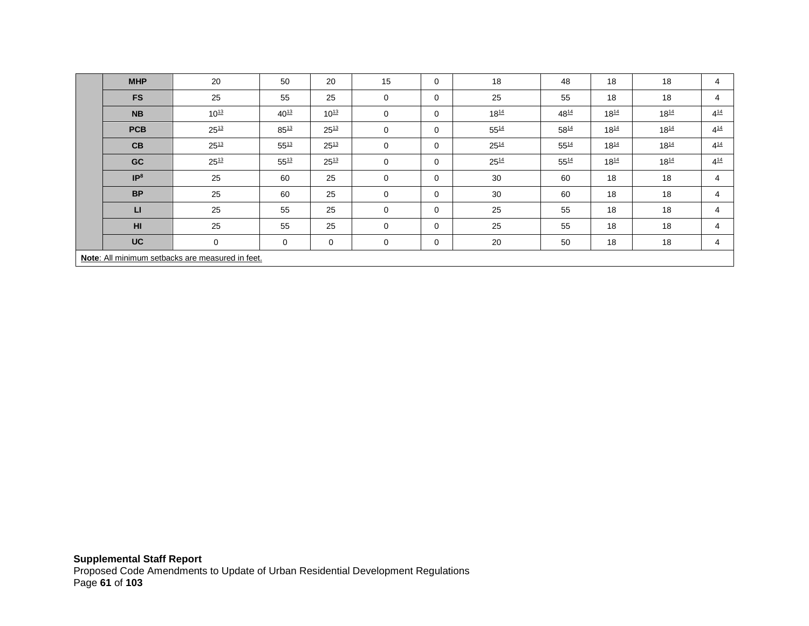| <b>MHP</b>                                       | 20        | 50          | 20        | 15       | 0        | 18        | 48        | 18        | 18        | 4        |
|--------------------------------------------------|-----------|-------------|-----------|----------|----------|-----------|-----------|-----------|-----------|----------|
| <b>FS</b>                                        | 25        | 55          | 25        | 0        | 0        | 25        | 55        | 18        | 18        | 4        |
| <b>NB</b>                                        | $10^{13}$ | $40^{13}$   | $10^{13}$ | 0        | 0        | $18^{14}$ | 4814      | $18^{14}$ | $18^{14}$ | $4^{14}$ |
| <b>PCB</b>                                       | $25^{13}$ | $85^{13}$   | $25^{13}$ | 0        | 0        | $55^{14}$ | 5814      | $18^{14}$ | $18^{14}$ | $4^{14}$ |
| CB                                               | $25^{13}$ | $55^{13}$   | $25^{13}$ | 0        | 0        | $25^{14}$ | $55^{14}$ | $18^{14}$ | $18^{14}$ | $4^{14}$ |
| GC                                               | $25^{13}$ | $55^{13}$   | $25^{13}$ | 0        | 0        | $25^{14}$ | $55^{14}$ | $18^{14}$ | $18^{14}$ | $4^{14}$ |
| IP <sup>8</sup>                                  | 25        | 60          | 25        | 0        | 0        | 30        | 60        | 18        | 18        | 4        |
| <b>BP</b>                                        | 25        | 60          | 25        | 0        | 0        | 30        | 60        | 18        | 18        | 4        |
| <b>LI</b>                                        | 25        | 55          | 25        | $\Omega$ | $\Omega$ | 25        | 55        | 18        | 18        | 4        |
| H <sub>II</sub>                                  | 25        | 55          | 25        | $\Omega$ | $\Omega$ | 25        | 55        | 18        | 18        | 4        |
| <b>UC</b>                                        | 0         | $\mathbf 0$ | 0         | 0        | 0        | 20        | 50        | 18        | 18        | 4        |
| Note: All minimum setbacks are measured in feet. |           |             |           |          |          |           |           |           |           |          |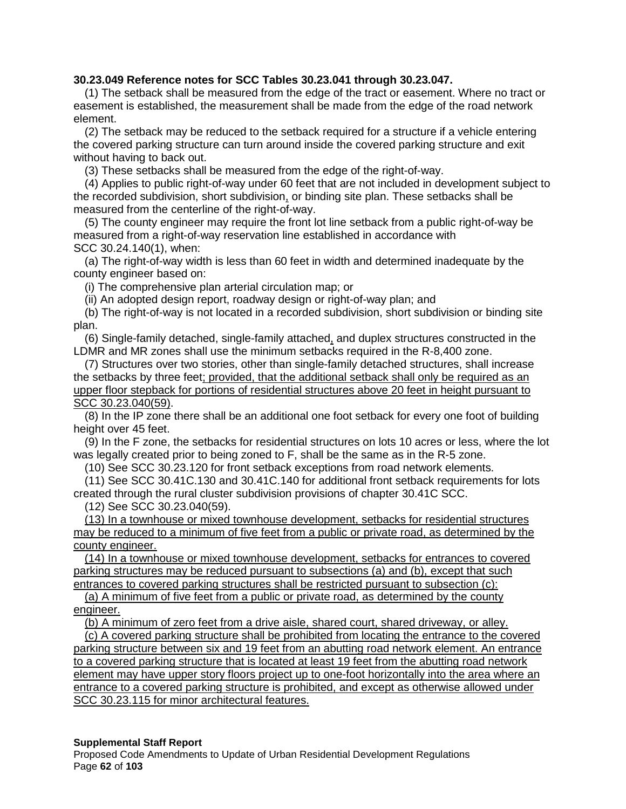# **30.23.049 Reference notes for SCC Tables 30.23.041 through 30.23.047.**

(1) The setback shall be measured from the edge of the tract or easement. Where no tract or easement is established, the measurement shall be made from the edge of the road network element.

(2) The setback may be reduced to the setback required for a structure if a vehicle entering the covered parking structure can turn around inside the covered parking structure and exit without having to back out.

(3) These setbacks shall be measured from the edge of the right-of-way.

(4) Applies to public right-of-way under 60 feet that are not included in development subject to the recorded subdivision, short subdivision, or binding site plan. These setbacks shall be measured from the centerline of the right-of-way.

(5) The county engineer may require the front lot line setback from a public right-of-way be measured from a right-of-way reservation line established in accordance with SCC [30.24.140\(](http://www.codepublishing.com/WA/SnohomishCounty/html/SnohomishCounty30/SnohomishCounty3024.html)1), when:

(a) The right-of-way width is less than 60 feet in width and determined inadequate by the county engineer based on:

(i) The comprehensive plan arterial circulation map; or

(ii) An adopted design report, roadway design or right-of-way plan; and

(b) The right-of-way is not located in a recorded subdivision, short subdivision or binding site plan.

(6) Single-family detached, single-family attached, and duplex structures constructed in the LDMR and MR zones shall use the minimum setbacks required in the R-8,400 zone.

(7) Structures over two stories, other than single-family detached structures, shall increase the setbacks by three feet; provided, that the additional setback shall only be required as an upper floor stepback for portions of residential structures above 20 feet in height pursuant to SCC 30.23.040(59).

(8) In the IP zone there shall be an additional one foot setback for every one foot of building height over 45 feet.

(9) In the F zone, the setbacks for residential structures on lots 10 acres or less, where the lot was legally created prior to being zoned to F, shall be the same as in the R-5 zone.

(10) See SCC [30.23.120](http://www.codepublishing.com/WA/SnohomishCounty/html/SnohomishCounty30/SnohomishCounty3023.html) for front setback exceptions from road network elements.

(11) See SCC [30.41C.130](http://www.codepublishing.com/WA/SnohomishCounty/html/SnohomishCounty30/SnohomishCounty3041C.html) and [30.41C.140](http://www.codepublishing.com/WA/SnohomishCounty/html/SnohomishCounty30/SnohomishCounty3041C.html) for additional front setback requirements for lots created through the rural cluster subdivision provisions of chapter [30.41C](http://www.codepublishing.com/WA/SnohomishCounty/html/SnohomishCounty30/SnohomishCounty3041C.html) SCC.

(12) See SCC [30.23.040\(](http://www.codepublishing.com/WA/SnohomishCounty/html/SnohomishCounty30/SnohomishCounty3023.html)59).

(13) In a townhouse or mixed townhouse development, setbacks for residential structures may be reduced to a minimum of five feet from a public or private road, as determined by the county engineer.

(14) In a townhouse or mixed townhouse development, setbacks for entrances to covered parking structures may be reduced pursuant to subsections (a) and (b), except that such entrances to covered parking structures shall be restricted pursuant to subsection (c):

(a) A minimum of five feet from a public or private road, as determined by the county engineer.

(b) A minimum of zero feet from a drive aisle, shared court, shared driveway, or alley.

(c) A covered parking structure shall be prohibited from locating the entrance to the covered parking structure between six and 19 feet from an abutting road network element. An entrance to a covered parking structure that is located at least 19 feet from the abutting road network element may have upper story floors project up to one-foot horizontally into the area where an entrance to a covered parking structure is prohibited, and except as otherwise allowed under SCC 30.23.115 for minor architectural features.

## **Supplemental Staff Report**

Proposed Code Amendments to Update of Urban Residential Development Regulations Page **62** of **103**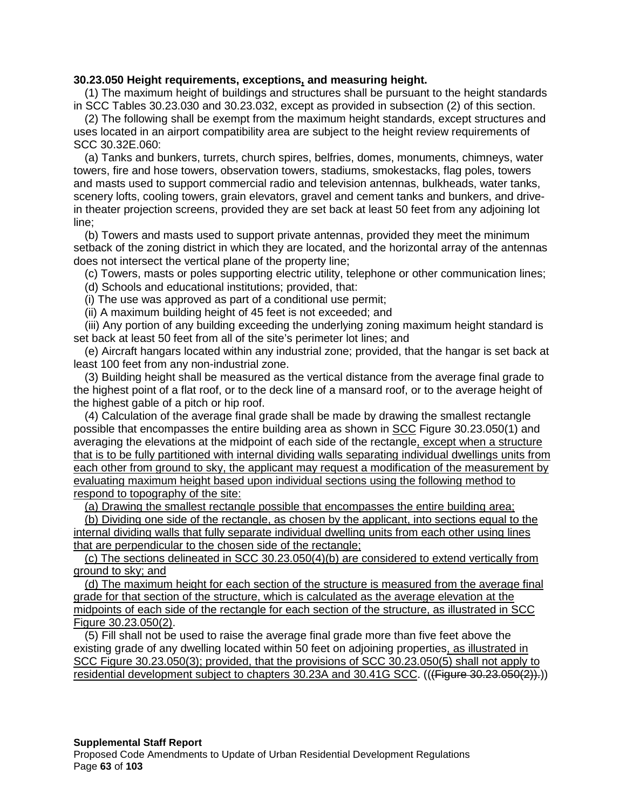## **30.23.050 Height requirements, exceptions, and measuring height.**

(1) The maximum height of buildings and structures shall be pursuant to the height standards in SCC Tables 30.23.030 and 30.23.032, except as provided in subsection (2) of this section.

(2) The following shall be exempt from the maximum height standards, except structures and uses located in an airport compatibility area are subject to the height review requirements of SCC 30.32E.060:

(a) Tanks and bunkers, turrets, church spires, belfries, domes, monuments, chimneys, water towers, fire and hose towers, observation towers, stadiums, smokestacks, flag poles, towers and masts used to support commercial radio and television antennas, bulkheads, water tanks, scenery lofts, cooling towers, grain elevators, gravel and cement tanks and bunkers, and drivein theater projection screens, provided they are set back at least 50 feet from any adjoining lot line;

(b) Towers and masts used to support private antennas, provided they meet the minimum setback of the zoning district in which they are located, and the horizontal array of the antennas does not intersect the vertical plane of the property line;

(c) Towers, masts or poles supporting electric utility, telephone or other communication lines;

(d) Schools and educational institutions; provided, that:

(i) The use was approved as part of a conditional use permit;

(ii) A maximum building height of 45 feet is not exceeded; and

(iii) Any portion of any building exceeding the underlying zoning maximum height standard is set back at least 50 feet from all of the site's perimeter lot lines; and

(e) Aircraft hangars located within any industrial zone; provided, that the hangar is set back at least 100 feet from any non-industrial zone.

(3) Building height shall be measured as the vertical distance from the average final grade to the highest point of a flat roof, or to the deck line of a mansard roof, or to the average height of the highest gable of a pitch or hip roof.

(4) Calculation of the average final grade shall be made by drawing the smallest rectangle possible that encompasses the entire building area as shown in SCC Figure 30.23.050(1) and averaging the elevations at the midpoint of each side of the rectangle, except when a structure that is to be fully partitioned with internal dividing walls separating individual dwellings units from each other from ground to sky, the applicant may request a modification of the measurement by evaluating maximum height based upon individual sections using the following method to respond to topography of the site:

(a) Drawing the smallest rectangle possible that encompasses the entire building area;

(b) Dividing one side of the rectangle, as chosen by the applicant, into sections equal to the internal dividing walls that fully separate individual dwelling units from each other using lines that are perpendicular to the chosen side of the rectangle;

(c) The sections delineated in SCC 30.23.050(4)(b) are considered to extend vertically from ground to sky; and

(d) The maximum height for each section of the structure is measured from the average final grade for that section of the structure, which is calculated as the average elevation at the midpoints of each side of the rectangle for each section of the structure, as illustrated in SCC Figure 30.23.050(2).

(5) Fill shall not be used to raise the average final grade more than five feet above the existing grade of any dwelling located within 50 feet on adjoining properties, as illustrated in SCC Figure 30.23.050(3); provided, that the provisions of SCC 30.23.050(5) shall not apply to residential development subject to chapters 30.23A and 30.41G SCC. (((Figure 30.23.050(2)).))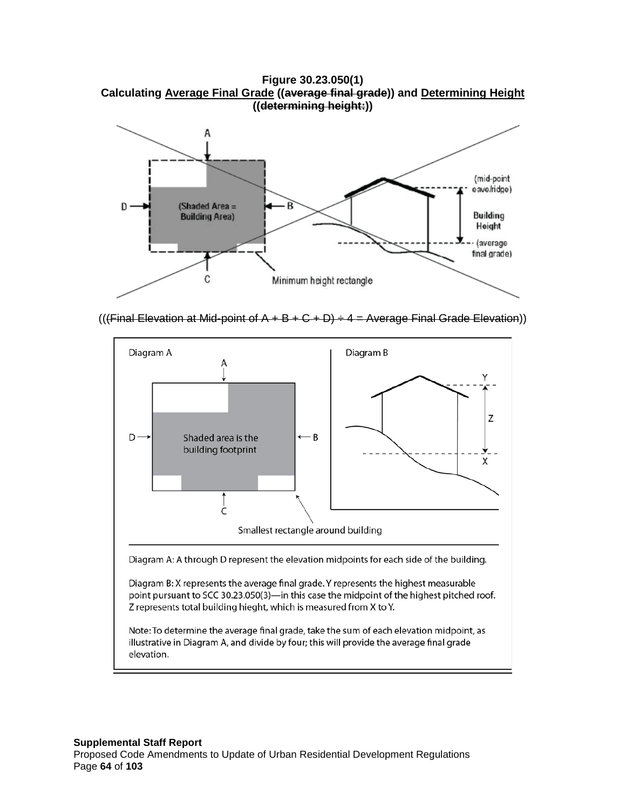**Figure 30.23.050(1) Calculating Average Final Grade ((average final grade)) and Determining Height ((determining height:))**



(((Final Elevation at Mid-point of  $A + B + C + D$ )  $\div 4 =$  Average Final Grade Elevation))

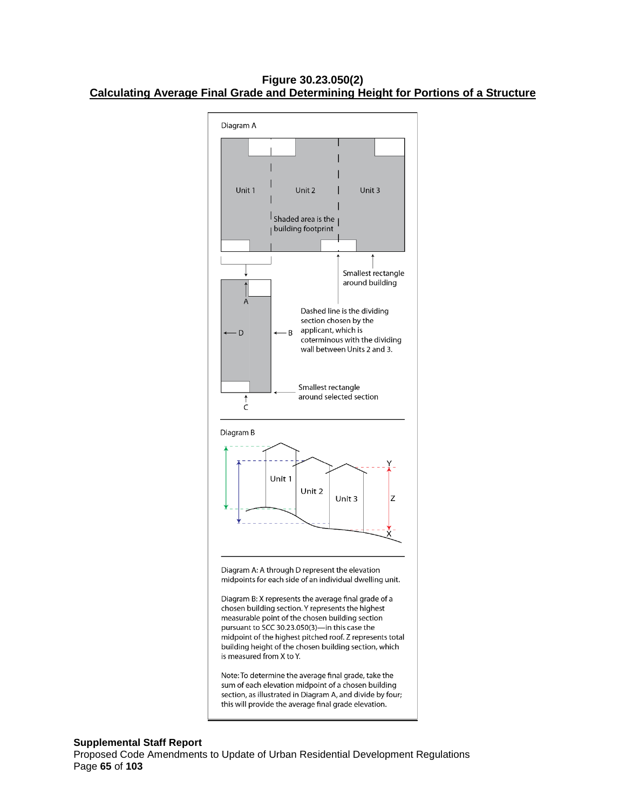**Figure 30.23.050(2) Calculating Average Final Grade and Determining Height for Portions of a Structure**



Note: To determine the average final grade, take the sum of each elevation midpoint of a chosen building section, as illustrated in Diagram A, and divide by four; this will provide the average final grade elevation.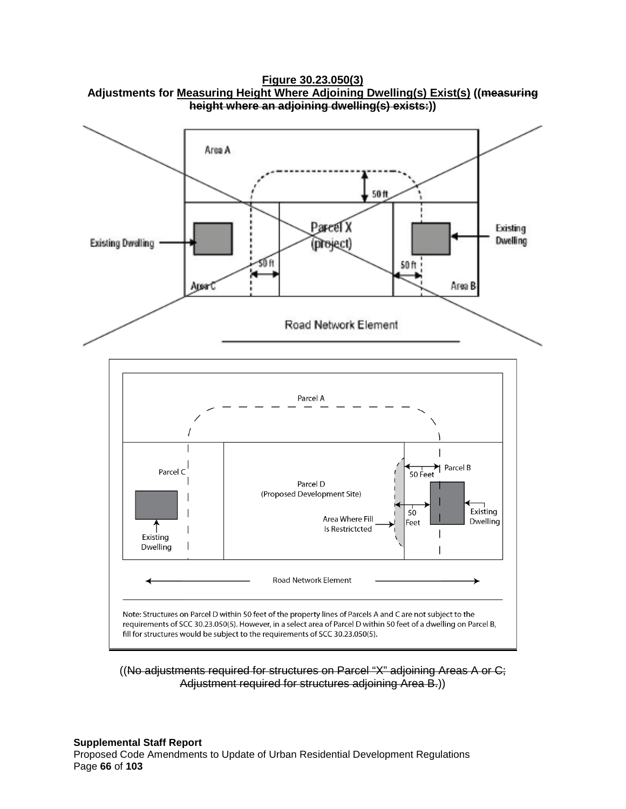**Figure 30.23.050(3) Adjustments for Measuring Height Where Adjoining Dwelling(s) Exist(s) ((measuring height where an adjoining dwelling(s) exists:))**



((No adjustments required for structures on Parcel "X" adjoining Areas A or C; Adjustment required for structures adjoining Area B.))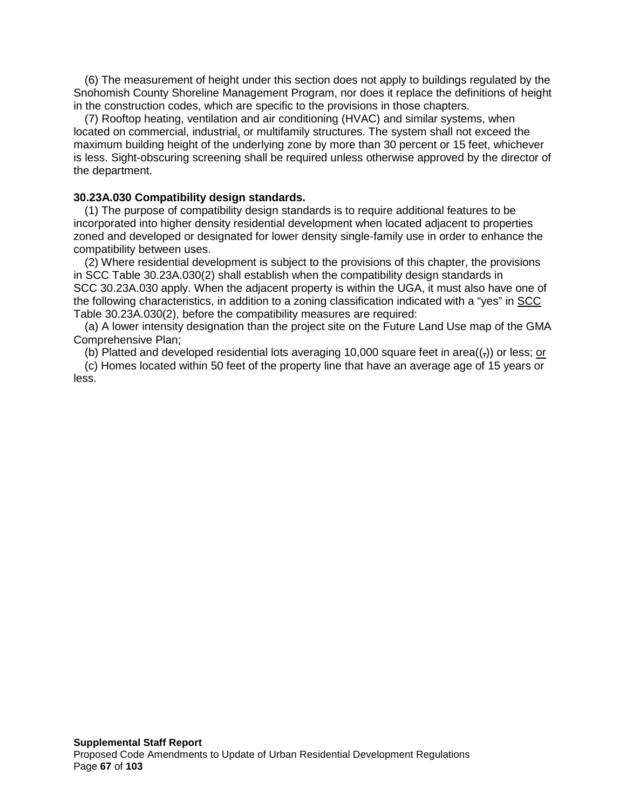(6) The measurement of height under this section does not apply to buildings regulated by the Snohomish County Shoreline Management Program, nor does it replace the definitions of height in the construction codes, which are specific to the provisions in those chapters.

(7) Rooftop heating, ventilation and air conditioning (HVAC) and similar systems, when located on commercial, industrial, or multifamily structures. The system shall not exceed the maximum building height of the underlying zone by more than 30 percent or 15 feet, whichever is less. Sight-obscuring screening shall be required unless otherwise approved by the director of the department.

# **30.23A.030 Compatibility design standards.**

(1) The purpose of compatibility design standards is to require additional features to be incorporated into higher density residential development when located adjacent to properties zoned and developed or designated for lower density single-family use in order to enhance the compatibility between uses.

(2) Where residential development is subject to the provisions of this chapter, the provisions in SCC Table 30.23A.030(2) shall establish when the compatibility design standards in SCC 30.23A.030 apply. When the adjacent property is within the UGA, it must also have one of the following characteristics, in addition to a zoning classification indicated with a "yes" in SCC Table 30.23A.030(2), before the compatibility measures are required:

(a) A lower intensity designation than the project site on the Future Land Use map of the GMA Comprehensive Plan;

(b) Platted and developed residential lots averaging 10,000 square feet in area( $\left(\frac{1}{2}\right)$ ) or less; or

(c) Homes located within 50 feet of the property line that have an average age of 15 years or less.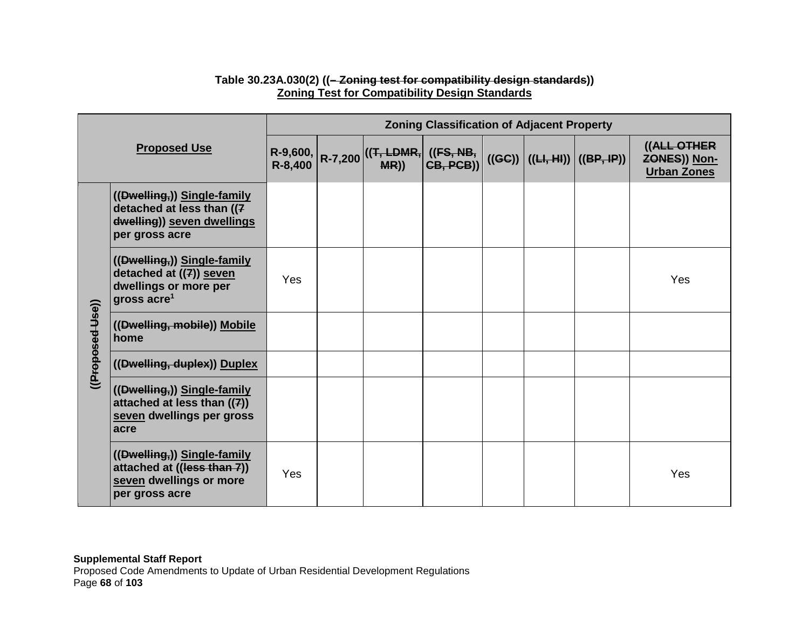| <b>Proposed Use</b> |                                                                                                            | <b>Zoning Classification of Adjacent Property</b> |  |                                                               |  |        |  |                         |                                                          |  |  |
|---------------------|------------------------------------------------------------------------------------------------------------|---------------------------------------------------|--|---------------------------------------------------------------|--|--------|--|-------------------------|----------------------------------------------------------|--|--|
|                     |                                                                                                            |                                                   |  | R-9,600, $R-7,200$ ((T, LDMR, ((FS, NB, R-8,400) R-7,200 MR)) |  | ((GC)) |  | $((H, H))$ $((BP, IP))$ | ((ALL OTHER<br><b>ZONES)) Non-</b><br><b>Urban Zones</b> |  |  |
|                     | ((Dwelling,)) Single-family<br>detached at less than ((7<br>dwelling)) seven dwellings<br>per gross acre   |                                                   |  |                                                               |  |        |  |                         |                                                          |  |  |
| ((Proposed-Use))    | ((Dwelling,)) Single-family<br>detached at ((7)) seven<br>dwellings or more per<br>gross acre <sup>1</sup> | Yes                                               |  |                                                               |  |        |  |                         | Yes                                                      |  |  |
|                     | ((Dwelling, mobile)) Mobile<br>home                                                                        |                                                   |  |                                                               |  |        |  |                         |                                                          |  |  |
|                     | ((Dwelling, duplex)) Duplex                                                                                |                                                   |  |                                                               |  |        |  |                         |                                                          |  |  |
|                     | ((Dwelling,)) Single-family<br>attached at less than $((7))$<br>seven dwellings per gross<br>acre          |                                                   |  |                                                               |  |        |  |                         |                                                          |  |  |
|                     | ((Dwelling,)) Single-family<br>attached at ((less than 7))<br>seven dwellings or more<br>per gross acre    | Yes                                               |  |                                                               |  |        |  |                         | Yes                                                      |  |  |

# **Table 30.23A.030(2) ((– Zoning test for compatibility design standards)) Zoning Test for Compatibility Design Standards**

**Supplemental Staff Report** Proposed Code Amendments to Update of Urban Residential Development Regulations Page **68** of **103**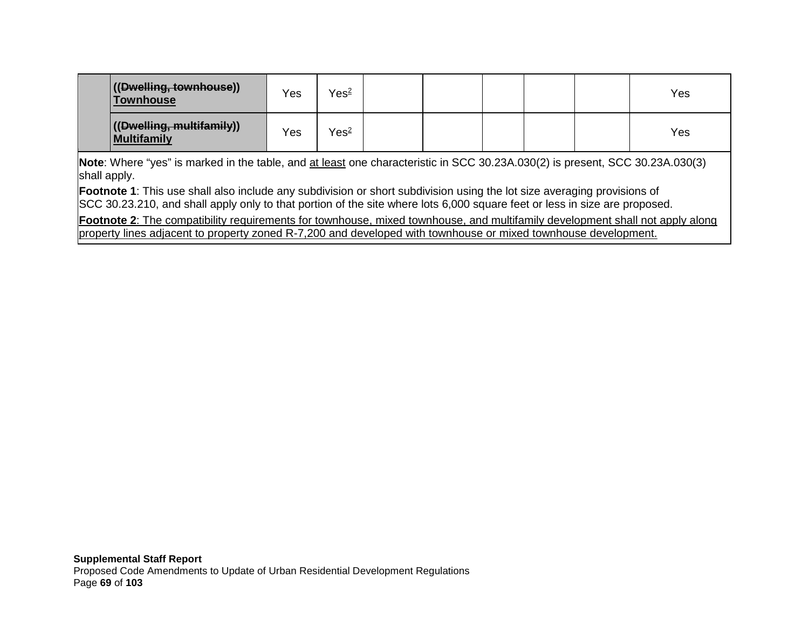| ((Dwelling, townhouse))<br><b>Townhouse</b>           | Yes | Yes <sup>2</sup> |  |  | Yes |
|-------------------------------------------------------|-----|------------------|--|--|-----|
| (( <del>Dwelling, multifamily</del> ))<br>Multifamily | Yes | Yes <sup>2</sup> |  |  | Yes |

**Note**: Where "yes" is marked in the table, and at least one characteristic in SCC [30.23A.030\(](http://www.codepublishing.com/WA/SnohomishCounty/html/SnohomishCounty30/SnohomishCounty3023A.html)2) is present, SCC [30.23A.030\(](http://www.codepublishing.com/WA/SnohomishCounty/html/SnohomishCounty30/SnohomishCounty3023A.html)3) shall apply.

**Footnote 1**: This use shall also include any subdivision or short subdivision using the lot size averaging provisions of SCC [30.23.210,](http://www.codepublishing.com/WA/SnohomishCounty/html/SnohomishCounty30/SnohomishCounty3023.html) and shall apply only to that portion of the site where lots 6,000 square feet or less in size are proposed.

**Footnote 2**: The compatibility requirements for townhouse, mixed townhouse, and multifamily development shall not apply along property lines adjacent to property zoned R-7,200 and developed with townhouse or mixed townhouse development.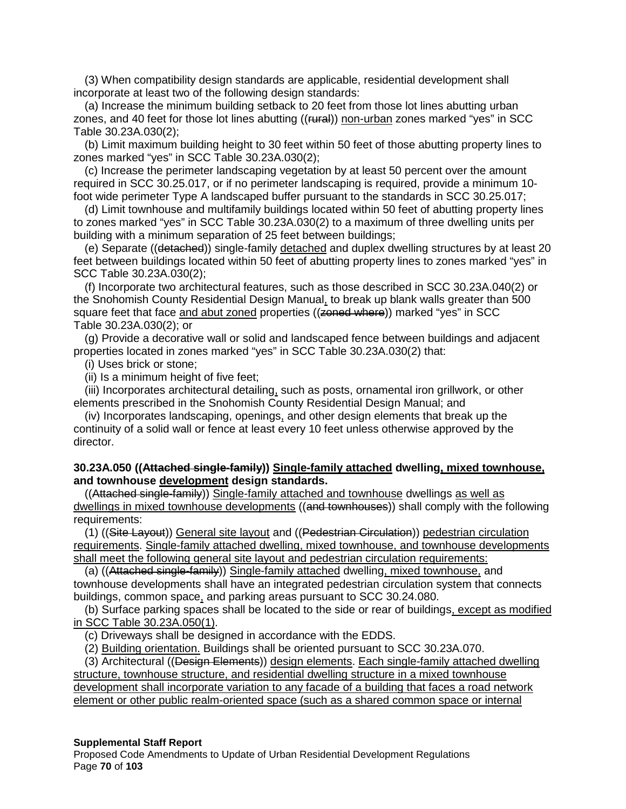(3) When compatibility design standards are applicable, residential development shall incorporate at least two of the following design standards:

(a) Increase the minimum building setback to 20 feet from those lot lines abutting urban zones, and 40 feet for those lot lines abutting ((rural)) non-urban zones marked "yes" in SCC Table 30.23A.030(2);

(b) Limit maximum building height to 30 feet within 50 feet of those abutting property lines to zones marked "yes" in SCC Table 30.23A.030(2);

(c) Increase the perimeter landscaping vegetation by at least 50 percent over the amount required in SCC 30.25.017, or if no perimeter landscaping is required, provide a minimum 10 foot wide perimeter Type A landscaped buffer pursuant to the standards in SCC 30.25.017;

(d) Limit townhouse and multifamily buildings located within 50 feet of abutting property lines to zones marked "yes" in SCC Table 30.23A.030(2) to a maximum of three dwelling units per building with a minimum separation of 25 feet between buildings;

(e) Separate ((detached)) single-family detached and duplex dwelling structures by at least 20 feet between buildings located within 50 feet of abutting property lines to zones marked "yes" in SCC Table 30.23A.030(2);

(f) Incorporate two architectural features, such as those described in SCC 30.23A.040(2) or the Snohomish County Residential Design Manual, to break up blank walls greater than 500 square feet that face and abut zoned properties ((zoned where)) marked "yes" in SCC Table 30.23A.030(2); or

(g) Provide a decorative wall or solid and landscaped fence between buildings and adjacent properties located in zones marked "yes" in SCC Table 30.23A.030(2) that:

(i) Uses brick or stone;

(ii) Is a minimum height of five feet;

(iii) Incorporates architectural detailing, such as posts, ornamental iron grillwork, or other elements prescribed in the Snohomish County Residential Design Manual; and

(iv) Incorporates landscaping, openings, and other design elements that break up the continuity of a solid wall or fence at least every 10 feet unless otherwise approved by the director.

## **30.23A.050 ((Attached single-family)) Single-family attached dwelling, mixed townhouse, and townhouse development design standards.**

((Attached single-family)) Single-family attached and townhouse dwellings as well as dwellings in mixed townhouse developments ((and townhouses)) shall comply with the following requirements:

(1) ((Site Layout)) General site layout and ((Pedestrian Circulation)) pedestrian circulation requirements. Single-family attached dwelling, mixed townhouse, and townhouse developments shall meet the following general site layout and pedestrian circulation requirements:

(a) ((Attached single-family)) Single-family attached dwelling, mixed townhouse, and townhouse developments shall have an integrated pedestrian circulation system that connects buildings, common space, and parking areas pursuant to SCC 30.24.080.

(b) Surface parking spaces shall be located to the side or rear of buildings, except as modified in SCC Table 30.23A.050(1).

(c) Driveways shall be designed in accordance with the EDDS.

(2) Building orientation. Buildings shall be oriented pursuant to SCC 30.23A.070.

(3) Architectural ((Design Elements)) design elements. Each single-family attached dwelling structure, townhouse structure, and residential dwelling structure in a mixed townhouse development shall incorporate variation to any facade of a building that faces a road network element or other public realm-oriented space (such as a shared common space or internal

#### **Supplemental Staff Report**

Proposed Code Amendments to Update of Urban Residential Development Regulations Page **70** of **103**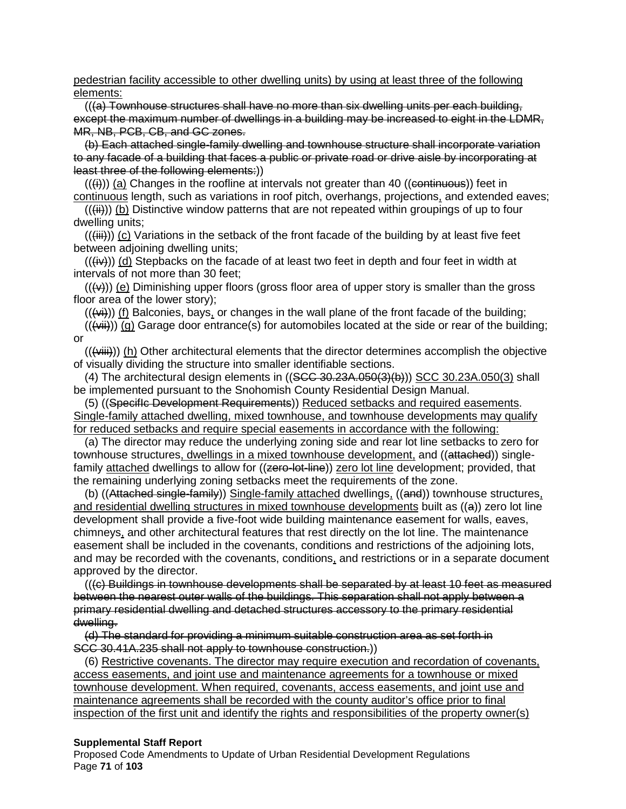#### pedestrian facility accessible to other dwelling units) by using at least three of the following elements:

 $((a)$  Townhouse structures shall have no more than six dwelling units per each building, except the maximum number of dwellings in a building may be increased to eight in the LDMR, MR, NB, PCB, CB, and GC zones.

(b) Each attached single-family dwelling and townhouse structure shall incorporate variation to any facade of a building that faces a public or private road or drive aisle by incorporating at least three of the following elements:))

 $((\n{ii})$ ) (a) Changes in the roofline at intervals not greater than 40 (( $\epsilon$ ) ( $\epsilon$ ) ( $\epsilon$ )) feet in continuous length, such as variations in roof pitch, overhangs, projections, and extended eaves;

 $((\n{iii}))(b)$  Distinctive window patterns that are not repeated within groupings of up to four dwelling units;

 $((\n{iii}))$  (c) Variations in the setback of the front facade of the building by at least five feet between adjoining dwelling units;

 $((\n{iv}))$  (d) Stepbacks on the facade of at least two feet in depth and four feet in width at intervals of not more than 30 feet;

 $((\nleftrightarrow))$  (e) Diminishing upper floors (gross floor area of upper story is smaller than the gross floor area of the lower story);

 $((\n\leftrightarrow\rightarrow))$  (f) Balconies, bays, or changes in the wall plane of the front facade of the building;

 $((\n\leftrightarrow\rightarrow\neg)(g)$  Garage door entrance(s) for automobiles located at the side or rear of the building; or

 $((\forall\ddot{ii}))(h)$  Other architectural elements that the director determines accomplish the objective of visually dividing the structure into smaller identifiable sections.

(4) The architectural design elements in ((SCC 30.23A.050(3)(b))) SCC 30.23A.050(3) shall be implemented pursuant to the Snohomish County Residential Design Manual.

(5) ((SpecifIc Development Requirements)) Reduced setbacks and required easements. Single-family attached dwelling, mixed townhouse, and townhouse developments may qualify for reduced setbacks and require special easements in accordance with the following:

(a) The director may reduce the underlying zoning side and rear lot line setbacks to zero for townhouse structures, dwellings in a mixed townhouse development, and ((attached)) singlefamily attached dwellings to allow for ((zero-lot-line)) zero lot line development; provided, that the remaining underlying zoning setbacks meet the requirements of the zone.

(b) ((Attached single-family)) Single-family attached dwellings, ((and)) townhouse structures, and residential dwelling structures in mixed townhouse developments built as  $((a))$  zero lot line development shall provide a five-foot wide building maintenance easement for walls, eaves, chimneys, and other architectural features that rest directly on the lot line. The maintenance easement shall be included in the covenants, conditions and restrictions of the adjoining lots, and may be recorded with the covenants, conditions, and restrictions or in a separate document approved by the director.

(((c) Buildings in townhouse developments shall be separated by at least 10 feet as measured between the nearest outer walls of the buildings. This separation shall not apply between a primary residential dwelling and detached structures accessory to the primary residential dwelling.

(d) The standard for providing a minimum suitable construction area as set forth in SCC 30.41A.235 shall not apply to townhouse construction.))

(6) Restrictive covenants. The director may require execution and recordation of covenants, access easements, and joint use and maintenance agreements for a townhouse or mixed townhouse development. When required, covenants, access easements, and joint use and maintenance agreements shall be recorded with the county auditor's office prior to final inspection of the first unit and identify the rights and responsibilities of the property owner(s)

#### **Supplemental Staff Report**

Proposed Code Amendments to Update of Urban Residential Development Regulations Page **71** of **103**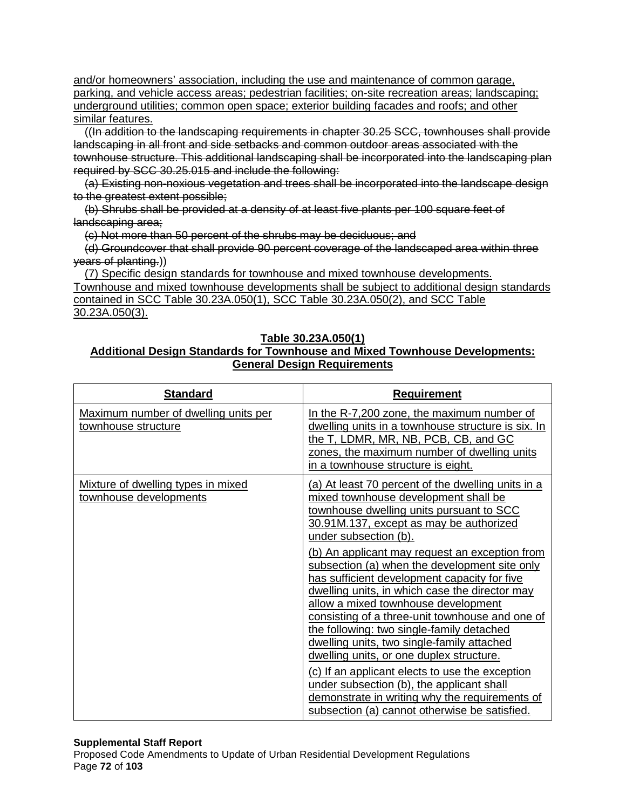and/or homeowners' association, including the use and maintenance of common garage, parking, and vehicle access areas; pedestrian facilities; on-site recreation areas; landscaping; underground utilities; common open space; exterior building facades and roofs; and other similar features.

((In addition to the landscaping requirements in chapter 30.25 SCC, townhouses shall provide landscaping in all front and side setbacks and common outdoor areas associated with the townhouse structure. This additional landscaping shall be incorporated into the landscaping plan required by SCC 30.25.015 and include the following:

(a) Existing non-noxious vegetation and trees shall be incorporated into the landscape design to the greatest extent possible;

(b) Shrubs shall be provided at a density of at least five plants per 100 square feet of landscaping area;

(c) Not more than 50 percent of the shrubs may be deciduous; and

(d) Groundcover that shall provide 90 percent coverage of the landscaped area within three years of planting.))

(7) Specific design standards for townhouse and mixed townhouse developments. Townhouse and mixed townhouse developments shall be subject to additional design standards contained in SCC Table 30.23A.050(1), SCC Table 30.23A.050(2), and SCC Table 30.23A.050(3).

## **Table 30.23A.050(1)**

# **Additional Design Standards for Townhouse and Mixed Townhouse Developments: General Design Requirements**

| <b>Standard</b>                                              | <b>Requirement</b>                                                                                                                                                                                                                                                                                                                                                                     |
|--------------------------------------------------------------|----------------------------------------------------------------------------------------------------------------------------------------------------------------------------------------------------------------------------------------------------------------------------------------------------------------------------------------------------------------------------------------|
| Maximum number of dwelling units per<br>townhouse structure  | In the R-7,200 zone, the maximum number of<br>dwelling units in a townhouse structure is six. In<br>the T, LDMR, MR, NB, PCB, CB, and GC<br>zones, the maximum number of dwelling units<br>in a townhouse structure is eight.                                                                                                                                                          |
| Mixture of dwelling types in mixed<br>townhouse developments | (a) At least 70 percent of the dwelling units in a<br>mixed townhouse development shall be<br>townhouse dwelling units pursuant to SCC<br>30.91M.137, except as may be authorized<br>under subsection (b).                                                                                                                                                                             |
|                                                              | (b) An applicant may request an exception from<br>subsection (a) when the development site only<br>has sufficient development capacity for five<br>dwelling units, in which case the director may<br>allow a mixed townhouse development<br>consisting of a three-unit townhouse and one of<br>the following: two single-family detached<br>dwelling units, two single-family attached |
|                                                              | dwelling units, or one duplex structure.<br>(c) If an applicant elects to use the exception<br>under subsection (b), the applicant shall<br>demonstrate in writing why the requirements of<br>subsection (a) cannot otherwise be satisfied.                                                                                                                                            |

## **Supplemental Staff Report**

Proposed Code Amendments to Update of Urban Residential Development Regulations Page **72** of **103**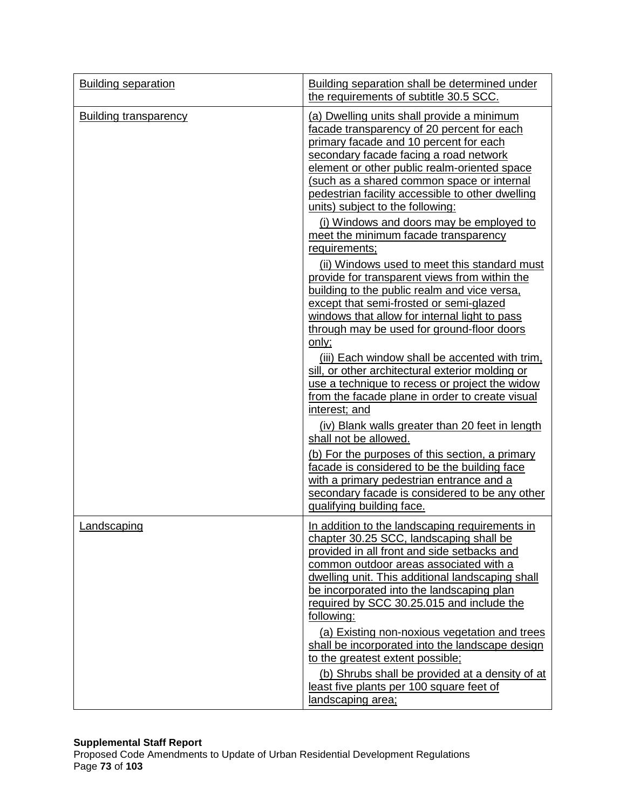| <b>Building separation</b>   | Building separation shall be determined under<br>the requirements of subtitle 30.5 SCC.                                                                                                                                                                                                                                                                                                                                                                                                                                                                                                                                                                                                                                                                                                                                                                                                                                                                                                                                                                                                                                                                                                                                            |
|------------------------------|------------------------------------------------------------------------------------------------------------------------------------------------------------------------------------------------------------------------------------------------------------------------------------------------------------------------------------------------------------------------------------------------------------------------------------------------------------------------------------------------------------------------------------------------------------------------------------------------------------------------------------------------------------------------------------------------------------------------------------------------------------------------------------------------------------------------------------------------------------------------------------------------------------------------------------------------------------------------------------------------------------------------------------------------------------------------------------------------------------------------------------------------------------------------------------------------------------------------------------|
| <b>Building transparency</b> | (a) Dwelling units shall provide a minimum<br>facade transparency of 20 percent for each<br>primary facade and 10 percent for each<br>secondary facade facing a road network<br>element or other public realm-oriented space<br>(such as a shared common space or internal<br>pedestrian facility accessible to other dwelling<br>units) subject to the following:<br>(i) Windows and doors may be employed to<br>meet the minimum facade transparency<br>requirements;<br>(ii) Windows used to meet this standard must<br>provide for transparent views from within the<br>building to the public realm and vice versa,<br>except that semi-frosted or semi-glazed<br>windows that allow for internal light to pass<br>through may be used for ground-floor doors<br>only;<br>(iii) Each window shall be accented with trim,<br>sill, or other architectural exterior molding or<br>use a technique to recess or project the widow<br>from the facade plane in order to create visual<br>interest; and<br>(iv) Blank walls greater than 20 feet in length<br>shall not be allowed.<br>(b) For the purposes of this section, a primary<br>facade is considered to be the building face<br>with a primary pedestrian entrance and a |
|                              | secondary facade is considered to be any other<br>qualifying building face.                                                                                                                                                                                                                                                                                                                                                                                                                                                                                                                                                                                                                                                                                                                                                                                                                                                                                                                                                                                                                                                                                                                                                        |
| Landscaping                  | In addition to the landscaping requirements in<br>chapter 30.25 SCC, landscaping shall be<br>provided in all front and side setbacks and<br>common outdoor areas associated with a<br>dwelling unit. This additional landscaping shall<br>be incorporated into the landscaping plan<br>required by SCC 30.25.015 and include the<br>following:<br>(a) Existing non-noxious vegetation and trees<br>shall be incorporated into the landscape design<br>to the greatest extent possible;<br>(b) Shrubs shall be provided at a density of at<br>least five plants per 100 square feet of<br>landscaping area;                                                                                                                                                                                                                                                                                                                                                                                                                                                                                                                                                                                                                         |

# **Supplemental Staff Report**

Proposed Code Amendments to Update of Urban Residential Development Regulations Page **73** of **103**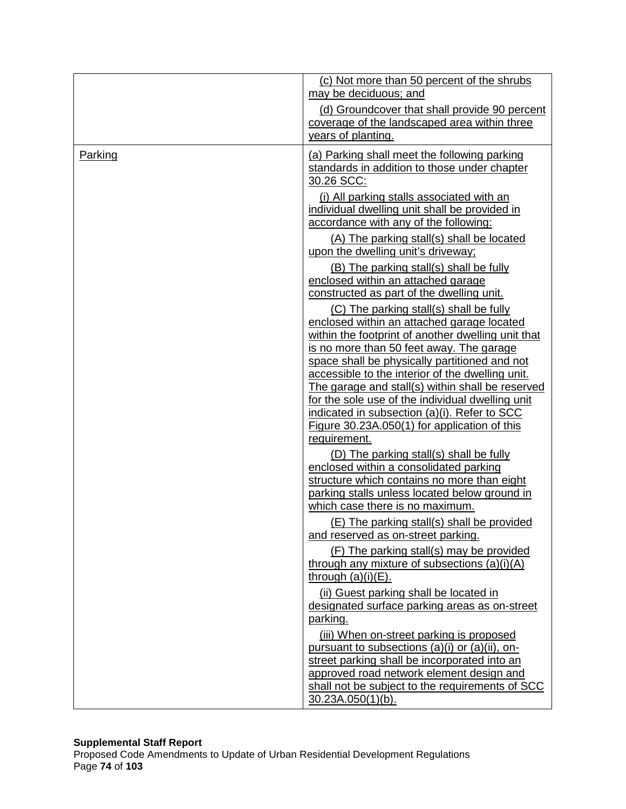|         | (c) Not more than 50 percent of the shrubs<br>may be deciduous; and                                                                 |
|---------|-------------------------------------------------------------------------------------------------------------------------------------|
|         | (d) Groundcover that shall provide 90 percent<br>coverage of the landscaped area within three                                       |
|         | years of planting.                                                                                                                  |
| Parking | (a) Parking shall meet the following parking<br>standards in addition to those under chapter<br>30.26 SCC:                          |
|         | (i) All parking stalls associated with an<br>individual dwelling unit shall be provided in<br>accordance with any of the following: |
|         | (A) The parking stall(s) shall be located<br>upon the dwelling unit's driveway;                                                     |
|         | (B) The parking stall(s) shall be fully<br>enclosed within an attached garage<br>constructed as part of the dwelling unit.          |
|         | (C) The parking stall(s) shall be fully                                                                                             |
|         | enclosed within an attached garage located<br>within the footprint of another dwelling unit that                                    |
|         | is no more than 50 feet away. The garage<br>space shall be physically partitioned and not                                           |
|         | accessible to the interior of the dwelling unit.<br>The garage and stall(s) within shall be reserved                                |
|         | for the sole use of the individual dwelling unit                                                                                    |
|         | indicated in subsection (a)(i). Refer to SCC                                                                                        |
|         | Figure 30.23A.050(1) for application of this<br>requirement.                                                                        |
|         | (D) The parking stall(s) shall be fully                                                                                             |
|         | enclosed within a consolidated parking                                                                                              |
|         | structure which contains no more than eight<br>parking stalls unless located below ground in                                        |
|         | which case there is no maximum.                                                                                                     |
|         | (E) The parking stall(s) shall be provided                                                                                          |
|         | and reserved as on-street parking.                                                                                                  |
|         | (F) The parking stall(s) may be provided                                                                                            |
|         | through any mixture of subsections (a)(i)(A)<br>through $(a)(i)(E)$ .                                                               |
|         | (ii) Guest parking shall be located in<br>designated surface parking areas as on-street                                             |
|         | parking.                                                                                                                            |
|         | (iii) When on-street parking is proposed                                                                                            |
|         | pursuant to subsections (a)(i) or (a)(ii), on-<br>street parking shall be incorporated into an                                      |
|         | approved road network element design and                                                                                            |
|         | shall not be subject to the requirements of SCC                                                                                     |
|         | $30.23A.050(1)(b)$ .                                                                                                                |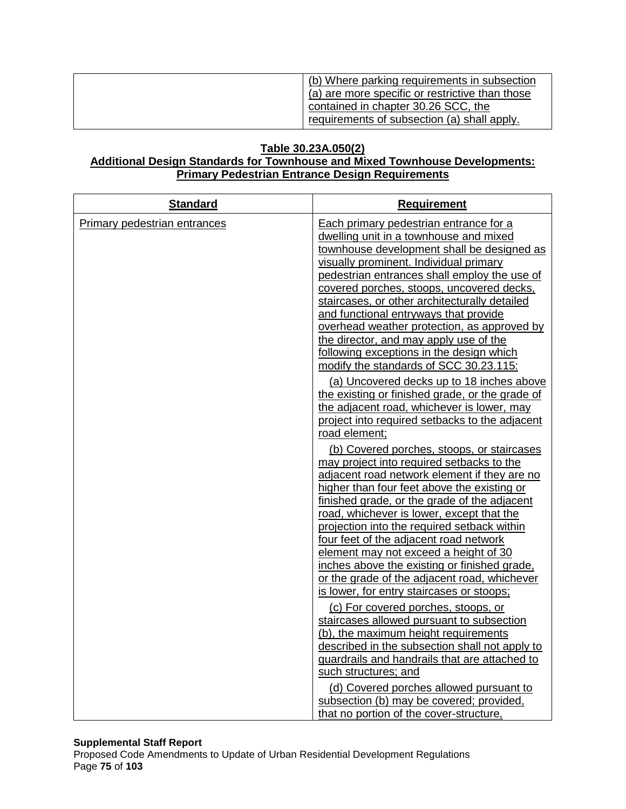| (b) Where parking requirements in subsection    |
|-------------------------------------------------|
| (a) are more specific or restrictive than those |
| contained in chapter 30.26 SCC, the             |
| requirements of subsection (a) shall apply.     |

# **Table 30.23A.050(2)**

# **Additional Design Standards for Townhouse and Mixed Townhouse Developments: Primary Pedestrian Entrance Design Requirements**

| <b>Standard</b>              | <b>Requirement</b>                                                                                                                                                                                                                                                                                                                                                                                                                                                                                                                                                                                                                                                                                                                                                                                                                                                                                                                                                                                                                                                                                                                                                                                                                                                                                                                                                                                                                                                |
|------------------------------|-------------------------------------------------------------------------------------------------------------------------------------------------------------------------------------------------------------------------------------------------------------------------------------------------------------------------------------------------------------------------------------------------------------------------------------------------------------------------------------------------------------------------------------------------------------------------------------------------------------------------------------------------------------------------------------------------------------------------------------------------------------------------------------------------------------------------------------------------------------------------------------------------------------------------------------------------------------------------------------------------------------------------------------------------------------------------------------------------------------------------------------------------------------------------------------------------------------------------------------------------------------------------------------------------------------------------------------------------------------------------------------------------------------------------------------------------------------------|
| Primary pedestrian entrances | Each primary pedestrian entrance for a<br>dwelling unit in a townhouse and mixed<br>townhouse development shall be designed as<br>visually prominent. Individual primary<br>pedestrian entrances shall employ the use of<br>covered porches, stoops, uncovered decks,<br>staircases, or other architecturally detailed<br>and functional entryways that provide<br>overhead weather protection, as approved by<br>the director, and may apply use of the<br>following exceptions in the design which<br>modify the standards of SCC 30.23.115:<br>(a) Uncovered decks up to 18 inches above<br>the existing or finished grade, or the grade of<br>the adjacent road, whichever is lower, may<br>project into required setbacks to the adjacent<br>road element;<br>(b) Covered porches, stoops, or staircases<br>may project into required setbacks to the<br>adjacent road network element if they are no<br>higher than four feet above the existing or<br>finished grade, or the grade of the adjacent<br>road, whichever is lower, except that the<br>projection into the required setback within<br>four feet of the adjacent road network<br>element may not exceed a height of 30<br>inches above the existing or finished grade,<br>or the grade of the adjacent road, whichever<br>is lower, for entry staircases or stoops;<br>(c) For covered porches, stoops, or<br>staircases allowed pursuant to subsection<br>(b), the maximum height requirements |
|                              | described in the subsection shall not apply to<br>guardrails and handrails that are attached to                                                                                                                                                                                                                                                                                                                                                                                                                                                                                                                                                                                                                                                                                                                                                                                                                                                                                                                                                                                                                                                                                                                                                                                                                                                                                                                                                                   |
|                              | such structures; and<br>(d) Covered porches allowed pursuant to                                                                                                                                                                                                                                                                                                                                                                                                                                                                                                                                                                                                                                                                                                                                                                                                                                                                                                                                                                                                                                                                                                                                                                                                                                                                                                                                                                                                   |
|                              | subsection (b) may be covered; provided,<br>that no portion of the cover-structure,                                                                                                                                                                                                                                                                                                                                                                                                                                                                                                                                                                                                                                                                                                                                                                                                                                                                                                                                                                                                                                                                                                                                                                                                                                                                                                                                                                               |

### **Supplemental Staff Report**

Proposed Code Amendments to Update of Urban Residential Development Regulations Page **75** of **103**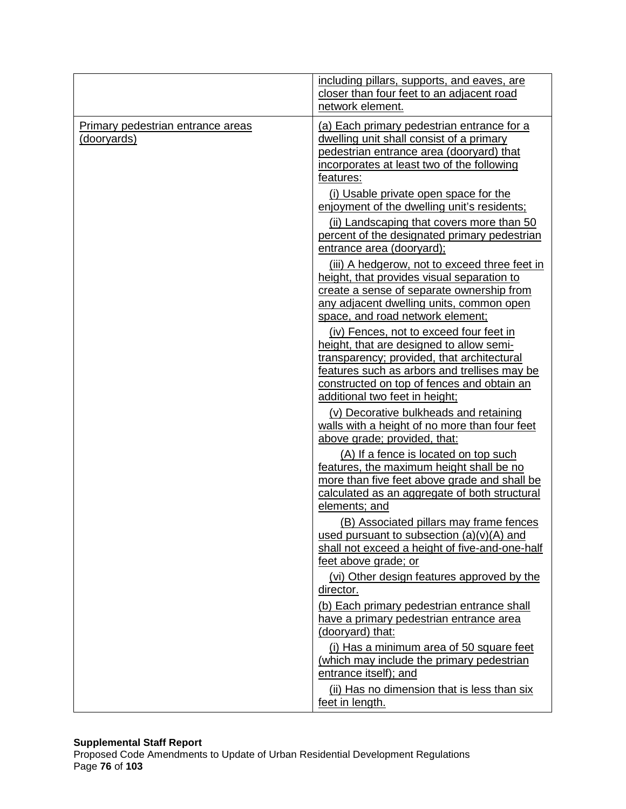|                                                  | including pillars, supports, and eaves, are<br>closer than four feet to an adjacent road<br>network element.                                                                                                                                                      |
|--------------------------------------------------|-------------------------------------------------------------------------------------------------------------------------------------------------------------------------------------------------------------------------------------------------------------------|
| Primary pedestrian entrance areas<br>(dooryards) | (a) Each primary pedestrian entrance for a<br>dwelling unit shall consist of a primary<br><u>pedestrian entrance area (dooryard) that</u><br>incorporates at least two of the following<br>features:                                                              |
|                                                  | (i) Usable private open space for the<br>enjoyment of the dwelling unit's residents;<br>(ii) Landscaping that covers more than 50                                                                                                                                 |
|                                                  | percent of the designated primary pedestrian<br>entrance area (dooryard);                                                                                                                                                                                         |
|                                                  | (iii) A hedgerow, not to exceed three feet in<br>height, that provides visual separation to<br>create a sense of separate ownership from<br>any adjacent dwelling units, common open<br>space, and road network element;                                          |
|                                                  | (iv) Fences, not to exceed four feet in<br>height, that are designed to allow semi-<br>transparency; provided, that architectural<br>features such as arbors and trellises may be<br>constructed on top of fences and obtain an<br>additional two feet in height; |
|                                                  | (v) Decorative bulkheads and retaining<br>walls with a height of no more than four feet<br>above grade; provided, that:                                                                                                                                           |
|                                                  | (A) If a fence is located on top such<br>features, the maximum height shall be no<br>more than five feet above grade and shall be<br>calculated as an aggregate of both structural<br>elements; and                                                               |
|                                                  | (B) Associated pillars may frame fences<br>used pursuant to subsection $(a)(v)(A)$ and<br>shall not exceed a height of five-and-one-half<br>feet above grade; or                                                                                                  |
|                                                  | (vi) Other design features approved by the<br>director.                                                                                                                                                                                                           |
|                                                  | (b) Each primary pedestrian entrance shall<br>have a primary pedestrian entrance area<br>(dooryard) that:                                                                                                                                                         |
|                                                  | (i) Has a minimum area of 50 square feet<br>(which may include the primary pedestrian<br>entrance itself); and                                                                                                                                                    |
|                                                  | (ii) Has no dimension that is less than six<br>feet in length.                                                                                                                                                                                                    |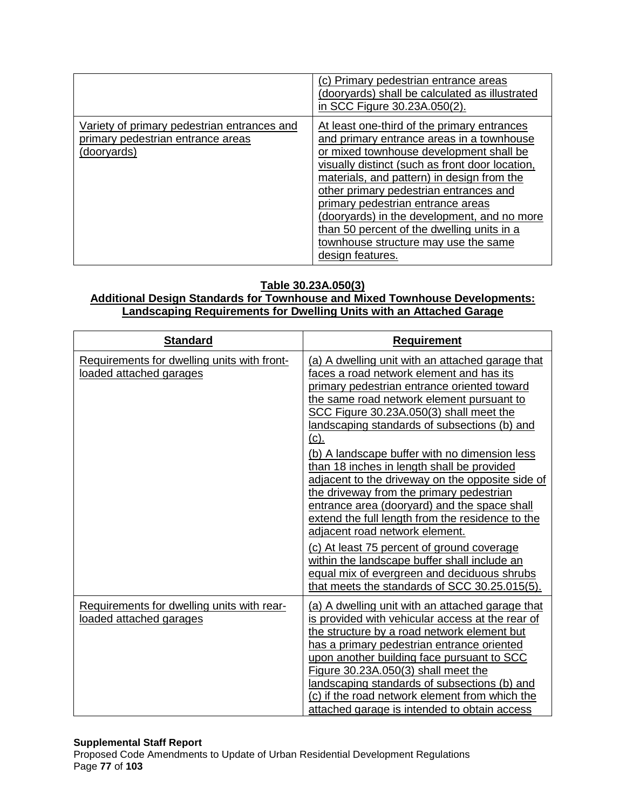|                                                                                                 | (c) Primary pedestrian entrance areas<br>(dooryards) shall be calculated as illustrated<br>in SCC Figure 30.23A.050(2).                                                                                                                                                                                                                                                                                                                                                      |
|-------------------------------------------------------------------------------------------------|------------------------------------------------------------------------------------------------------------------------------------------------------------------------------------------------------------------------------------------------------------------------------------------------------------------------------------------------------------------------------------------------------------------------------------------------------------------------------|
| Variety of primary pedestrian entrances and<br>primary pedestrian entrance areas<br>(dooryards) | At least one-third of the primary entrances<br>and primary entrance areas in a townhouse<br>or mixed townhouse development shall be<br>visually distinct (such as front door location,<br>materials, and pattern) in design from the<br>other primary pedestrian entrances and<br>primary pedestrian entrance areas<br>(dooryards) in the development, and no more<br>than 50 percent of the dwelling units in a<br>townhouse structure may use the same<br>design features. |

# **Table 30.23A.050(3)**

# **Additional Design Standards for Townhouse and Mixed Townhouse Developments: Landscaping Requirements for Dwelling Units with an Attached Garage**

| <b>Standard</b>                                                        | <b>Requirement</b>                                                                                                                                                                                                                                                                                                                                                                                                                                                                                                                                                                                                                                                                    |
|------------------------------------------------------------------------|---------------------------------------------------------------------------------------------------------------------------------------------------------------------------------------------------------------------------------------------------------------------------------------------------------------------------------------------------------------------------------------------------------------------------------------------------------------------------------------------------------------------------------------------------------------------------------------------------------------------------------------------------------------------------------------|
| Requirements for dwelling units with front-<br>loaded attached garages | (a) A dwelling unit with an attached garage that<br>faces a road network element and has its<br>primary pedestrian entrance oriented toward<br>the same road network element pursuant to<br>SCC Figure 30.23A.050(3) shall meet the<br>landscaping standards of subsections (b) and<br><u>(c).</u><br>(b) A landscape buffer with no dimension less<br>than 18 inches in length shall be provided<br>adjacent to the driveway on the opposite side of<br>the driveway from the primary pedestrian<br>entrance area (dooryard) and the space shall<br>extend the full length from the residence to the<br>adjacent road network element.<br>(c) At least 75 percent of ground coverage |
|                                                                        | within the landscape buffer shall include an<br>equal mix of evergreen and deciduous shrubs<br>that meets the standards of SCC 30.25.015(5).                                                                                                                                                                                                                                                                                                                                                                                                                                                                                                                                          |
| Requirements for dwelling units with rear-<br>loaded attached garages  | (a) A dwelling unit with an attached garage that<br>is provided with vehicular access at the rear of<br>the structure by a road network element but<br>has a primary pedestrian entrance oriented<br>upon another building face pursuant to SCC<br>Figure 30.23A.050(3) shall meet the<br>landscaping standards of subsections (b) and<br>(c) if the road network element from which the<br>attached garage is intended to obtain access                                                                                                                                                                                                                                              |

### **Supplemental Staff Report**

Proposed Code Amendments to Update of Urban Residential Development Regulations Page **77** of **103**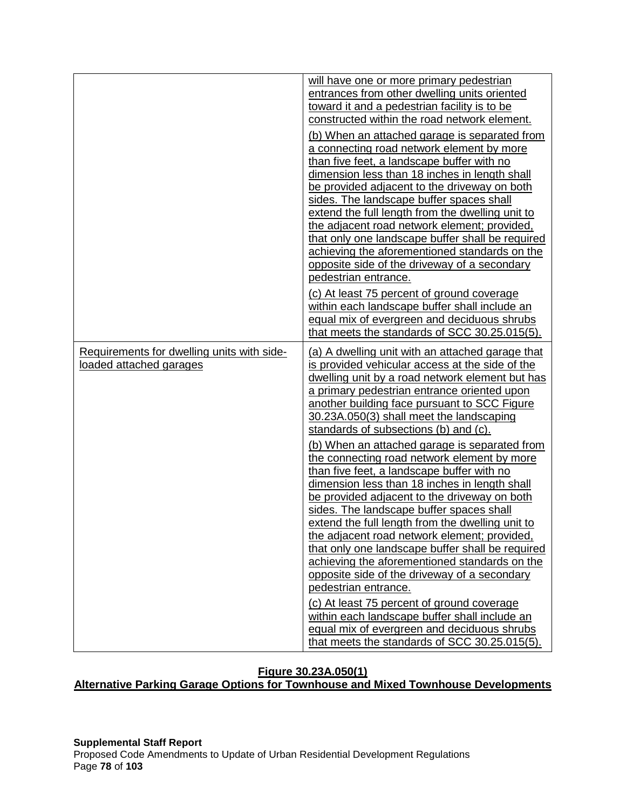|                                                                       | will have one or more primary pedestrian<br>entrances from other dwelling units oriented<br>toward it and a pedestrian facility is to be<br>constructed within the road network element.<br>(b) When an attached garage is separated from<br>a connecting road network element by more<br>than five feet, a landscape buffer with no<br>dimension less than 18 inches in length shall<br>be provided adjacent to the driveway on both<br>sides. The landscape buffer spaces shall<br>extend the full length from the dwelling unit to<br>the adjacent road network element; provided,<br>that only one landscape buffer shall be required<br>achieving the aforementioned standards on the<br>opposite side of the driveway of a secondary<br>pedestrian entrance.<br>(c) At least 75 percent of ground coverage<br>within each landscape buffer shall include an<br>equal mix of evergreen and deciduous shrubs |
|-----------------------------------------------------------------------|------------------------------------------------------------------------------------------------------------------------------------------------------------------------------------------------------------------------------------------------------------------------------------------------------------------------------------------------------------------------------------------------------------------------------------------------------------------------------------------------------------------------------------------------------------------------------------------------------------------------------------------------------------------------------------------------------------------------------------------------------------------------------------------------------------------------------------------------------------------------------------------------------------------|
| Requirements for dwelling units with side-<br>loaded attached garages | that meets the standards of SCC 30.25.015(5).<br>(a) A dwelling unit with an attached garage that<br>is provided vehicular access at the side of the<br>dwelling unit by a road network element but has<br>a primary pedestrian entrance oriented upon<br>another building face pursuant to SCC Figure                                                                                                                                                                                                                                                                                                                                                                                                                                                                                                                                                                                                           |
|                                                                       | 30.23A.050(3) shall meet the landscaping<br>standards of subsections (b) and (c).<br>(b) When an attached garage is separated from<br>the connecting road network element by more<br>than five feet, a landscape buffer with no<br>dimension less than 18 inches in length shall<br>be provided adjacent to the driveway on both<br>sides. The landscape buffer spaces shall<br>extend the full length from the dwelling unit to                                                                                                                                                                                                                                                                                                                                                                                                                                                                                 |
|                                                                       | the adjacent road network element; provided,<br>that only one landscape buffer shall be required<br>achieving the aforementioned standards on the<br>opposite side of the driveway of a secondary<br>pedestrian entrance.<br>(c) At least 75 percent of ground coverage<br>within each landscape buffer shall include an<br>equal mix of evergreen and deciduous shrubs<br>that meets the standards of SCC 30.25.015(5).                                                                                                                                                                                                                                                                                                                                                                                                                                                                                         |

# **Figure 30.23A.050(1)**

**Alternative Parking Garage Options for Townhouse and Mixed Townhouse Developments**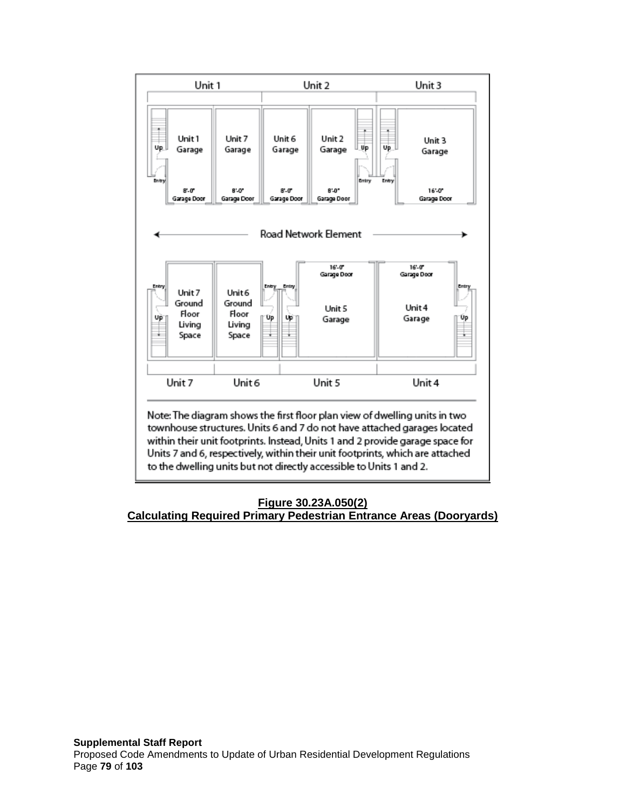

# **Figure 30.23A.050(2) Calculating Required Primary Pedestrian Entrance Areas (Dooryards)**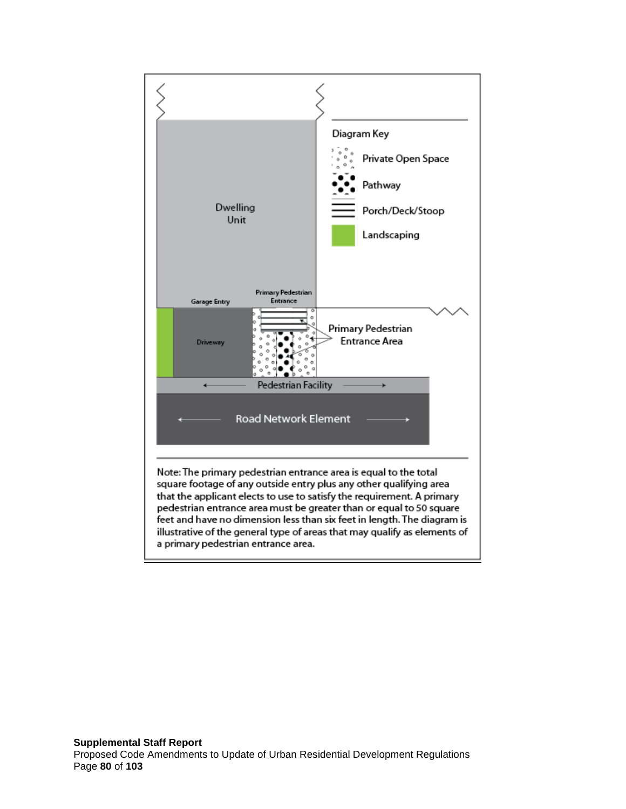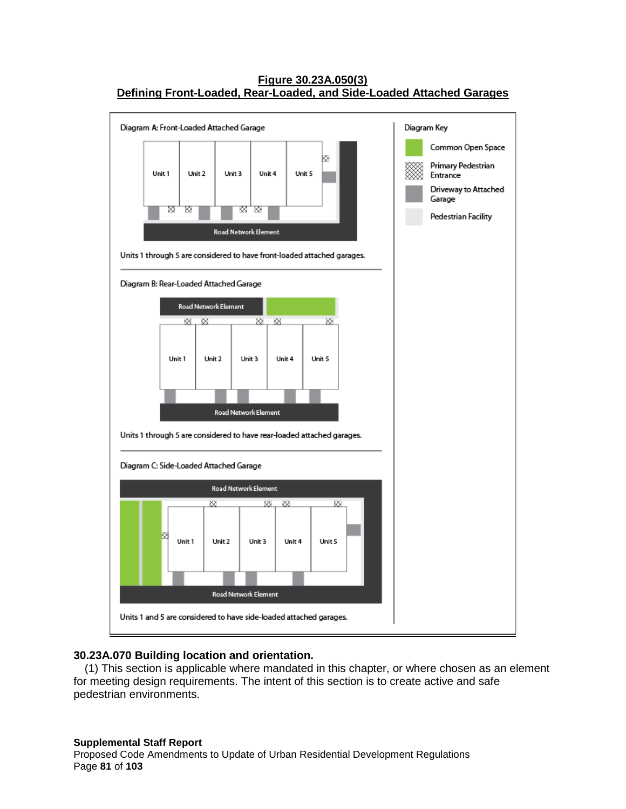# **Figure 30.23A.050(3) Defining Front-Loaded, Rear-Loaded, and Side-Loaded Attached Garages**



## **30.23A.070 Building location and orientation.**

(1) This section is applicable where mandated in this chapter, or where chosen as an element for meeting design requirements. The intent of this section is to create active and safe pedestrian environments.

#### **Supplemental Staff Report** Proposed Code Amendments to Update of Urban Residential Development Regulations Page **81** of **103**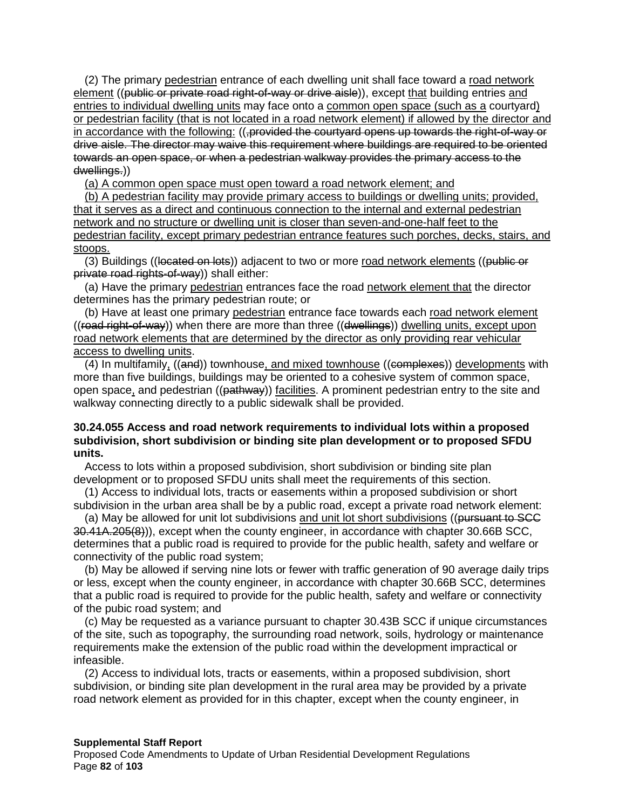(2) The primary pedestrian entrance of each dwelling unit shall face toward a road network element ((public or private road right-of-way or drive aisle)), except that building entries and entries to individual dwelling units may face onto a common open space (such as a courtyard) or pedestrian facility (that is not located in a road network element) if allowed by the director and in accordance with the following: ((,provided the courtyard opens up towards the right-of-way or drive aisle. The director may waive this requirement where buildings are required to be oriented towards an open space, or when a pedestrian walkway provides the primary access to the dwellings.))

(a) A common open space must open toward a road network element; and

(b) A pedestrian facility may provide primary access to buildings or dwelling units; provided, that it serves as a direct and continuous connection to the internal and external pedestrian network and no structure or dwelling unit is closer than seven-and-one-half feet to the pedestrian facility, except primary pedestrian entrance features such porches, decks, stairs, and stoops.

(3) Buildings ((located on lots)) adjacent to two or more road network elements ((public or private road rights-of-way)) shall either:

(a) Have the primary pedestrian entrances face the road network element that the director determines has the primary pedestrian route; or

(b) Have at least one primary pedestrian entrance face towards each road network element  $((read\ right-of-way))$  when there are more than three  $((dwellings))$  dwelling units, except upon road network elements that are determined by the director as only providing rear vehicular access to dwelling units.

(4) In multifamily, ((and)) townhouse, and mixed townhouse ((complexes)) developments with more than five buildings, buildings may be oriented to a cohesive system of common space, open space, and pedestrian ((pathway)) facilities. A prominent pedestrian entry to the site and walkway connecting directly to a public sidewalk shall be provided.

### **30.24.055 Access and road network requirements to individual lots within a proposed subdivision, short subdivision or binding site plan development or to proposed SFDU units.**

Access to lots within a proposed subdivision, short subdivision or binding site plan development or to proposed SFDU units shall meet the requirements of this section.

(1) Access to individual lots, tracts or easements within a proposed subdivision or short subdivision in the urban area shall be by a public road, except a private road network element:

(a) May be allowed for unit lot subdivisions and unit lot short subdivisions ((pursuant to SCC 30.41A.205(8))), except when the county engineer, in accordance with chapter 30.66B SCC, determines that a public road is required to provide for the public health, safety and welfare or connectivity of the public road system;

(b) May be allowed if serving nine lots or fewer with traffic generation of 90 average daily trips or less, except when the county engineer, in accordance with chapter 30.66B SCC, determines that a public road is required to provide for the public health, safety and welfare or connectivity of the pubic road system; and

(c) May be requested as a variance pursuant to chapter 30.43B SCC if unique circumstances of the site, such as topography, the surrounding road network, soils, hydrology or maintenance requirements make the extension of the public road within the development impractical or infeasible.

(2) Access to individual lots, tracts or easements, within a proposed subdivision, short subdivision, or binding site plan development in the rural area may be provided by a private road network element as provided for in this chapter, except when the county engineer, in

#### **Supplemental Staff Report**

Proposed Code Amendments to Update of Urban Residential Development Regulations Page **82** of **103**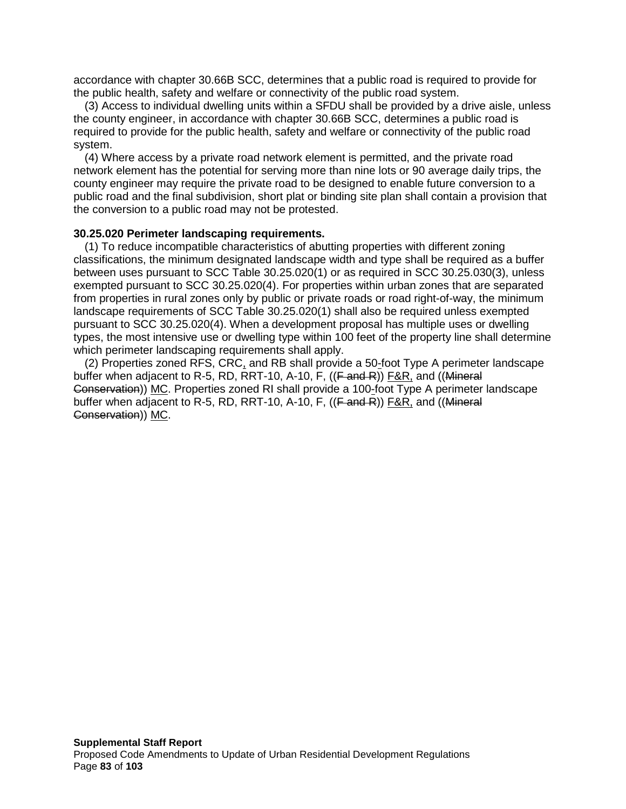accordance with chapter 30.66B SCC, determines that a public road is required to provide for the public health, safety and welfare or connectivity of the public road system.

(3) Access to individual dwelling units within a SFDU shall be provided by a drive aisle, unless the county engineer, in accordance with chapter 30.66B SCC, determines a public road is required to provide for the public health, safety and welfare or connectivity of the public road system.

(4) Where access by a private road network element is permitted, and the private road network element has the potential for serving more than nine lots or 90 average daily trips, the county engineer may require the private road to be designed to enable future conversion to a public road and the final subdivision, short plat or binding site plan shall contain a provision that the conversion to a public road may not be protested.

#### **30.25.020 Perimeter landscaping requirements.**

(1) To reduce incompatible characteristics of abutting properties with different zoning classifications, the minimum designated landscape width and type shall be required as a buffer between uses pursuant to SCC Table 30.25.020(1) or as required in SCC 30.25.030(3), unless exempted pursuant to SCC 30.25.020(4). For properties within urban zones that are separated from properties in rural zones only by public or private roads or road right-of-way, the minimum landscape requirements of SCC Table 30.25.020(1) shall also be required unless exempted pursuant to SCC 30.25.020(4). When a development proposal has multiple uses or dwelling types, the most intensive use or dwelling type within 100 feet of the property line shall determine which perimeter landscaping requirements shall apply.

(2) Properties zoned RFS, CRC, and RB shall provide a 50-foot Type A perimeter landscape buffer when adjacent to R-5, RD, RRT-10, A-10, F, ((F and R)) F&R, and ((Mineral Conservation)) MC. Properties zoned RI shall provide a 100-foot Type A perimeter landscape buffer when adjacent to R-5, RD, RRT-10, A-10, F,  $((F \text{ and } R))$  F&R, and  $((\text{Mineral})$ Conservation)) MC.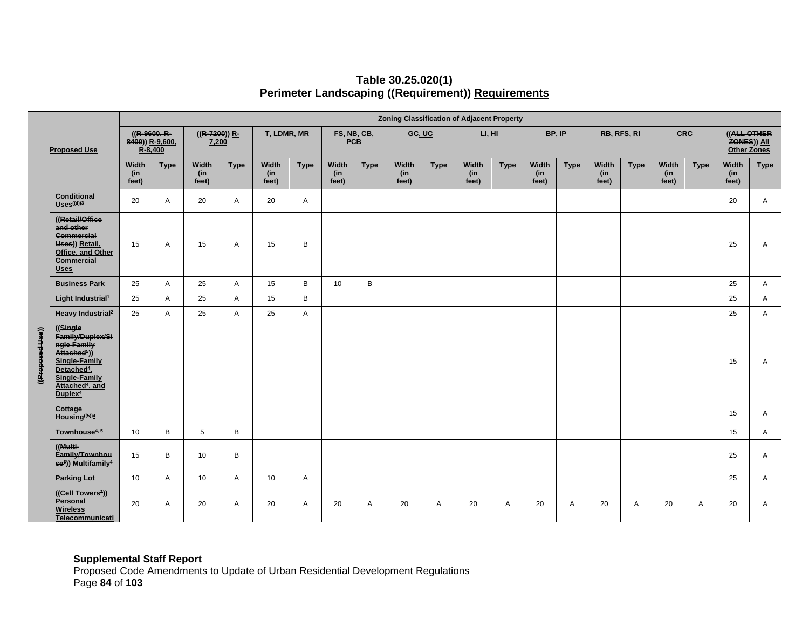|                                                |                                                                                                                                                                                                    |                       |                                            |                       |                          |                       |             |                       |                           | <b>Zoning Classification of Adjacent Property</b> |             |                       |             |                       |             |                       |             |                       |             |                                                  |             |
|------------------------------------------------|----------------------------------------------------------------------------------------------------------------------------------------------------------------------------------------------------|-----------------------|--------------------------------------------|-----------------------|--------------------------|-----------------------|-------------|-----------------------|---------------------------|---------------------------------------------------|-------------|-----------------------|-------------|-----------------------|-------------|-----------------------|-------------|-----------------------|-------------|--------------------------------------------------|-------------|
| <b>Proposed Use</b>                            |                                                                                                                                                                                                    |                       | ((R-9600. R-<br>8400)) R-9,600,<br>R-8,400 |                       | $((R-7200))$ R-<br>7,200 |                       | T, LDMR, MR |                       | FS, NB, CB,<br><b>PCB</b> |                                                   | GC, UC      |                       | LI, HI      |                       | BP, IP      | RB, RFS, RI           |             | <b>CRC</b>            |             | ((ALL OTHER<br>ZONES)) All<br><b>Other Zones</b> |             |
|                                                |                                                                                                                                                                                                    | Width<br>(in<br>feet) | <b>Type</b>                                | Width<br>(in<br>feet) | <b>Type</b>              | Width<br>(in<br>feet) | <b>Type</b> | Width<br>(in<br>feet) | <b>Type</b>               | Width<br>(in<br>feet)                             | <b>Type</b> | Width<br>(in<br>feet) | <b>Type</b> | Width<br>(in<br>feet) | <b>Type</b> | Width<br>(in<br>feet) | <b>Type</b> | Width<br>(in<br>feet) | <b>Type</b> | Width<br>(in<br>feet)                            | <b>Type</b> |
| <b>Conditional</b><br>$Uses$ <sup>((4))3</sup> |                                                                                                                                                                                                    | 20                    | $\mathsf{A}$                               | 20                    | A                        | 20                    | Α           |                       |                           |                                                   |             |                       |             |                       |             |                       |             |                       |             | 20                                               | A           |
|                                                | ((Retail/Office<br>and other<br><b>Commercial</b><br>Uses)) Retail,<br>Office, and Other<br>Commercial<br><b>Uses</b>                                                                              | 15                    | $\overline{A}$                             | 15                    | A                        | 15                    | В           |                       |                           |                                                   |             |                       |             |                       |             |                       |             |                       |             | 25                                               | Α           |
|                                                | <b>Business Park</b>                                                                                                                                                                               | 25                    | A                                          | 25                    | A                        | 15                    | B           | 10                    | B                         |                                                   |             |                       |             |                       |             |                       |             |                       |             | 25                                               | A           |
| ((Proposed-Use))                               | Light Industrial <sup>1</sup>                                                                                                                                                                      | 25                    | $\overline{A}$                             | 25                    | A                        | 15                    | B           |                       |                           |                                                   |             |                       |             |                       |             |                       |             |                       |             | 25                                               | A           |
|                                                | Heavy Industrial <sup>2</sup>                                                                                                                                                                      | 25                    | Α                                          | 25                    | A                        | 25                    | Α           |                       |                           |                                                   |             |                       |             |                       |             |                       |             |                       |             | 25                                               | A           |
|                                                | ((Single)<br>Family/Duplex/Si<br>ngle Family<br>Attached <sup>5</sup> ))<br>Single-Family<br>Detached <sup>4</sup> ,<br><b>Single-Family</b><br>Attached <sup>4</sup> , and<br>Duplex <sup>4</sup> |                       |                                            |                       |                          |                       |             |                       |                           |                                                   |             |                       |             |                       |             |                       |             |                       |             | 15                                               | Α           |
|                                                | Cottage<br>Housing((5))4                                                                                                                                                                           |                       |                                            |                       |                          |                       |             |                       |                           |                                                   |             |                       |             |                       |             |                       |             |                       |             | 15                                               | A           |
|                                                | Townhouse <sup>4, 5</sup>                                                                                                                                                                          | 10                    | $\mathsf B$                                | $\overline{5}$        | $\underline{\mathsf{B}}$ |                       |             |                       |                           |                                                   |             |                       |             |                       |             |                       |             |                       |             | 15                                               | $\Delta$    |
|                                                | ((Multi-<br>Family/Townhou<br>se <sup>5</sup> )) Multifamily <sup>4</sup>                                                                                                                          | 15                    | B                                          | 10                    | B                        |                       |             |                       |                           |                                                   |             |                       |             |                       |             |                       |             |                       |             | 25                                               | A           |
|                                                | <b>Parking Lot</b>                                                                                                                                                                                 | 10                    | Α                                          | 10                    | A                        | 10                    | Α           |                       |                           |                                                   |             |                       |             |                       |             |                       |             |                       |             | 25                                               | A           |
|                                                | ((Cell Towers <sup>3</sup> ))<br>Personal<br><b>Wireless</b><br>Telecommunicati                                                                                                                    | 20                    | Α                                          | 20                    | Α                        | 20                    | Α           | 20                    | Α                         | 20                                                | Α           | 20                    | Α           | 20                    | Α           | 20                    | A           | 20                    | Α           | 20                                               | Α           |

# **Table 30.25.020(1) Perimeter Landscaping ((Requirement)) Requirements**

#### **Supplemental Staff Report**

Proposed Code Amendments to Update of Urban Residential Development Regulations Page **84** of **103**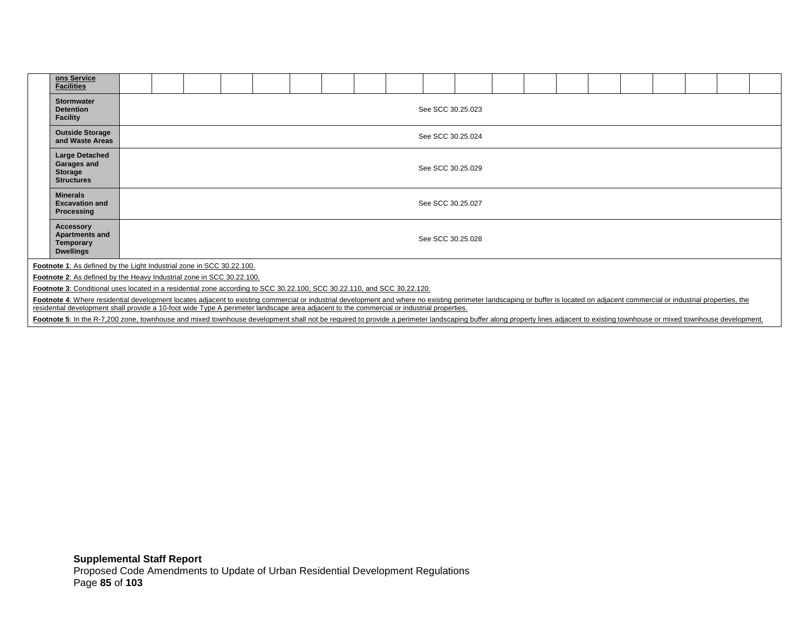| ons Service<br><b>Facilities</b>                                                                                                                                                                                               |                   |                   |  |  |  |  |  |  |  |  |  |  |  |  |  |  |  |  |  |
|--------------------------------------------------------------------------------------------------------------------------------------------------------------------------------------------------------------------------------|-------------------|-------------------|--|--|--|--|--|--|--|--|--|--|--|--|--|--|--|--|--|
| <b>Stormwater</b><br><b>Detention</b><br><b>Facility</b>                                                                                                                                                                       |                   | See SCC 30.25.023 |  |  |  |  |  |  |  |  |  |  |  |  |  |  |  |  |  |
| <b>Outside Storage</b><br>and Waste Areas                                                                                                                                                                                      |                   | See SCC 30.25.024 |  |  |  |  |  |  |  |  |  |  |  |  |  |  |  |  |  |
| Large Detached<br>Garages and<br><b>Storage</b><br><b>Structures</b>                                                                                                                                                           | See SCC 30.25.029 |                   |  |  |  |  |  |  |  |  |  |  |  |  |  |  |  |  |  |
| <b>Minerals</b><br><b>Excavation and</b><br>Processing                                                                                                                                                                         |                   | See SCC 30.25.027 |  |  |  |  |  |  |  |  |  |  |  |  |  |  |  |  |  |
| <b>Accessory</b><br><b>Apartments and</b><br><b>Temporary</b><br><b>Dwellings</b>                                                                                                                                              | See SCC 30.25.028 |                   |  |  |  |  |  |  |  |  |  |  |  |  |  |  |  |  |  |
| Footnote 1: As defined by the Light Industrial zone in SCC 30.22.100.                                                                                                                                                          |                   |                   |  |  |  |  |  |  |  |  |  |  |  |  |  |  |  |  |  |
| Footnote 2: As defined by the Heavy Industrial zone in SCC 30.22.100.                                                                                                                                                          |                   |                   |  |  |  |  |  |  |  |  |  |  |  |  |  |  |  |  |  |
| Footnote 3: Conditional uses located in a residential zone according to SCC 30.22.100, SCC 30.22.110, and SCC 30.22.120.                                                                                                       |                   |                   |  |  |  |  |  |  |  |  |  |  |  |  |  |  |  |  |  |
| Footnote 4: Where residential development locates adjacent to existing commercial or industrial development and where no existing perimeter landscaping or buffer is located on adjacent commercial or industrial properties,  |                   |                   |  |  |  |  |  |  |  |  |  |  |  |  |  |  |  |  |  |
| residential development shall provide a 10-foot wide Type A perimeter landscape area adjacent to the commercial or industrial properties.                                                                                      |                   |                   |  |  |  |  |  |  |  |  |  |  |  |  |  |  |  |  |  |
| Footnote 5: In the R-7,200 zone, townhouse and mixed townhouse development shall not be required to provide a perimeter landscaping buffer along property lines adjacent to existing townhouse or mixed townhouse development. |                   |                   |  |  |  |  |  |  |  |  |  |  |  |  |  |  |  |  |  |
|                                                                                                                                                                                                                                |                   |                   |  |  |  |  |  |  |  |  |  |  |  |  |  |  |  |  |  |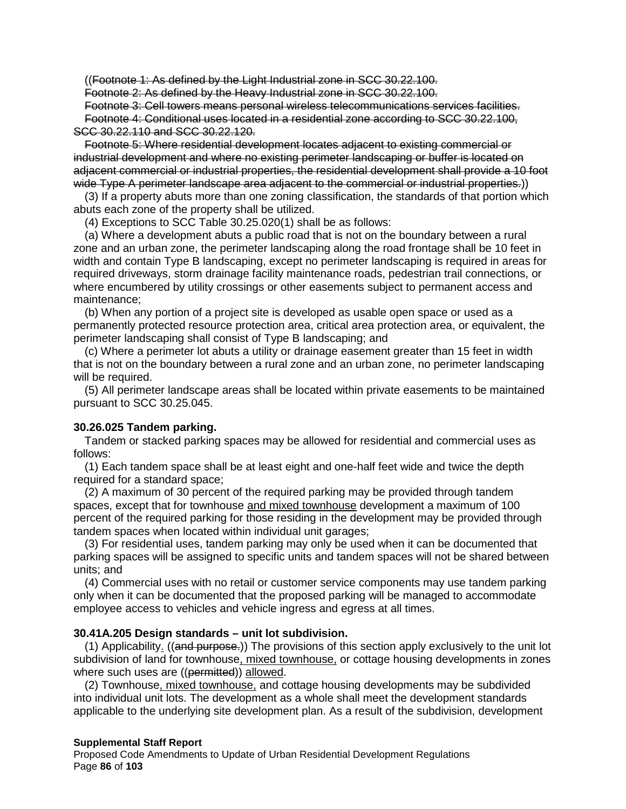((Footnote 1: As defined by the Light Industrial zone in SCC 30.22.100.

Footnote 2: As defined by the Heavy Industrial zone in SCC 30.22.100.

Footnote 3: Cell towers means personal wireless telecommunications services facilities. Footnote 4: Conditional uses located in a residential zone according to SCC 30.22.100, SCC 30.22.110 and SCC 30.22.120.

Footnote 5: Where residential development locates adjacent to existing commercial or industrial development and where no existing perimeter landscaping or buffer is located on adjacent commercial or industrial properties, the residential development shall provide a 10 foot wide Type A perimeter landscape area adjacent to the commercial or industrial properties.)

(3) If a property abuts more than one zoning classification, the standards of that portion which abuts each zone of the property shall be utilized.

(4) Exceptions to SCC Table 30.25.020(1) shall be as follows:

(a) Where a development abuts a public road that is not on the boundary between a rural zone and an urban zone, the perimeter landscaping along the road frontage shall be 10 feet in width and contain Type B landscaping, except no perimeter landscaping is required in areas for required driveways, storm drainage facility maintenance roads, pedestrian trail connections, or where encumbered by utility crossings or other easements subject to permanent access and maintenance;

(b) When any portion of a project site is developed as usable open space or used as a permanently protected resource protection area, critical area protection area, or equivalent, the perimeter landscaping shall consist of Type B landscaping; and

(c) Where a perimeter lot abuts a utility or drainage easement greater than 15 feet in width that is not on the boundary between a rural zone and an urban zone, no perimeter landscaping will be required.

(5) All perimeter landscape areas shall be located within private easements to be maintained pursuant to SCC 30.25.045.

## **30.26.025 Tandem parking.**

Tandem or stacked parking spaces may be allowed for residential and commercial uses as follows:

(1) Each tandem space shall be at least eight and one-half feet wide and twice the depth required for a standard space;

(2) A maximum of 30 percent of the required parking may be provided through tandem spaces, except that for townhouse and mixed townhouse development a maximum of 100 percent of the required parking for those residing in the development may be provided through tandem spaces when located within individual unit garages;

(3) For residential uses, tandem parking may only be used when it can be documented that parking spaces will be assigned to specific units and tandem spaces will not be shared between units; and

(4) Commercial uses with no retail or customer service components may use tandem parking only when it can be documented that the proposed parking will be managed to accommodate employee access to vehicles and vehicle ingress and egress at all times.

### **30.41A.205 Design standards – unit lot subdivision.**

(1) Applicability. ((and purpose.)) The provisions of this section apply exclusively to the unit lot subdivision of land for townhouse, mixed townhouse, or cottage housing developments in zones where such uses are ((permitted)) allowed.

(2) Townhouse, mixed townhouse, and cottage housing developments may be subdivided into individual unit lots. The development as a whole shall meet the development standards applicable to the underlying site development plan. As a result of the subdivision, development

### **Supplemental Staff Report**

Proposed Code Amendments to Update of Urban Residential Development Regulations Page **86** of **103**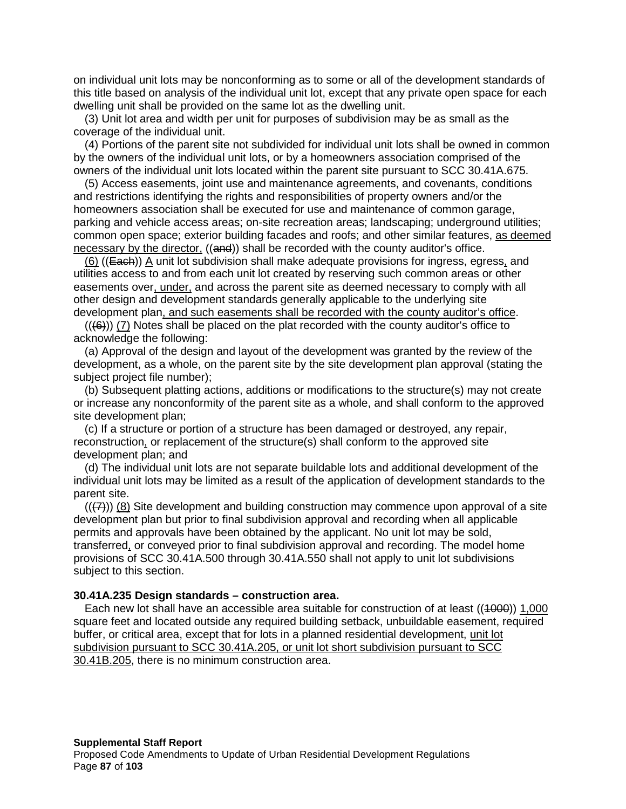on individual unit lots may be nonconforming as to some or all of the development standards of this title based on analysis of the individual unit lot, except that any private open space for each dwelling unit shall be provided on the same lot as the dwelling unit.

(3) Unit lot area and width per unit for purposes of subdivision may be as small as the coverage of the individual unit.

(4) Portions of the parent site not subdivided for individual unit lots shall be owned in common by the owners of the individual unit lots, or by a homeowners association comprised of the owners of the individual unit lots located within the parent site pursuant to SCC 30.41A.675.

(5) Access easements, joint use and maintenance agreements, and covenants, conditions and restrictions identifying the rights and responsibilities of property owners and/or the homeowners association shall be executed for use and maintenance of common garage, parking and vehicle access areas; on-site recreation areas; landscaping; underground utilities; common open space; exterior building facades and roofs; and other similar features, as deemed necessary by the director, ((and)) shall be recorded with the county auditor's office.

(6) ((Each)) A unit lot subdivision shall make adequate provisions for ingress, egress, and utilities access to and from each unit lot created by reserving such common areas or other easements over, under, and across the parent site as deemed necessary to comply with all other design and development standards generally applicable to the underlying site development plan, and such easements shall be recorded with the county auditor's office.

 $((6))$  (7) Notes shall be placed on the plat recorded with the county auditor's office to acknowledge the following:

(a) Approval of the design and layout of the development was granted by the review of the development, as a whole, on the parent site by the site development plan approval (stating the subject project file number);

(b) Subsequent platting actions, additions or modifications to the structure(s) may not create or increase any nonconformity of the parent site as a whole, and shall conform to the approved site development plan;

(c) If a structure or portion of a structure has been damaged or destroyed, any repair, reconstruction, or replacement of the structure(s) shall conform to the approved site development plan; and

(d) The individual unit lots are not separate buildable lots and additional development of the individual unit lots may be limited as a result of the application of development standards to the parent site.

 $((7))$  (8) Site development and building construction may commence upon approval of a site development plan but prior to final subdivision approval and recording when all applicable permits and approvals have been obtained by the applicant. No unit lot may be sold, transferred, or conveyed prior to final subdivision approval and recording. The model home provisions of SCC 30.41A.500 through 30.41A.550 shall not apply to unit lot subdivisions subject to this section.

#### **30.41A.235 Design standards – construction area.**

Each new lot shall have an accessible area suitable for construction of at least ((1000)) 1,000 square feet and located outside any required building setback, unbuildable easement, required buffer, or critical area, except that for lots in a planned residential development, unit lot subdivision pursuant to SCC 30.41A.205, or unit lot short subdivision pursuant to SCC 30.41B.205, there is no minimum construction area.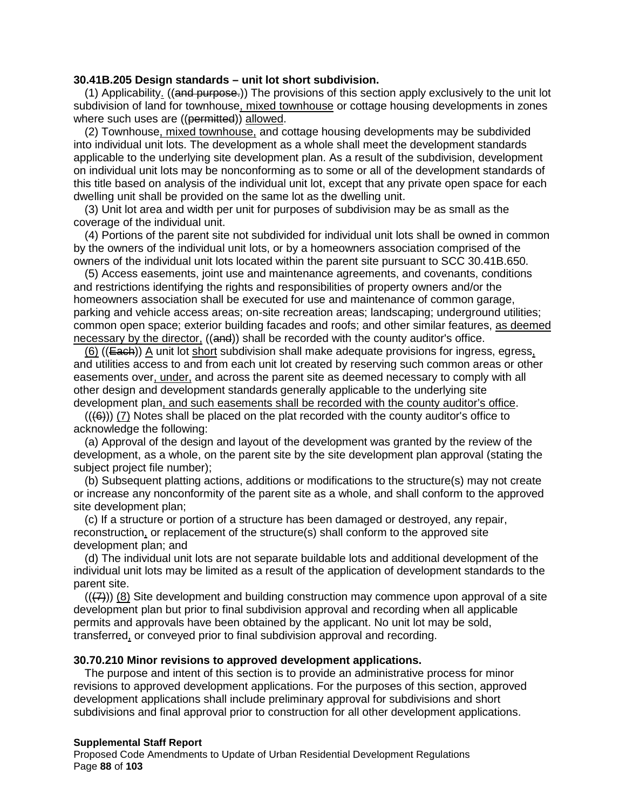#### **30.41B.205 Design standards – unit lot short subdivision.**

(1) Applicability. ((and purpose.)) The provisions of this section apply exclusively to the unit lot subdivision of land for townhouse, mixed townhouse or cottage housing developments in zones where such uses are ((permitted)) allowed.

(2) Townhouse, mixed townhouse, and cottage housing developments may be subdivided into individual unit lots. The development as a whole shall meet the development standards applicable to the underlying site development plan. As a result of the subdivision, development on individual unit lots may be nonconforming as to some or all of the development standards of this title based on analysis of the individual unit lot, except that any private open space for each dwelling unit shall be provided on the same lot as the dwelling unit.

(3) Unit lot area and width per unit for purposes of subdivision may be as small as the coverage of the individual unit.

(4) Portions of the parent site not subdivided for individual unit lots shall be owned in common by the owners of the individual unit lots, or by a homeowners association comprised of the owners of the individual unit lots located within the parent site pursuant to SCC 30.41B.650.

(5) Access easements, joint use and maintenance agreements, and covenants, conditions and restrictions identifying the rights and responsibilities of property owners and/or the homeowners association shall be executed for use and maintenance of common garage, parking and vehicle access areas; on-site recreation areas; landscaping; underground utilities; common open space; exterior building facades and roofs; and other similar features, as deemed necessary by the director, ((and)) shall be recorded with the county auditor's office.

 $(6)$  ((Each)) A unit lot short subdivision shall make adequate provisions for ingress, egress, and utilities access to and from each unit lot created by reserving such common areas or other easements over, under, and across the parent site as deemed necessary to comply with all other design and development standards generally applicable to the underlying site development plan, and such easements shall be recorded with the county auditor's office.

 $((6))$  (7) Notes shall be placed on the plat recorded with the county auditor's office to acknowledge the following:

(a) Approval of the design and layout of the development was granted by the review of the development, as a whole, on the parent site by the site development plan approval (stating the subject project file number);

(b) Subsequent platting actions, additions or modifications to the structure(s) may not create or increase any nonconformity of the parent site as a whole, and shall conform to the approved site development plan;

(c) If a structure or portion of a structure has been damaged or destroyed, any repair, reconstruction, or replacement of the structure(s) shall conform to the approved site development plan; and

(d) The individual unit lots are not separate buildable lots and additional development of the individual unit lots may be limited as a result of the application of development standards to the parent site.

 $((7))$  (8) Site development and building construction may commence upon approval of a site development plan but prior to final subdivision approval and recording when all applicable permits and approvals have been obtained by the applicant. No unit lot may be sold, transferred, or conveyed prior to final subdivision approval and recording.

#### **30.70.210 Minor revisions to approved development applications.**

The purpose and intent of this section is to provide an administrative process for minor revisions to approved development applications. For the purposes of this section, approved development applications shall include preliminary approval for subdivisions and short subdivisions and final approval prior to construction for all other development applications.

#### **Supplemental Staff Report**

Proposed Code Amendments to Update of Urban Residential Development Regulations Page **88** of **103**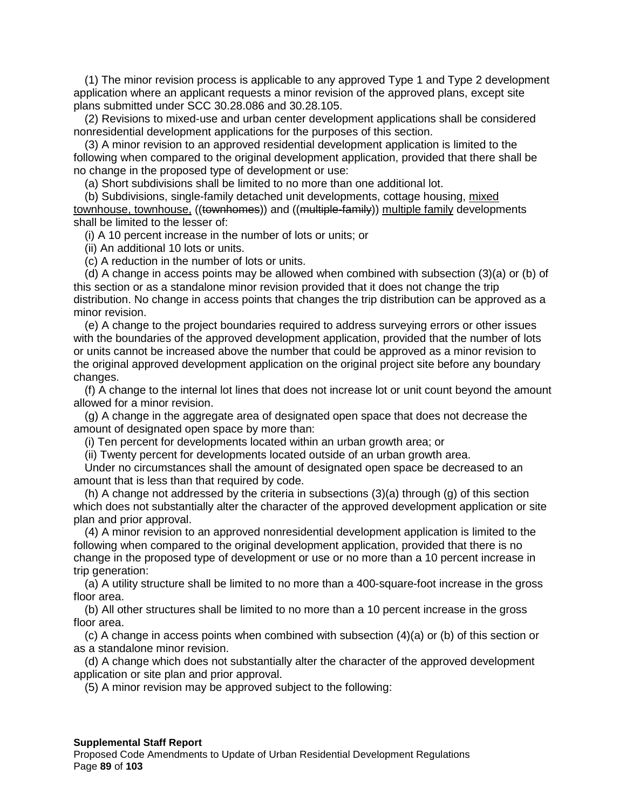(1) The minor revision process is applicable to any approved Type 1 and Type 2 development application where an applicant requests a minor revision of the approved plans, except site plans submitted under SCC 30.28.086 and 30.28.105.

(2) Revisions to mixed-use and urban center development applications shall be considered nonresidential development applications for the purposes of this section.

(3) A minor revision to an approved residential development application is limited to the following when compared to the original development application, provided that there shall be no change in the proposed type of development or use:

(a) Short subdivisions shall be limited to no more than one additional lot.

(b) Subdivisions, single-family detached unit developments, cottage housing, mixed townhouse, townhouse, ((townhomes)) and ((multiple-family)) multiple family developments shall be limited to the lesser of:

(i) A 10 percent increase in the number of lots or units; or

(ii) An additional 10 lots or units.

(c) A reduction in the number of lots or units.

(d) A change in access points may be allowed when combined with subsection (3)(a) or (b) of this section or as a standalone minor revision provided that it does not change the trip distribution. No change in access points that changes the trip distribution can be approved as a minor revision.

(e) A change to the project boundaries required to address surveying errors or other issues with the boundaries of the approved development application, provided that the number of lots or units cannot be increased above the number that could be approved as a minor revision to the original approved development application on the original project site before any boundary changes.

(f) A change to the internal lot lines that does not increase lot or unit count beyond the amount allowed for a minor revision.

(g) A change in the aggregate area of designated open space that does not decrease the amount of designated open space by more than:

(i) Ten percent for developments located within an urban growth area; or

(ii) Twenty percent for developments located outside of an urban growth area.

Under no circumstances shall the amount of designated open space be decreased to an amount that is less than that required by code.

(h) A change not addressed by the criteria in subsections (3)(a) through (g) of this section which does not substantially alter the character of the approved development application or site plan and prior approval.

(4) A minor revision to an approved nonresidential development application is limited to the following when compared to the original development application, provided that there is no change in the proposed type of development or use or no more than a 10 percent increase in trip generation:

(a) A utility structure shall be limited to no more than a 400-square-foot increase in the gross floor area.

(b) All other structures shall be limited to no more than a 10 percent increase in the gross floor area.

(c) A change in access points when combined with subsection (4)(a) or (b) of this section or as a standalone minor revision.

(d) A change which does not substantially alter the character of the approved development application or site plan and prior approval.

(5) A minor revision may be approved subject to the following:

## **Supplemental Staff Report**

Proposed Code Amendments to Update of Urban Residential Development Regulations Page **89** of **103**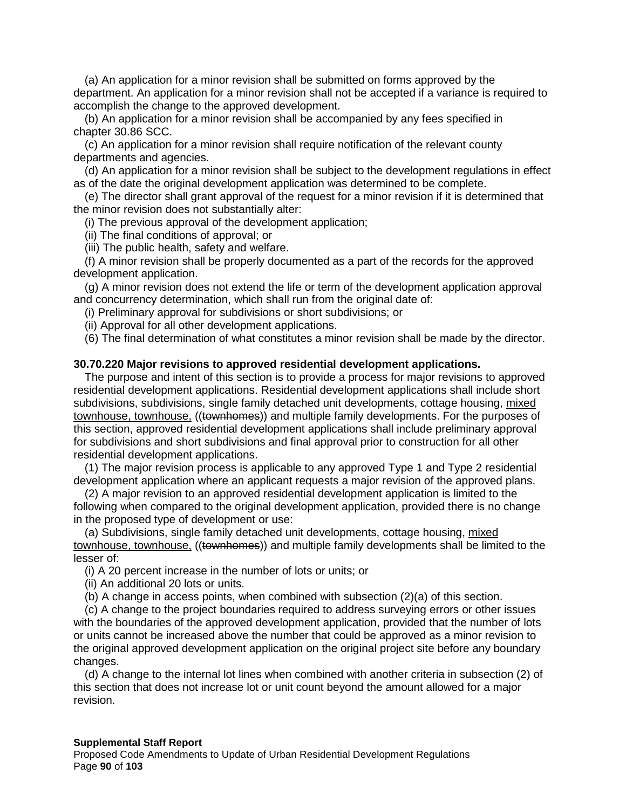(a) An application for a minor revision shall be submitted on forms approved by the department. An application for a minor revision shall not be accepted if a variance is required to accomplish the change to the approved development.

(b) An application for a minor revision shall be accompanied by any fees specified in chapter 30.86 SCC.

(c) An application for a minor revision shall require notification of the relevant county departments and agencies.

(d) An application for a minor revision shall be subject to the development regulations in effect as of the date the original development application was determined to be complete.

(e) The director shall grant approval of the request for a minor revision if it is determined that the minor revision does not substantially alter:

(i) The previous approval of the development application;

(ii) The final conditions of approval; or

(iii) The public health, safety and welfare.

(f) A minor revision shall be properly documented as a part of the records for the approved development application.

(g) A minor revision does not extend the life or term of the development application approval and concurrency determination, which shall run from the original date of:

(i) Preliminary approval for subdivisions or short subdivisions; or

(ii) Approval for all other development applications.

(6) The final determination of what constitutes a minor revision shall be made by the director.

#### **30.70.220 Major revisions to approved residential development applications.**

The purpose and intent of this section is to provide a process for major revisions to approved residential development applications. Residential development applications shall include short subdivisions, subdivisions, single family detached unit developments, cottage housing, mixed townhouse, townhouse, ((townhomes)) and multiple family developments. For the purposes of this section, approved residential development applications shall include preliminary approval for subdivisions and short subdivisions and final approval prior to construction for all other residential development applications.

(1) The major revision process is applicable to any approved Type 1 and Type 2 residential development application where an applicant requests a major revision of the approved plans.

(2) A major revision to an approved residential development application is limited to the following when compared to the original development application, provided there is no change in the proposed type of development or use:

(a) Subdivisions, single family detached unit developments, cottage housing, mixed townhouse, townhouse, ((townhomes)) and multiple family developments shall be limited to the lesser of:

(i) A 20 percent increase in the number of lots or units; or

(ii) An additional 20 lots or units.

(b) A change in access points, when combined with subsection (2)(a) of this section.

(c) A change to the project boundaries required to address surveying errors or other issues with the boundaries of the approved development application, provided that the number of lots or units cannot be increased above the number that could be approved as a minor revision to the original approved development application on the original project site before any boundary changes.

(d) A change to the internal lot lines when combined with another criteria in subsection (2) of this section that does not increase lot or unit count beyond the amount allowed for a major revision.

#### **Supplemental Staff Report**

Proposed Code Amendments to Update of Urban Residential Development Regulations Page **90** of **103**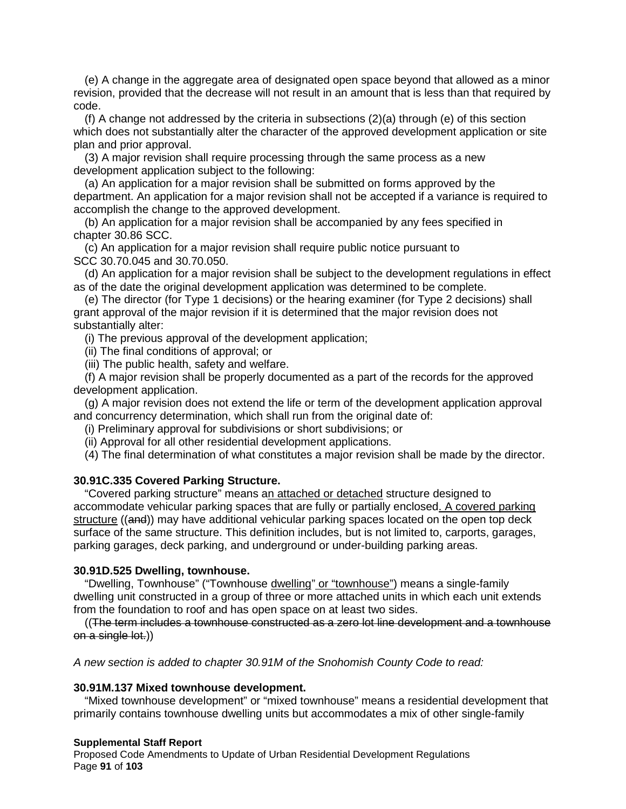(e) A change in the aggregate area of designated open space beyond that allowed as a minor revision, provided that the decrease will not result in an amount that is less than that required by code.

(f) A change not addressed by the criteria in subsections (2)(a) through (e) of this section which does not substantially alter the character of the approved development application or site plan and prior approval.

(3) A major revision shall require processing through the same process as a new development application subject to the following:

(a) An application for a major revision shall be submitted on forms approved by the department. An application for a major revision shall not be accepted if a variance is required to accomplish the change to the approved development.

(b) An application for a major revision shall be accompanied by any fees specified in chapter 30.86 SCC.

(c) An application for a major revision shall require public notice pursuant to SCC 30.70.045 and 30.70.050.

(d) An application for a major revision shall be subject to the development regulations in effect as of the date the original development application was determined to be complete.

(e) The director (for Type 1 decisions) or the hearing examiner (for Type 2 decisions) shall grant approval of the major revision if it is determined that the major revision does not substantially alter:

(i) The previous approval of the development application;

(ii) The final conditions of approval; or

(iii) The public health, safety and welfare.

(f) A major revision shall be properly documented as a part of the records for the approved development application.

(g) A major revision does not extend the life or term of the development application approval and concurrency determination, which shall run from the original date of:

(i) Preliminary approval for subdivisions or short subdivisions; or

(ii) Approval for all other residential development applications.

(4) The final determination of what constitutes a major revision shall be made by the director.

### **30.91C.335 Covered Parking Structure.**

"Covered parking structure" means an attached or detached structure designed to accommodate vehicular parking spaces that are fully or partially enclosed. A covered parking structure ((and)) may have additional vehicular parking spaces located on the open top deck surface of the same structure. This definition includes, but is not limited to, carports, garages, parking garages, deck parking, and underground or under-building parking areas.

#### **30.91D.525 Dwelling, townhouse.**

"Dwelling, Townhouse" ("Townhouse dwelling" or "townhouse") means a single-family dwelling unit constructed in a group of three or more attached units in which each unit extends from the foundation to roof and has open space on at least two sides.

((The term includes a townhouse constructed as a zero lot line development and a townhouse on a single lot.))

*A new section is added to chapter 30.91M of the Snohomish County Code to read:*

#### **30.91M.137 Mixed townhouse development.**

"Mixed townhouse development" or "mixed townhouse" means a residential development that primarily contains townhouse dwelling units but accommodates a mix of other single-family

#### **Supplemental Staff Report**

Proposed Code Amendments to Update of Urban Residential Development Regulations Page **91** of **103**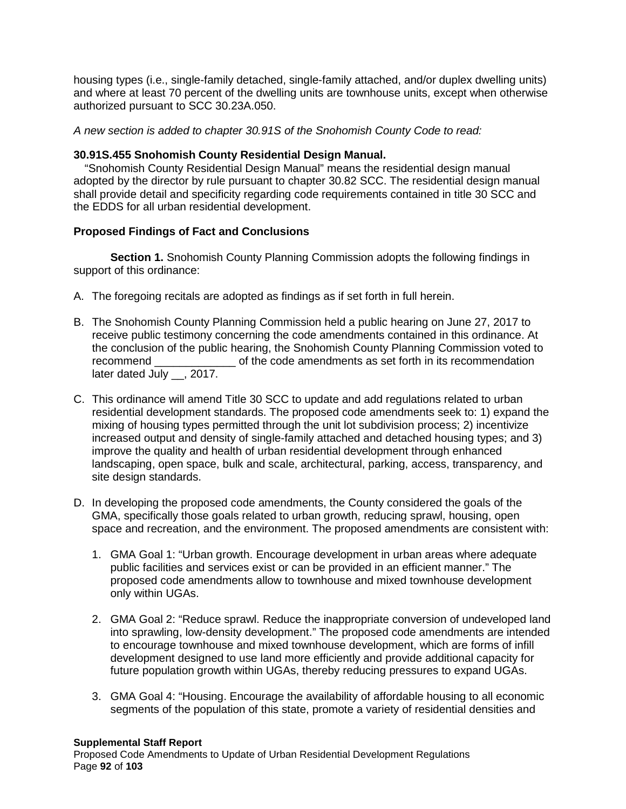housing types (i.e., single-family detached, single-family attached, and/or duplex dwelling units) and where at least 70 percent of the dwelling units are townhouse units, except when otherwise authorized pursuant to SCC 30.23A.050.

*A new section is added to chapter 30.91S of the Snohomish County Code to read:*

## **30.91S.455 Snohomish County Residential Design Manual.**

"Snohomish County Residential Design Manual" means the residential design manual adopted by the director by rule pursuant to chapter 30.82 SCC. The residential design manual shall provide detail and specificity regarding code requirements contained in title 30 SCC and the EDDS for all urban residential development.

## **Proposed Findings of Fact and Conclusions**

**Section 1.** Snohomish County Planning Commission adopts the following findings in support of this ordinance:

- A. The foregoing recitals are adopted as findings as if set forth in full herein.
- B. The Snohomish County Planning Commission held a public hearing on June 27, 2017 to receive public testimony concerning the code amendments contained in this ordinance. At the conclusion of the public hearing, the Snohomish County Planning Commission voted to recommend example of the code amendments as set forth in its recommendation later dated July , 2017.
- C. This ordinance will amend Title 30 SCC to update and add regulations related to urban residential development standards. The proposed code amendments seek to: 1) expand the mixing of housing types permitted through the unit lot subdivision process; 2) incentivize increased output and density of single-family attached and detached housing types; and 3) improve the quality and health of urban residential development through enhanced landscaping, open space, bulk and scale, architectural, parking, access, transparency, and site design standards.
- D. In developing the proposed code amendments, the County considered the goals of the GMA, specifically those goals related to urban growth, reducing sprawl, housing, open space and recreation, and the environment. The proposed amendments are consistent with:
	- 1. GMA Goal 1: "Urban growth. Encourage development in urban areas where adequate public facilities and services exist or can be provided in an efficient manner." The proposed code amendments allow to townhouse and mixed townhouse development only within UGAs.
	- 2. GMA Goal 2: "Reduce sprawl. Reduce the inappropriate conversion of undeveloped land into sprawling, low-density development." The proposed code amendments are intended to encourage townhouse and mixed townhouse development, which are forms of infill development designed to use land more efficiently and provide additional capacity for future population growth within UGAs, thereby reducing pressures to expand UGAs.
	- 3. GMA Goal 4: "Housing. Encourage the availability of affordable housing to all economic segments of the population of this state, promote a variety of residential densities and

### **Supplemental Staff Report**

Proposed Code Amendments to Update of Urban Residential Development Regulations Page **92** of **103**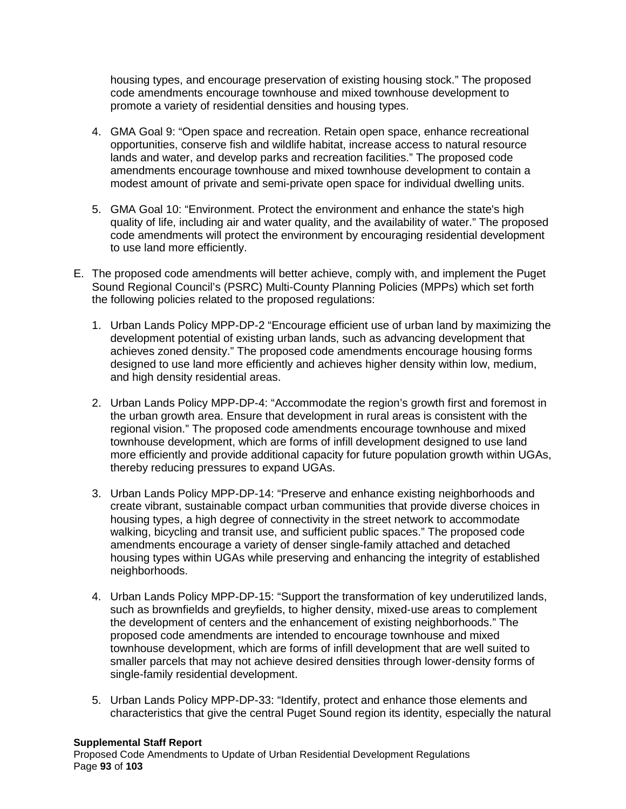housing types, and encourage preservation of existing housing stock." The proposed code amendments encourage townhouse and mixed townhouse development to promote a variety of residential densities and housing types.

- 4. GMA Goal 9: "Open space and recreation. Retain open space, enhance recreational opportunities, conserve fish and wildlife habitat, increase access to natural resource lands and water, and develop parks and recreation facilities." The proposed code amendments encourage townhouse and mixed townhouse development to contain a modest amount of private and semi-private open space for individual dwelling units.
- 5. GMA Goal 10: "Environment. Protect the environment and enhance the state's high quality of life, including air and water quality, and the availability of water." The proposed code amendments will protect the environment by encouraging residential development to use land more efficiently.
- E. The proposed code amendments will better achieve, comply with, and implement the Puget Sound Regional Council's (PSRC) Multi-County Planning Policies (MPPs) which set forth the following policies related to the proposed regulations:
	- 1. Urban Lands Policy MPP-DP-2 "Encourage efficient use of urban land by maximizing the development potential of existing urban lands, such as advancing development that achieves zoned density." The proposed code amendments encourage housing forms designed to use land more efficiently and achieves higher density within low, medium, and high density residential areas.
	- 2. Urban Lands Policy MPP-DP-4: "Accommodate the region's growth first and foremost in the urban growth area. Ensure that development in rural areas is consistent with the regional vision." The proposed code amendments encourage townhouse and mixed townhouse development, which are forms of infill development designed to use land more efficiently and provide additional capacity for future population growth within UGAs, thereby reducing pressures to expand UGAs.
	- 3. Urban Lands Policy MPP-DP-14: "Preserve and enhance existing neighborhoods and create vibrant, sustainable compact urban communities that provide diverse choices in housing types, a high degree of connectivity in the street network to accommodate walking, bicycling and transit use, and sufficient public spaces." The proposed code amendments encourage a variety of denser single-family attached and detached housing types within UGAs while preserving and enhancing the integrity of established neighborhoods.
	- 4. Urban Lands Policy MPP-DP-15: "Support the transformation of key underutilized lands, such as brownfields and greyfields, to higher density, mixed-use areas to complement the development of centers and the enhancement of existing neighborhoods." The proposed code amendments are intended to encourage townhouse and mixed townhouse development, which are forms of infill development that are well suited to smaller parcels that may not achieve desired densities through lower-density forms of single-family residential development.
	- 5. Urban Lands Policy MPP-DP-33: "Identify, protect and enhance those elements and characteristics that give the central Puget Sound region its identity, especially the natural

### **Supplemental Staff Report**

Proposed Code Amendments to Update of Urban Residential Development Regulations Page **93** of **103**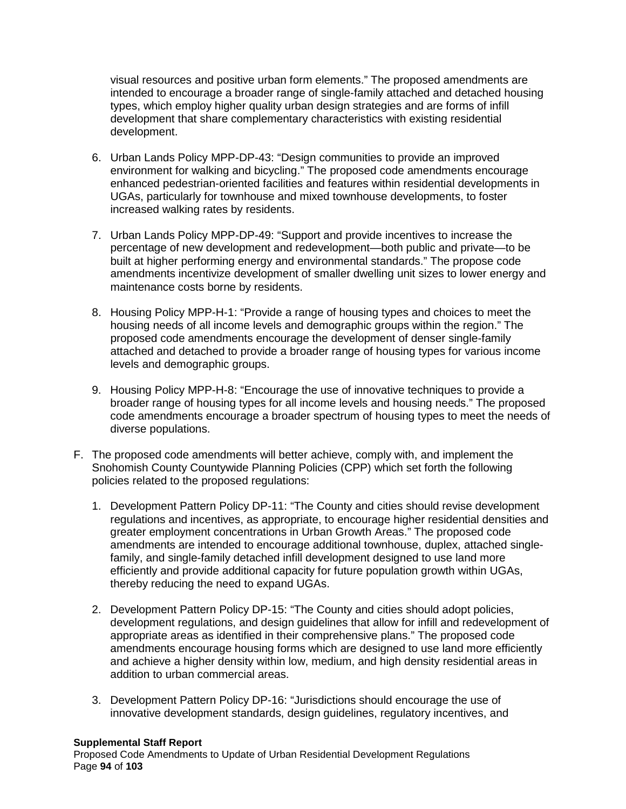visual resources and positive urban form elements." The proposed amendments are intended to encourage a broader range of single-family attached and detached housing types, which employ higher quality urban design strategies and are forms of infill development that share complementary characteristics with existing residential development.

- 6. Urban Lands Policy MPP-DP-43: "Design communities to provide an improved environment for walking and bicycling." The proposed code amendments encourage enhanced pedestrian-oriented facilities and features within residential developments in UGAs, particularly for townhouse and mixed townhouse developments, to foster increased walking rates by residents.
- 7. Urban Lands Policy MPP-DP-49: "Support and provide incentives to increase the percentage of new development and redevelopment—both public and private—to be built at higher performing energy and environmental standards." The propose code amendments incentivize development of smaller dwelling unit sizes to lower energy and maintenance costs borne by residents.
- 8. Housing Policy MPP-H-1: "Provide a range of housing types and choices to meet the housing needs of all income levels and demographic groups within the region." The proposed code amendments encourage the development of denser single-family attached and detached to provide a broader range of housing types for various income levels and demographic groups.
- 9. Housing Policy MPP-H-8: "Encourage the use of innovative techniques to provide a broader range of housing types for all income levels and housing needs." The proposed code amendments encourage a broader spectrum of housing types to meet the needs of diverse populations.
- F. The proposed code amendments will better achieve, comply with, and implement the Snohomish County Countywide Planning Policies (CPP) which set forth the following policies related to the proposed regulations:
	- 1. Development Pattern Policy DP-11: "The County and cities should revise development regulations and incentives, as appropriate, to encourage higher residential densities and greater employment concentrations in Urban Growth Areas." The proposed code amendments are intended to encourage additional townhouse, duplex, attached singlefamily, and single-family detached infill development designed to use land more efficiently and provide additional capacity for future population growth within UGAs, thereby reducing the need to expand UGAs.
	- 2. Development Pattern Policy DP-15: "The County and cities should adopt policies, development regulations, and design guidelines that allow for infill and redevelopment of appropriate areas as identified in their comprehensive plans." The proposed code amendments encourage housing forms which are designed to use land more efficiently and achieve a higher density within low, medium, and high density residential areas in addition to urban commercial areas.
	- 3. Development Pattern Policy DP-16: "Jurisdictions should encourage the use of innovative development standards, design guidelines, regulatory incentives, and

### **Supplemental Staff Report**

Proposed Code Amendments to Update of Urban Residential Development Regulations Page **94** of **103**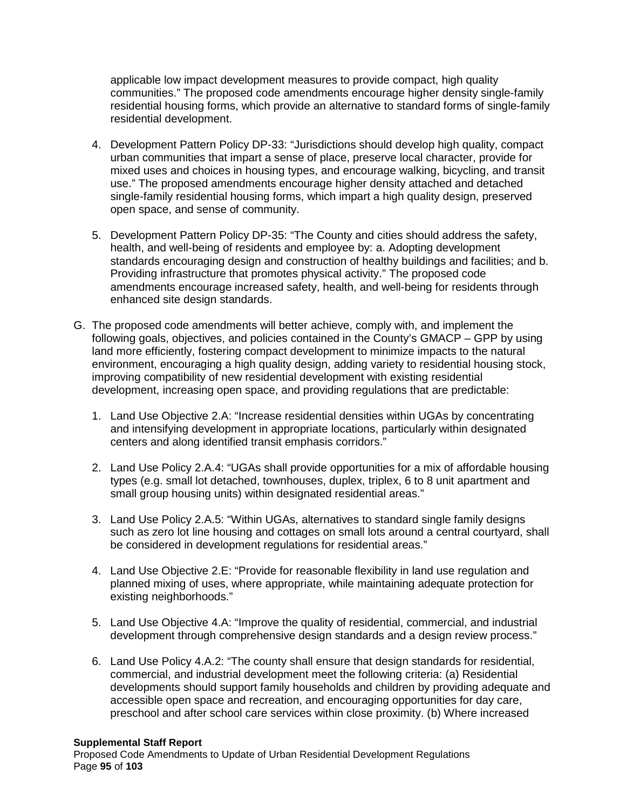applicable low impact development measures to provide compact, high quality communities." The proposed code amendments encourage higher density single-family residential housing forms, which provide an alternative to standard forms of single-family residential development.

- 4. Development Pattern Policy DP-33: "Jurisdictions should develop high quality, compact urban communities that impart a sense of place, preserve local character, provide for mixed uses and choices in housing types, and encourage walking, bicycling, and transit use." The proposed amendments encourage higher density attached and detached single-family residential housing forms, which impart a high quality design, preserved open space, and sense of community.
- 5. Development Pattern Policy DP-35: "The County and cities should address the safety, health, and well-being of residents and employee by: a. Adopting development standards encouraging design and construction of healthy buildings and facilities; and b. Providing infrastructure that promotes physical activity." The proposed code amendments encourage increased safety, health, and well-being for residents through enhanced site design standards.
- G. The proposed code amendments will better achieve, comply with, and implement the following goals, objectives, and policies contained in the County's GMACP – GPP by using land more efficiently, fostering compact development to minimize impacts to the natural environment, encouraging a high quality design, adding variety to residential housing stock, improving compatibility of new residential development with existing residential development, increasing open space, and providing regulations that are predictable:
	- 1. Land Use Objective 2.A: "Increase residential densities within UGAs by concentrating and intensifying development in appropriate locations, particularly within designated centers and along identified transit emphasis corridors."
	- 2. Land Use Policy 2.A.4: "UGAs shall provide opportunities for a mix of affordable housing types (e.g. small lot detached, townhouses, duplex, triplex, 6 to 8 unit apartment and small group housing units) within designated residential areas."
	- 3. Land Use Policy 2.A.5: "Within UGAs, alternatives to standard single family designs such as zero lot line housing and cottages on small lots around a central courtyard, shall be considered in development regulations for residential areas."
	- 4. Land Use Objective 2.E: "Provide for reasonable flexibility in land use regulation and planned mixing of uses, where appropriate, while maintaining adequate protection for existing neighborhoods."
	- 5. Land Use Objective 4.A: "Improve the quality of residential, commercial, and industrial development through comprehensive design standards and a design review process."
	- 6. Land Use Policy 4.A.2: "The county shall ensure that design standards for residential, commercial, and industrial development meet the following criteria: (a) Residential developments should support family households and children by providing adequate and accessible open space and recreation, and encouraging opportunities for day care, preschool and after school care services within close proximity. (b) Where increased

### **Supplemental Staff Report**

Proposed Code Amendments to Update of Urban Residential Development Regulations Page **95** of **103**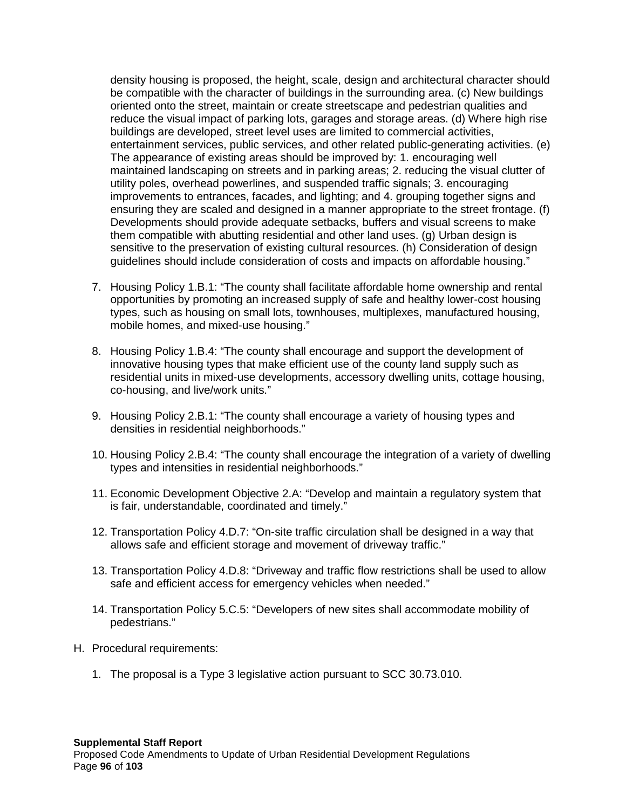density housing is proposed, the height, scale, design and architectural character should be compatible with the character of buildings in the surrounding area. (c) New buildings oriented onto the street, maintain or create streetscape and pedestrian qualities and reduce the visual impact of parking lots, garages and storage areas. (d) Where high rise buildings are developed, street level uses are limited to commercial activities, entertainment services, public services, and other related public-generating activities. (e) The appearance of existing areas should be improved by: 1. encouraging well maintained landscaping on streets and in parking areas; 2. reducing the visual clutter of utility poles, overhead powerlines, and suspended traffic signals; 3. encouraging improvements to entrances, facades, and lighting; and 4. grouping together signs and ensuring they are scaled and designed in a manner appropriate to the street frontage. (f) Developments should provide adequate setbacks, buffers and visual screens to make them compatible with abutting residential and other land uses. (g) Urban design is sensitive to the preservation of existing cultural resources. (h) Consideration of design guidelines should include consideration of costs and impacts on affordable housing."

- 7. Housing Policy 1.B.1: "The county shall facilitate affordable home ownership and rental opportunities by promoting an increased supply of safe and healthy lower-cost housing types, such as housing on small lots, townhouses, multiplexes, manufactured housing, mobile homes, and mixed-use housing."
- 8. Housing Policy 1.B.4: "The county shall encourage and support the development of innovative housing types that make efficient use of the county land supply such as residential units in mixed-use developments, accessory dwelling units, cottage housing, co-housing, and live/work units."
- 9. Housing Policy 2.B.1: "The county shall encourage a variety of housing types and densities in residential neighborhoods."
- 10. Housing Policy 2.B.4: "The county shall encourage the integration of a variety of dwelling types and intensities in residential neighborhoods."
- 11. Economic Development Objective 2.A: "Develop and maintain a regulatory system that is fair, understandable, coordinated and timely."
- 12. Transportation Policy 4.D.7: "On-site traffic circulation shall be designed in a way that allows safe and efficient storage and movement of driveway traffic."
- 13. Transportation Policy 4.D.8: "Driveway and traffic flow restrictions shall be used to allow safe and efficient access for emergency vehicles when needed."
- 14. Transportation Policy 5.C.5: "Developers of new sites shall accommodate mobility of pedestrians."
- H. Procedural requirements:
	- 1. The proposal is a Type 3 legislative action pursuant to SCC 30.73.010.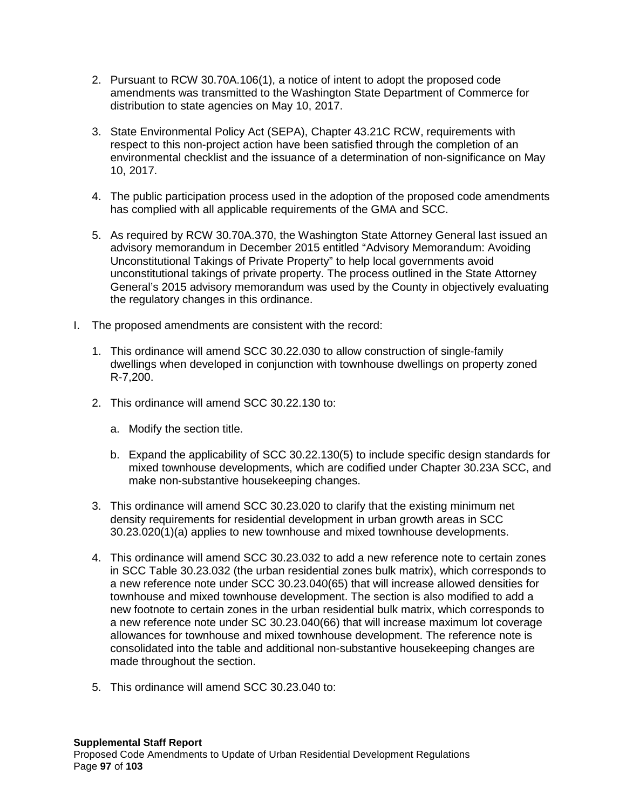- 2. Pursuant to RCW 30.70A.106(1), a notice of intent to adopt the proposed code amendments was transmitted to the Washington State Department of Commerce for distribution to state agencies on May 10, 2017.
- 3. State Environmental Policy Act (SEPA), Chapter 43.21C RCW, requirements with respect to this non-project action have been satisfied through the completion of an environmental checklist and the issuance of a determination of non-significance on May 10, 2017.
- 4. The public participation process used in the adoption of the proposed code amendments has complied with all applicable requirements of the GMA and SCC.
- 5. As required by RCW 30.70A.370, the Washington State Attorney General last issued an advisory memorandum in December 2015 entitled "Advisory Memorandum: Avoiding Unconstitutional Takings of Private Property" to help local governments avoid unconstitutional takings of private property. The process outlined in the State Attorney General's 2015 advisory memorandum was used by the County in objectively evaluating the regulatory changes in this ordinance.
- I. The proposed amendments are consistent with the record:
	- 1. This ordinance will amend SCC 30.22.030 to allow construction of single-family dwellings when developed in conjunction with townhouse dwellings on property zoned R-7,200.
	- 2. This ordinance will amend SCC 30.22.130 to:
		- a. Modify the section title.
		- b. Expand the applicability of SCC 30.22.130(5) to include specific design standards for mixed townhouse developments, which are codified under Chapter 30.23A SCC, and make non-substantive housekeeping changes.
	- 3. This ordinance will amend SCC 30.23.020 to clarify that the existing minimum net density requirements for residential development in urban growth areas in SCC 30.23.020(1)(a) applies to new townhouse and mixed townhouse developments.
	- 4. This ordinance will amend SCC 30.23.032 to add a new reference note to certain zones in SCC Table 30.23.032 (the urban residential zones bulk matrix), which corresponds to a new reference note under SCC 30.23.040(65) that will increase allowed densities for townhouse and mixed townhouse development. The section is also modified to add a new footnote to certain zones in the urban residential bulk matrix, which corresponds to a new reference note under SC 30.23.040(66) that will increase maximum lot coverage allowances for townhouse and mixed townhouse development. The reference note is consolidated into the table and additional non-substantive housekeeping changes are made throughout the section.
	- 5. This ordinance will amend SCC 30.23.040 to: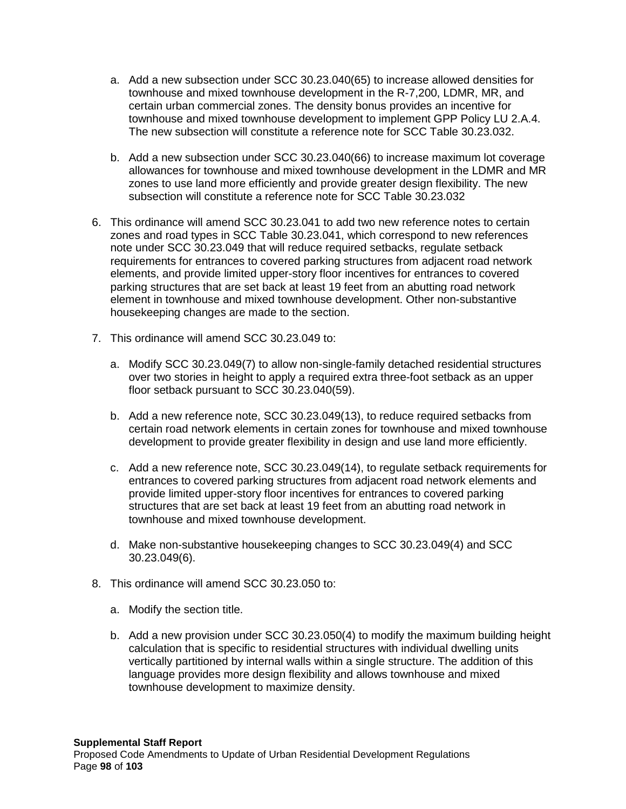- a. Add a new subsection under SCC 30.23.040(65) to increase allowed densities for townhouse and mixed townhouse development in the R-7,200, LDMR, MR, and certain urban commercial zones. The density bonus provides an incentive for townhouse and mixed townhouse development to implement GPP Policy LU 2.A.4. The new subsection will constitute a reference note for SCC Table 30.23.032.
- b. Add a new subsection under SCC 30.23.040(66) to increase maximum lot coverage allowances for townhouse and mixed townhouse development in the LDMR and MR zones to use land more efficiently and provide greater design flexibility. The new subsection will constitute a reference note for SCC Table 30.23.032
- 6. This ordinance will amend SCC 30.23.041 to add two new reference notes to certain zones and road types in SCC Table 30.23.041, which correspond to new references note under SCC 30.23.049 that will reduce required setbacks, regulate setback requirements for entrances to covered parking structures from adjacent road network elements, and provide limited upper-story floor incentives for entrances to covered parking structures that are set back at least 19 feet from an abutting road network element in townhouse and mixed townhouse development. Other non-substantive housekeeping changes are made to the section.
- 7. This ordinance will amend SCC 30.23.049 to:
	- a. Modify SCC 30.23.049(7) to allow non-single-family detached residential structures over two stories in height to apply a required extra three-foot setback as an upper floor setback pursuant to SCC 30.23.040(59).
	- b. Add a new reference note, SCC 30.23.049(13), to reduce required setbacks from certain road network elements in certain zones for townhouse and mixed townhouse development to provide greater flexibility in design and use land more efficiently.
	- c. Add a new reference note, SCC 30.23.049(14), to regulate setback requirements for entrances to covered parking structures from adjacent road network elements and provide limited upper-story floor incentives for entrances to covered parking structures that are set back at least 19 feet from an abutting road network in townhouse and mixed townhouse development.
	- d. Make non-substantive housekeeping changes to SCC 30.23.049(4) and SCC 30.23.049(6).
- 8. This ordinance will amend SCC 30.23.050 to:
	- a. Modify the section title.
	- b. Add a new provision under SCC 30.23.050(4) to modify the maximum building height calculation that is specific to residential structures with individual dwelling units vertically partitioned by internal walls within a single structure. The addition of this language provides more design flexibility and allows townhouse and mixed townhouse development to maximize density.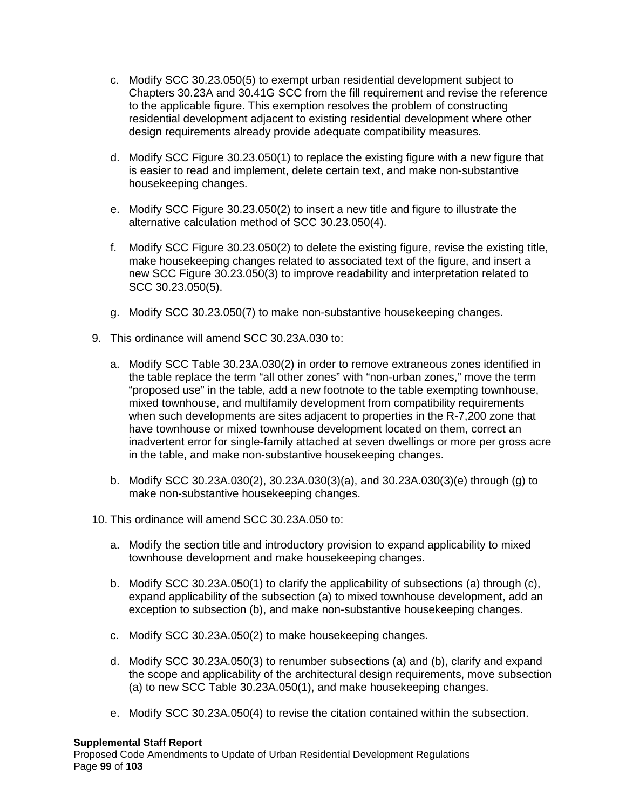- c. Modify SCC 30.23.050(5) to exempt urban residential development subject to Chapters 30.23A and 30.41G SCC from the fill requirement and revise the reference to the applicable figure. This exemption resolves the problem of constructing residential development adjacent to existing residential development where other design requirements already provide adequate compatibility measures.
- d. Modify SCC Figure 30.23.050(1) to replace the existing figure with a new figure that is easier to read and implement, delete certain text, and make non-substantive housekeeping changes.
- e. Modify SCC Figure 30.23.050(2) to insert a new title and figure to illustrate the alternative calculation method of SCC 30.23.050(4).
- f. Modify SCC Figure 30.23.050(2) to delete the existing figure, revise the existing title, make housekeeping changes related to associated text of the figure, and insert a new SCC Figure 30.23.050(3) to improve readability and interpretation related to SCC 30.23.050(5).
- g. Modify SCC 30.23.050(7) to make non-substantive housekeeping changes.
- 9. This ordinance will amend SCC 30.23A.030 to:
	- a. Modify SCC Table 30.23A.030(2) in order to remove extraneous zones identified in the table replace the term "all other zones" with "non-urban zones," move the term "proposed use" in the table, add a new footnote to the table exempting townhouse, mixed townhouse, and multifamily development from compatibility requirements when such developments are sites adjacent to properties in the R-7,200 zone that have townhouse or mixed townhouse development located on them, correct an inadvertent error for single-family attached at seven dwellings or more per gross acre in the table, and make non-substantive housekeeping changes.
	- b. Modify SCC 30.23A.030(2), 30.23A.030(3)(a), and 30.23A.030(3)(e) through (g) to make non-substantive housekeeping changes.
- 10. This ordinance will amend SCC 30.23A.050 to:
	- a. Modify the section title and introductory provision to expand applicability to mixed townhouse development and make housekeeping changes.
	- b. Modify SCC 30.23A.050(1) to clarify the applicability of subsections (a) through (c), expand applicability of the subsection (a) to mixed townhouse development, add an exception to subsection (b), and make non-substantive housekeeping changes.
	- c. Modify SCC 30.23A.050(2) to make housekeeping changes.
	- d. Modify SCC 30.23A.050(3) to renumber subsections (a) and (b), clarify and expand the scope and applicability of the architectural design requirements, move subsection (a) to new SCC Table 30.23A.050(1), and make housekeeping changes.
	- e. Modify SCC 30.23A.050(4) to revise the citation contained within the subsection.

### **Supplemental Staff Report**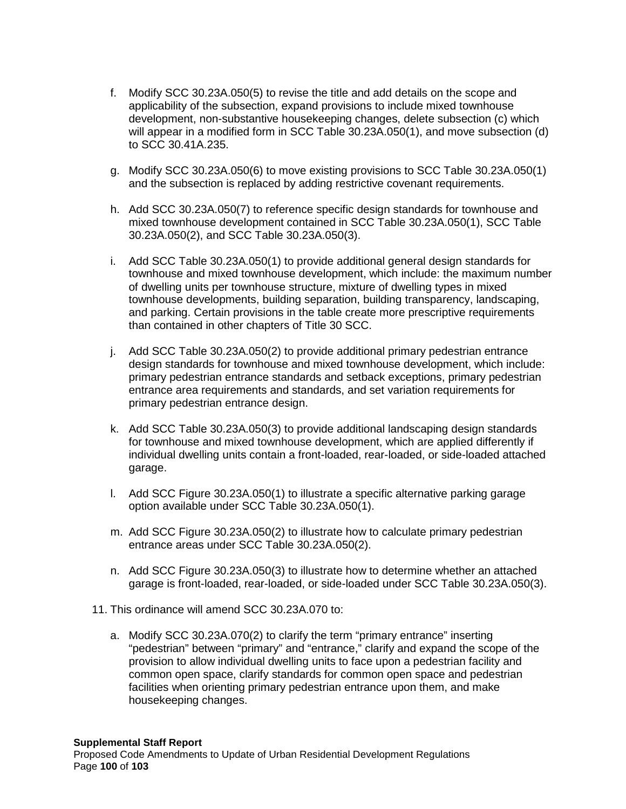- f. Modify SCC 30.23A.050(5) to revise the title and add details on the scope and applicability of the subsection, expand provisions to include mixed townhouse development, non-substantive housekeeping changes, delete subsection (c) which will appear in a modified form in SCC Table 30.23A.050(1), and move subsection (d) to SCC 30.41A.235.
- g. Modify SCC 30.23A.050(6) to move existing provisions to SCC Table 30.23A.050(1) and the subsection is replaced by adding restrictive covenant requirements.
- h. Add SCC 30.23A.050(7) to reference specific design standards for townhouse and mixed townhouse development contained in SCC Table 30.23A.050(1), SCC Table 30.23A.050(2), and SCC Table 30.23A.050(3).
- i. Add SCC Table 30.23A.050(1) to provide additional general design standards for townhouse and mixed townhouse development, which include: the maximum number of dwelling units per townhouse structure, mixture of dwelling types in mixed townhouse developments, building separation, building transparency, landscaping, and parking. Certain provisions in the table create more prescriptive requirements than contained in other chapters of Title 30 SCC.
- j. Add SCC Table 30.23A.050(2) to provide additional primary pedestrian entrance design standards for townhouse and mixed townhouse development, which include: primary pedestrian entrance standards and setback exceptions, primary pedestrian entrance area requirements and standards, and set variation requirements for primary pedestrian entrance design.
- k. Add SCC Table 30.23A.050(3) to provide additional landscaping design standards for townhouse and mixed townhouse development, which are applied differently if individual dwelling units contain a front-loaded, rear-loaded, or side-loaded attached garage.
- l. Add SCC Figure 30.23A.050(1) to illustrate a specific alternative parking garage option available under SCC Table 30.23A.050(1).
- m. Add SCC Figure 30.23A.050(2) to illustrate how to calculate primary pedestrian entrance areas under SCC Table 30.23A.050(2).
- n. Add SCC Figure 30.23A.050(3) to illustrate how to determine whether an attached garage is front-loaded, rear-loaded, or side-loaded under SCC Table 30.23A.050(3).
- 11. This ordinance will amend SCC 30.23A.070 to:
	- a. Modify SCC 30.23A.070(2) to clarify the term "primary entrance" inserting "pedestrian" between "primary" and "entrance," clarify and expand the scope of the provision to allow individual dwelling units to face upon a pedestrian facility and common open space, clarify standards for common open space and pedestrian facilities when orienting primary pedestrian entrance upon them, and make housekeeping changes.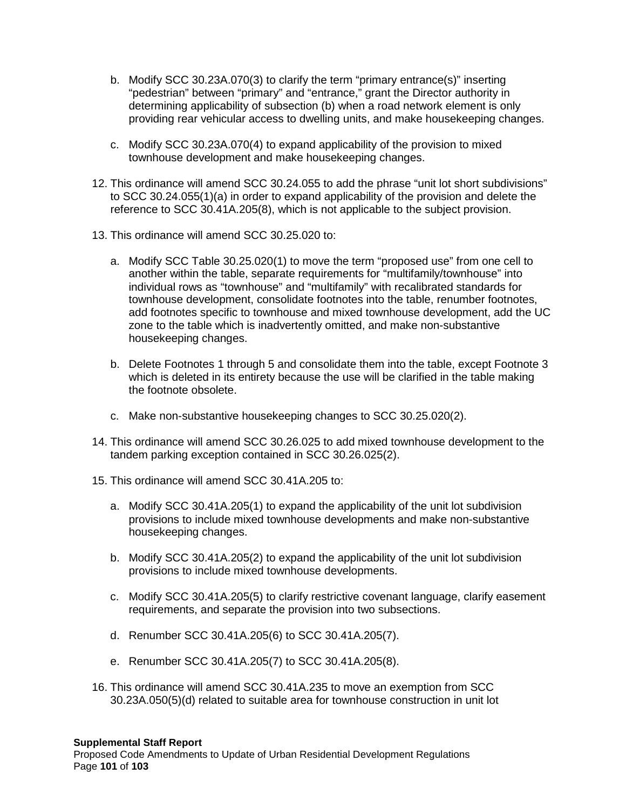- b. Modify SCC 30.23A.070(3) to clarify the term "primary entrance(s)" inserting "pedestrian" between "primary" and "entrance," grant the Director authority in determining applicability of subsection (b) when a road network element is only providing rear vehicular access to dwelling units, and make housekeeping changes.
- c. Modify SCC 30.23A.070(4) to expand applicability of the provision to mixed townhouse development and make housekeeping changes.
- 12. This ordinance will amend SCC 30.24.055 to add the phrase "unit lot short subdivisions" to SCC 30.24.055(1)(a) in order to expand applicability of the provision and delete the reference to SCC 30.41A.205(8), which is not applicable to the subject provision.
- 13. This ordinance will amend SCC 30.25.020 to:
	- a. Modify SCC Table 30.25.020(1) to move the term "proposed use" from one cell to another within the table, separate requirements for "multifamily/townhouse" into individual rows as "townhouse" and "multifamily" with recalibrated standards for townhouse development, consolidate footnotes into the table, renumber footnotes, add footnotes specific to townhouse and mixed townhouse development, add the UC zone to the table which is inadvertently omitted, and make non-substantive housekeeping changes.
	- b. Delete Footnotes 1 through 5 and consolidate them into the table, except Footnote 3 which is deleted in its entirety because the use will be clarified in the table making the footnote obsolete.
	- c. Make non-substantive housekeeping changes to SCC 30.25.020(2).
- 14. This ordinance will amend SCC 30.26.025 to add mixed townhouse development to the tandem parking exception contained in SCC 30.26.025(2).
- 15. This ordinance will amend SCC 30.41A.205 to:
	- a. Modify SCC 30.41A.205(1) to expand the applicability of the unit lot subdivision provisions to include mixed townhouse developments and make non-substantive housekeeping changes.
	- b. Modify SCC 30.41A.205(2) to expand the applicability of the unit lot subdivision provisions to include mixed townhouse developments.
	- c. Modify SCC 30.41A.205(5) to clarify restrictive covenant language, clarify easement requirements, and separate the provision into two subsections.
	- d. Renumber SCC 30.41A.205(6) to SCC 30.41A.205(7).
	- e. Renumber SCC 30.41A.205(7) to SCC 30.41A.205(8).
- 16. This ordinance will amend SCC 30.41A.235 to move an exemption from SCC 30.23A.050(5)(d) related to suitable area for townhouse construction in unit lot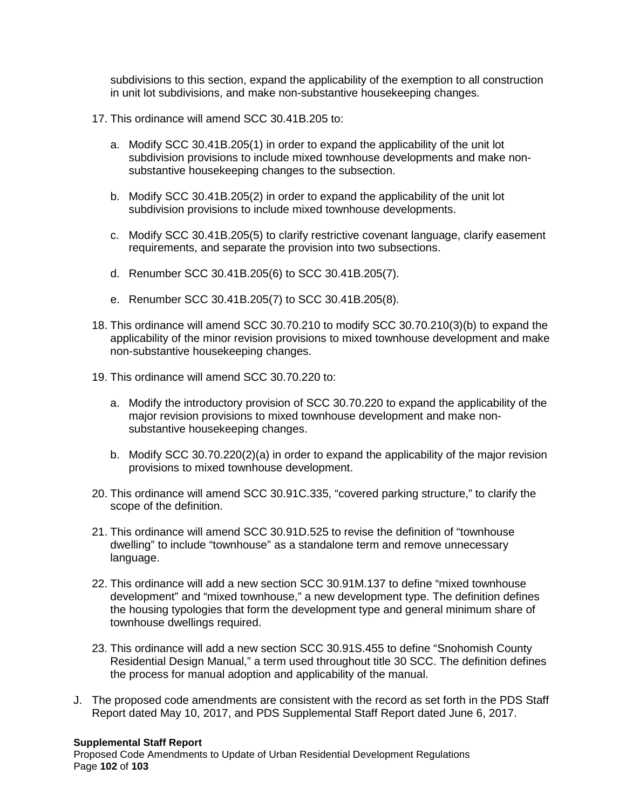subdivisions to this section, expand the applicability of the exemption to all construction in unit lot subdivisions, and make non-substantive housekeeping changes.

- 17. This ordinance will amend SCC 30.41B.205 to:
	- a. Modify SCC 30.41B.205(1) in order to expand the applicability of the unit lot subdivision provisions to include mixed townhouse developments and make nonsubstantive housekeeping changes to the subsection.
	- b. Modify SCC 30.41B.205(2) in order to expand the applicability of the unit lot subdivision provisions to include mixed townhouse developments.
	- c. Modify SCC 30.41B.205(5) to clarify restrictive covenant language, clarify easement requirements, and separate the provision into two subsections.
	- d. Renumber SCC 30.41B.205(6) to SCC 30.41B.205(7).
	- e. Renumber SCC 30.41B.205(7) to SCC 30.41B.205(8).
- 18. This ordinance will amend SCC 30.70.210 to modify SCC 30.70.210(3)(b) to expand the applicability of the minor revision provisions to mixed townhouse development and make non-substantive housekeeping changes.
- 19. This ordinance will amend SCC 30.70.220 to:
	- a. Modify the introductory provision of SCC 30.70.220 to expand the applicability of the major revision provisions to mixed townhouse development and make nonsubstantive housekeeping changes.
	- b. Modify SCC 30.70.220(2)(a) in order to expand the applicability of the major revision provisions to mixed townhouse development.
- 20. This ordinance will amend SCC 30.91C.335, "covered parking structure," to clarify the scope of the definition.
- 21. This ordinance will amend SCC 30.91D.525 to revise the definition of "townhouse dwelling" to include "townhouse" as a standalone term and remove unnecessary language.
- 22. This ordinance will add a new section SCC 30.91M.137 to define "mixed townhouse development" and "mixed townhouse," a new development type. The definition defines the housing typologies that form the development type and general minimum share of townhouse dwellings required.
- 23. This ordinance will add a new section SCC 30.91S.455 to define "Snohomish County Residential Design Manual," a term used throughout title 30 SCC. The definition defines the process for manual adoption and applicability of the manual.
- J. The proposed code amendments are consistent with the record as set forth in the PDS Staff Report dated May 10, 2017, and PDS Supplemental Staff Report dated June 6, 2017.

#### **Supplemental Staff Report**

Proposed Code Amendments to Update of Urban Residential Development Regulations Page **102** of **103**